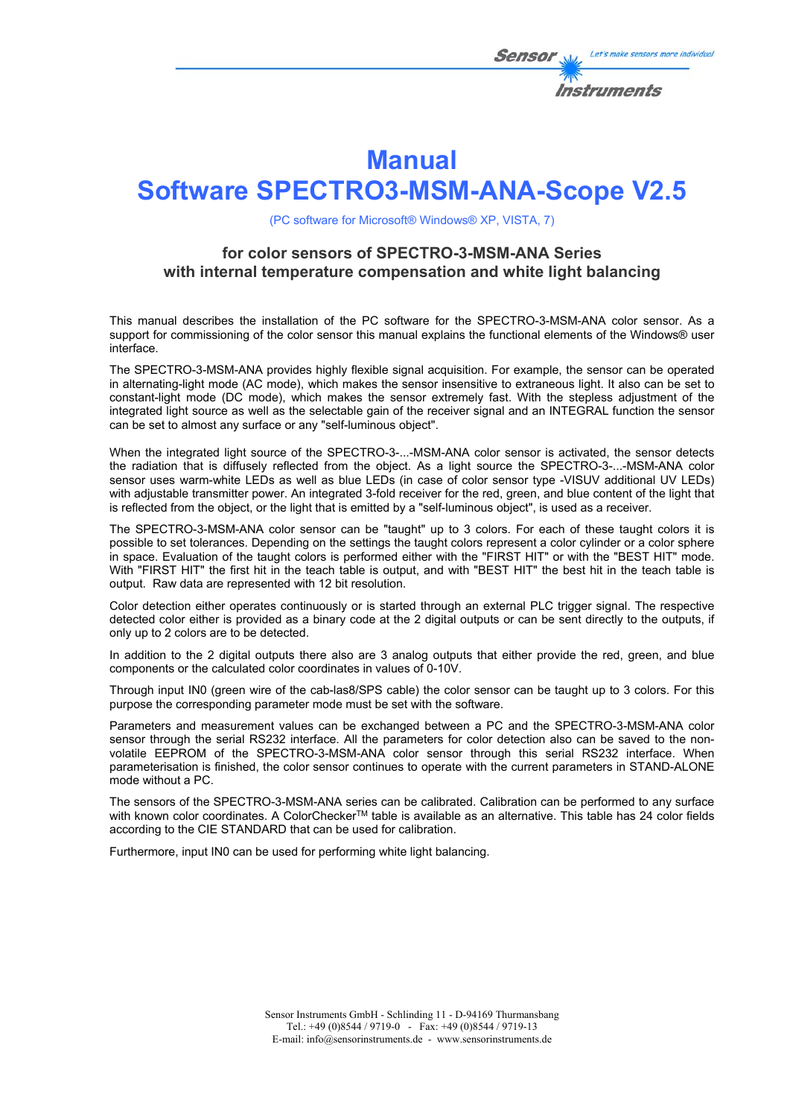

# **Manual**

# **Software SPECTRO3-MSM-ANA-Scope V2.5**

(PC software for Microsoft® Windows® XP, VISTA, 7)

## **for color sensors of SPECTRO-3-MSM-ANA Series with internal temperature compensation and white light balancing**

This manual describes the installation of the PC software for the SPECTRO-3-MSM-ANA color sensor. As a support for commissioning of the color sensor this manual explains the functional elements of the Windows® user interface.

The SPECTRO-3-MSM-ANA provides highly flexible signal acquisition. For example, the sensor can be operated in alternating-light mode (AC mode), which makes the sensor insensitive to extraneous light. It also can be set to constant-light mode (DC mode), which makes the sensor extremely fast. With the stepless adjustment of the integrated light source as well as the selectable gain of the receiver signal and an INTEGRAL function the sensor can be set to almost any surface or any "self-luminous object".

When the integrated light source of the SPECTRO-3-...-MSM-ANA color sensor is activated, the sensor detects the radiation that is diffusely reflected from the object. As a light source the SPECTRO-3-...-MSM-ANA color sensor uses warm-white LEDs as well as blue LEDs (in case of color sensor type -VISUV additional UV LEDs) with adjustable transmitter power. An integrated 3-fold receiver for the red, green, and blue content of the light that is reflected from the object, or the light that is emitted by a "self-luminous object", is used as a receiver.

The SPECTRO-3-MSM-ANA color sensor can be "taught" up to 3 colors. For each of these taught colors it is possible to set tolerances. Depending on the settings the taught colors represent a color cylinder or a color sphere in space. Evaluation of the taught colors is performed either with the "FIRST HIT" or with the "BEST HIT" mode. With "FIRST HIT" the first hit in the teach table is output, and with "BEST HIT" the best hit in the teach table is output. Raw data are represented with 12 bit resolution.

Color detection either operates continuously or is started through an external PLC trigger signal. The respective detected color either is provided as a binary code at the 2 digital outputs or can be sent directly to the outputs, if only up to 2 colors are to be detected.

In addition to the 2 digital outputs there also are 3 analog outputs that either provide the red, green, and blue components or the calculated color coordinates in values of 0-10V.

Through input IN0 (green wire of the cab-las8/SPS cable) the color sensor can be taught up to 3 colors. For this purpose the corresponding parameter mode must be set with the software.

Parameters and measurement values can be exchanged between a PC and the SPECTRO-3-MSM-ANA color sensor through the serial RS232 interface. All the parameters for color detection also can be saved to the nonvolatile EEPROM of the SPECTRO-3-MSM-ANA color sensor through this serial RS232 interface. When parameterisation is finished, the color sensor continues to operate with the current parameters in STAND-ALONE mode without a PC.

The sensors of the SPECTRO-3-MSM-ANA series can be calibrated. Calibration can be performed to any surface with known color coordinates. A ColorChecker™ table is available as an alternative. This table has 24 color fields according to the CIE STANDARD that can be used for calibration.

Furthermore, input IN0 can be used for performing white light balancing.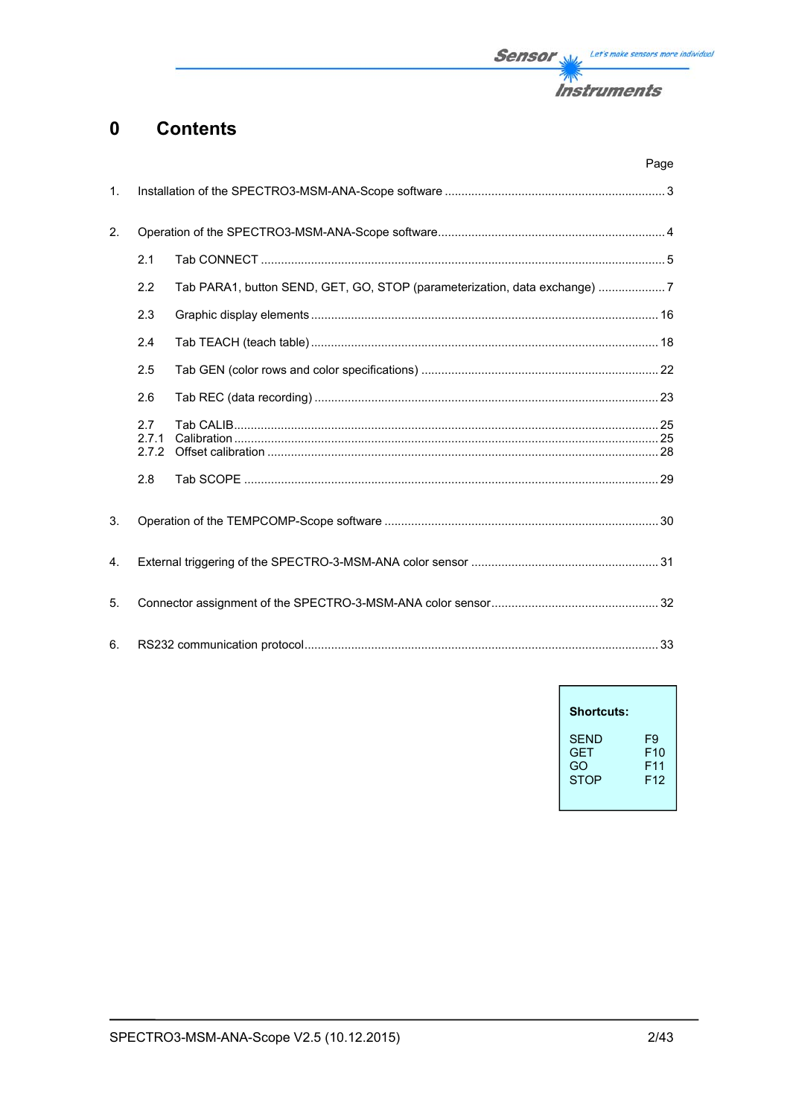

#### **Contents**  $\mathbf 0$

|                |                       |                                                                           | Page |
|----------------|-----------------------|---------------------------------------------------------------------------|------|
| $\mathbf{1}$ . |                       |                                                                           |      |
| 2.             |                       |                                                                           |      |
|                | 2.1                   |                                                                           |      |
|                | 2.2                   | Tab PARA1, button SEND, GET, GO, STOP (parameterization, data exchange) 7 |      |
|                | 2.3                   |                                                                           |      |
|                | 2.4                   |                                                                           |      |
|                | 2.5                   |                                                                           |      |
|                | 2.6                   |                                                                           |      |
|                | 2.7<br>2.7.1<br>2.7.2 |                                                                           |      |
|                | 2.8                   |                                                                           |      |
| 3.             |                       |                                                                           |      |
| 4.             |                       |                                                                           |      |
| 5.             |                       |                                                                           |      |
| 6.             |                       |                                                                           |      |

| <b>Shortcuts:</b> |                 |
|-------------------|-----------------|
| SFND              | F9              |
| <b>GFT</b>        | F10             |
| GO                | F11             |
| <b>STOP</b>       | F <sub>12</sub> |

 $\overline{1}$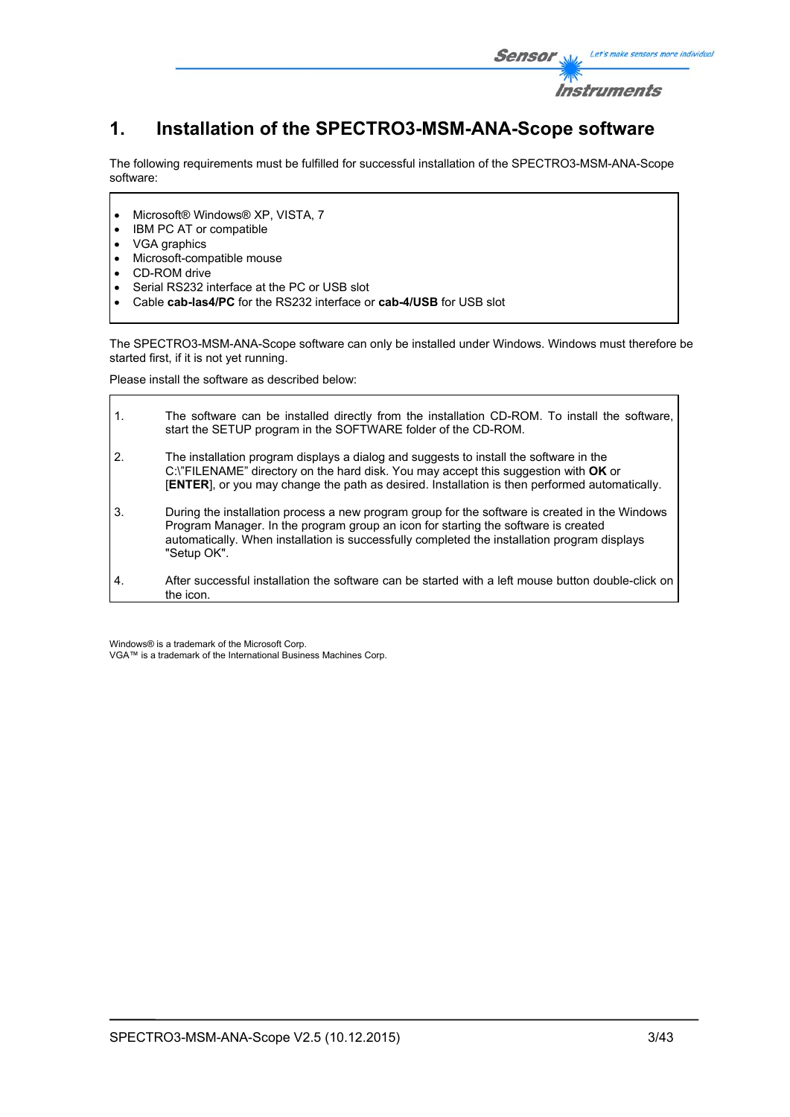

## **1. Installation of the SPECTRO3-MSM-ANA-Scope software**

The following requirements must be fulfilled for successful installation of the SPECTRO3-MSM-ANA-Scope software:

- Microsoft® Windows® XP, VISTA, 7
- IBM PC AT or compatible
- VGA graphics
- Microsoft-compatible mouse
- CD-ROM drive
- Serial RS232 interface at the PC or USB slot
- Cable **cab-las4/PC** for the RS232 interface or **cab-4/USB** for USB slot

The SPECTRO3-MSM-ANA-Scope software can only be installed under Windows. Windows must therefore be started first, if it is not yet running.

Please install the software as described below:

| $\mathbf{1}$ . | The software can be installed directly from the installation CD-ROM. To install the software,<br>start the SETUP program in the SOFTWARE folder of the CD-ROM.                                                                                                                                      |
|----------------|-----------------------------------------------------------------------------------------------------------------------------------------------------------------------------------------------------------------------------------------------------------------------------------------------------|
| 2.             | The installation program displays a dialog and suggests to install the software in the<br>C:\"FILENAME" directory on the hard disk. You may accept this suggestion with OK or<br>[ENTER], or you may change the path as desired. Installation is then performed automatically.                      |
| 3.             | During the installation process a new program group for the software is created in the Windows<br>Program Manager. In the program group an icon for starting the software is created<br>automatically. When installation is successfully completed the installation program displays<br>"Setup OK". |
| 4.             | After successful installation the software can be started with a left mouse button double-click on<br>the icon.                                                                                                                                                                                     |

Windows® is a trademark of the Microsoft Corp. VGA™ is a trademark of the International Business Machines Corp.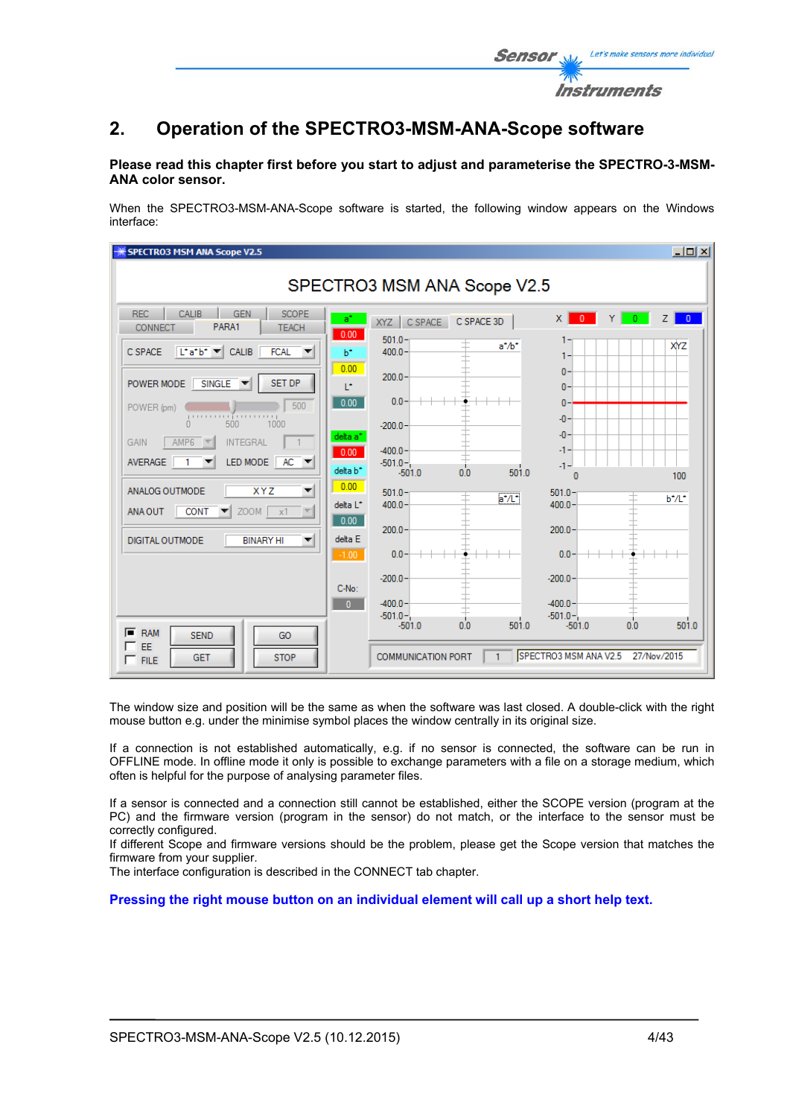

### **Please read this chapter first before you start to adjust and parameterise the SPECTRO-3-MSM-ANA color sensor.**

When the SPECTRO3-MSM-ANA-Scope software is started, the following window appears on the Windows interface:

| SPECTRO3 MSM ANA Scope V2.5                                                                                                                                                                                                                                                                                                                                                                               |                                                                                                         | $\Box$            |  |
|-----------------------------------------------------------------------------------------------------------------------------------------------------------------------------------------------------------------------------------------------------------------------------------------------------------------------------------------------------------------------------------------------------------|---------------------------------------------------------------------------------------------------------|-------------------|--|
| SPECTRO3 MSM ANA Scope V2.5                                                                                                                                                                                                                                                                                                                                                                               |                                                                                                         |                   |  |
| <b>REC</b><br>CALIB<br><b>SCOPE</b><br><b>GEN</b><br>PARA1<br>CONNECT<br><b>TEACH</b>                                                                                                                                                                                                                                                                                                                     | $\times$<br>$\mathbf{0}$<br>a*<br>$\mathbf{0}$<br>C SPACE 3D<br>C SPACE<br>XYZ<br>0.00                  | $\mathbf{0}$<br>7 |  |
| $\begin{array}{ c c c c }\n\hline\n\end{array}$ $\begin{array}{ c c c }\n\hline\n\end{array}$ $\begin{array}{ c c }\n\hline\n\end{array}$ $\begin{array}{ c c c }\n\hline\n\end{array}$ $\begin{array}{ c c c }\n\hline\n\end{array}$ $\begin{array}{ c c c }\n\hline\n\end{array}$ $\begin{array}{ c c c }\n\hline\n\end{array}$ $\begin{array}{ c c c }\n\hline\n\end{array}$<br><b>FCAL</b><br>C SPACE | $501.0 -$<br>$a^* / b^*$<br>$400.0 -$<br>b*                                                             | XYZ               |  |
| <b>SET DP</b><br>$SINGLE$ $\blacktriangledown$<br>POWER MODE                                                                                                                                                                                                                                                                                                                                              | 0.00<br>$\mathbf{0}$<br>$200.0 -$<br>T.<br>$\mathbf{0}$                                                 |                   |  |
| 500<br>POWER (pm)<br>ր ուս ուսում առանց առա                                                                                                                                                                                                                                                                                                                                                               | $0.0 -$<br>0.00<br>$\mathbf{0}$<br>$-0$                                                                 |                   |  |
| 500<br>1000<br><b>INTEGRAL</b><br>AMP <sub>6</sub><br><b>GAIN</b>                                                                                                                                                                                                                                                                                                                                         | $-200.0 -$<br>$-0$<br>delta a <sup>*</sup>                                                              |                   |  |
| LED MODE<br>$AC -$<br><b>AVERAGE</b>                                                                                                                                                                                                                                                                                                                                                                      | $-400.0 -$<br>-1-<br>0.00<br>$-501.0 -$<br>-1-<br>501.0<br>delta b <sup>*</sup><br>0.0<br>$-501.0$<br>n | 100               |  |
| ANALOG OUTMODE<br><b>XYZ</b><br>▼                                                                                                                                                                                                                                                                                                                                                                         | 0.00<br>$501.0 -$<br>$501.0 -$<br>$a^*/L^*$<br>$400.0 -$<br>400.0<br>delta L*                           | $b^*/L^*$         |  |
| $ZOOM$ $x1$<br><b>CONT</b><br>$\vert \nabla \vert$<br>ANA OUT                                                                                                                                                                                                                                                                                                                                             | 0.00<br>200.0<br>$200.0 -$                                                                              |                   |  |
| <b>DIGITAL OUTMODE</b><br><b>BINARY HI</b><br>▼                                                                                                                                                                                                                                                                                                                                                           | delta E<br>$0.0 -$<br>$-1.00$<br>0.0 <sub>1</sub>                                                       |                   |  |
|                                                                                                                                                                                                                                                                                                                                                                                                           | $-200.0 -$<br>$-200.0$<br>C-No:                                                                         |                   |  |
|                                                                                                                                                                                                                                                                                                                                                                                                           | $-400.0 -$<br>$-400.0 -$<br>$\overline{0}$<br>$-501.0 -$<br>$-501.0 -$                                  |                   |  |
| $F$ RAM<br><b>SEND</b><br>GO                                                                                                                                                                                                                                                                                                                                                                              | 0.0<br>501.0<br>$-501.0$<br>0.0<br>$-501.0$                                                             | 501.0             |  |
| $\Box$ EE<br><b>STOP</b><br><b>GET</b><br>$\Gamma$ FILE                                                                                                                                                                                                                                                                                                                                                   | SPECTRO3 MSM ANA V2.5<br>27/Nov/2015<br><b>COMMUNICATION PORT</b><br>1.                                 |                   |  |

The window size and position will be the same as when the software was last closed. A double-click with the right mouse button e.g. under the minimise symbol places the window centrally in its original size.

If a connection is not established automatically, e.g. if no sensor is connected, the software can be run in OFFLINE mode. In offline mode it only is possible to exchange parameters with a file on a storage medium, which often is helpful for the purpose of analysing parameter files.

If a sensor is connected and a connection still cannot be established, either the SCOPE version (program at the PC) and the firmware version (program in the sensor) do not match, or the interface to the sensor must be correctly configured.

If different Scope and firmware versions should be the problem, please get the Scope version that matches the firmware from your supplier.

The interface configuration is described in the CONNECT tab chapter.

**Pressing the right mouse button on an individual element will call up a short help text.** 

Let's make sensors more individual

Instruments

Senso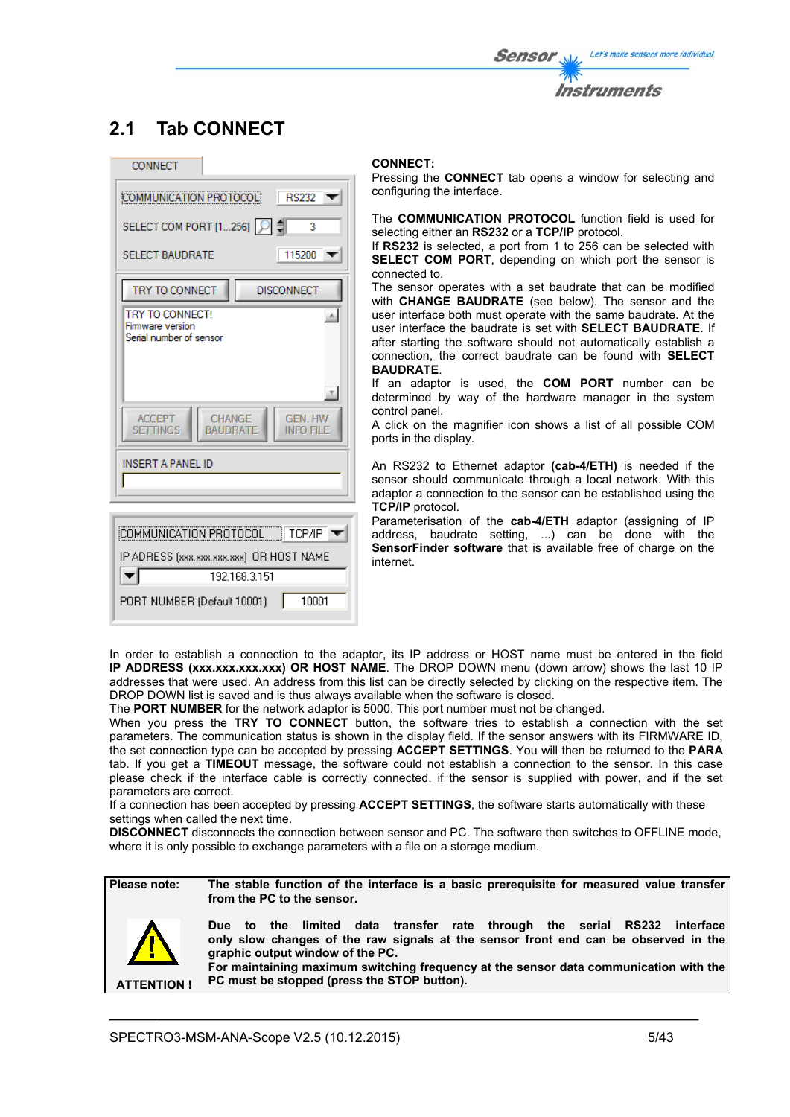## **2.1 Tab CONNECT**



#### **CONNECT:**

Pressing the **CONNECT** tab opens a window for selecting and configuring the interface.

The **COMMUNICATION PROTOCOL** function field is used for selecting either an **RS232** or a **TCP/IP** protocol.

If **RS232** is selected, a port from 1 to 256 can be selected with **SELECT COM PORT**, depending on which port the sensor is connected to.

The sensor operates with a set baudrate that can be modified with **CHANGE BAUDRATE** (see below). The sensor and the user interface both must operate with the same baudrate. At the user interface the baudrate is set with **SELECT BAUDRATE**. If after starting the software should not automatically establish a connection, the correct baudrate can be found with **SELECT BAUDRATE**.

If an adaptor is used, the **COM PORT** number can be determined by way of the hardware manager in the system control panel.

A click on the magnifier icon shows a list of all possible COM ports in the display.

An RS232 to Ethernet adaptor **(cab-4/ETH)** is needed if the sensor should communicate through a local network. With this adaptor a connection to the sensor can be established using the **TCP/IP** protocol.

Parameterisation of the **cab-4/ETH** adaptor (assigning of IP address, baudrate setting, ...) can be done with the **SensorFinder software** that is available free of charge on the internet.

In order to establish a connection to the adaptor, its IP address or HOST name must be entered in the field **IP ADDRESS (xxx.xxx.xxx.xxx) OR HOST NAME**. The DROP DOWN menu (down arrow) shows the last 10 IP addresses that were used. An address from this list can be directly selected by clicking on the respective item. The DROP DOWN list is saved and is thus always available when the software is closed.

The **PORT NUMBER** for the network adaptor is 5000. This port number must not be changed.

When you press the **TRY TO CONNECT** button, the software tries to establish a connection with the set parameters. The communication status is shown in the display field. If the sensor answers with its FIRMWARE ID, the set connection type can be accepted by pressing **ACCEPT SETTINGS**. You will then be returned to the **PARA** tab. If you get a **TIMEOUT** message, the software could not establish a connection to the sensor. In this case please check if the interface cable is correctly connected, if the sensor is supplied with power, and if the set parameters are correct.

If a connection has been accepted by pressing **ACCEPT SETTINGS**, the software starts automatically with these settings when called the next time.

**DISCONNECT** disconnects the connection between sensor and PC. The software then switches to OFFLINE mode, where it is only possible to exchange parameters with a file on a storage medium.

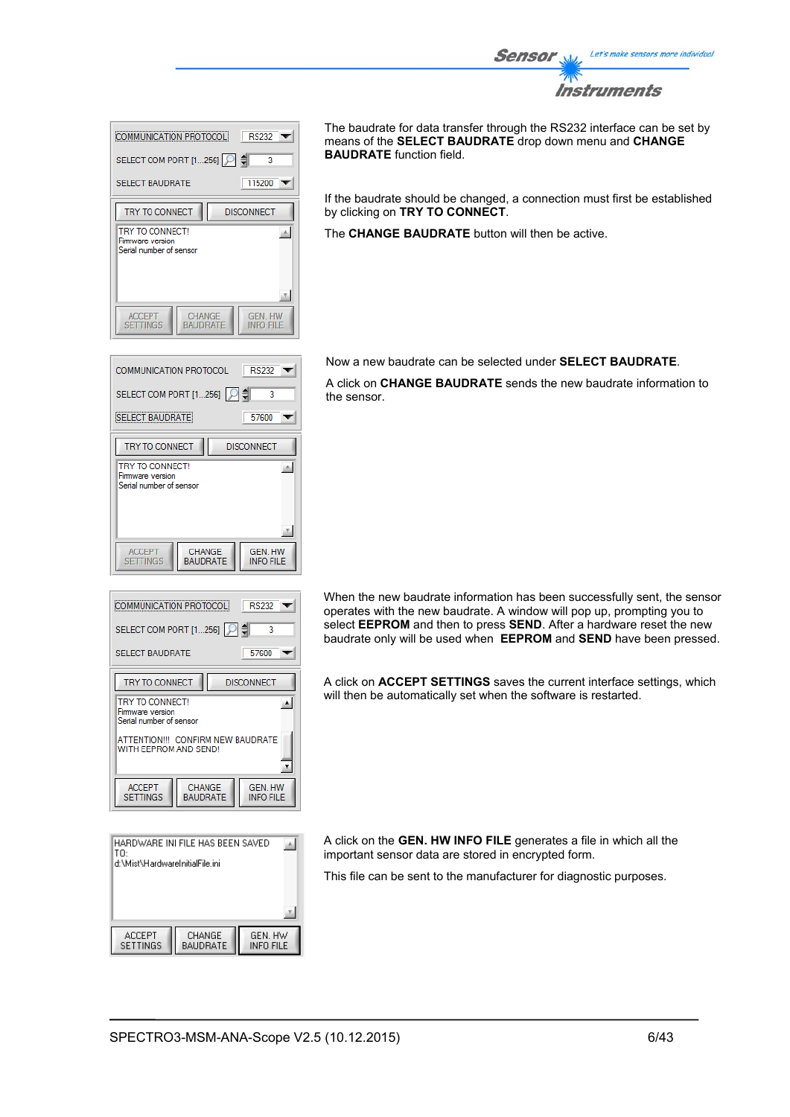

| <b>RS232</b><br>COMMUNICATION PROTOCOL                                                                |  |
|-------------------------------------------------------------------------------------------------------|--|
| SELECT COM PORT [1256]   이 예<br>3<br>115200<br><b>SELECT BAUDRATE</b>                                 |  |
| TRY TO CONNECT<br><b>DISCONNECT</b><br>TRY TO CONNECT!<br>Firmware version<br>Serial number of sensor |  |
| <b>CHANGE</b><br><b>GEN HW</b><br><b>ACCEPT</b><br><b>SETTINGS</b><br><b>BAUDRATE</b><br>INFO FILE    |  |

**RS232**  $\overline{\phantom{a}}$ 

> 57600  $\overline{\mathbf{v}}$

**GEN. HW** 

**INFO FILE** 

**DISCONNECT** 

٦ ₿

스

COMMUNICATION PROTOCOL

**SELECT BAUDRATE** 

TRY TO CONNECT

**TRY TO CONNECT!** 

**ACCEPT** 

**SETTINGS** 

Firm the contract :<br>Firmware version<br>Serial number of sensor

SELECT COM PORT [1...256]

The baudrate for data transfer through the RS232 interface can be set by means of the **SELECT BAUDRATE** drop down menu and **CHANGE BAUDRATE** function field.

If the baudrate should be changed, a connection must first be established by clicking on **TRY TO CONNECT**.

The **CHANGE BAUDRATE** button will then be active.

Now a new baudrate can be selected under **SELECT BAUDRATE**.

A click on **CHANGE BAUDRATE** sends the new baudrate information to the sensor.

| <b>COMMUNICATION PROTOCOLI</b><br>RS232                                                      |  |
|----------------------------------------------------------------------------------------------|--|
| SELECT COM PORT [1256]<br>3                                                                  |  |
| 57600<br><b>SELECT BAUDRATE</b>                                                              |  |
| TRY TO CONNECT<br><b>DISCONNECT</b>                                                          |  |
| TRY TO CONNECT!<br>$\blacktriangle$<br>Firmware version<br>Serial number of sensor           |  |
| ATTENTION !!! CONFIRM NEW BAUDRATE<br>WITH EEPROM AND SEND!                                  |  |
| <b>GEN. HW</b><br><b>ACCEPT</b><br>CHANGE<br>SETTINGS<br><b>BAUDRATE</b><br><b>INFO FILE</b> |  |

CHANGE<br>BAUDRATE

| HARDWARE INI FILE HAS BEEN SAVED<br>TO: |                           |                      |  |
|-----------------------------------------|---------------------------|----------------------|--|
| d:\Mist\HardwareInitialFile.ini         |                           |                      |  |
|                                         |                           |                      |  |
|                                         |                           |                      |  |
|                                         |                           |                      |  |
| ACCEPT<br>SETTINGS                      | CHANGE<br><b>BAUDRATE</b> | GEN. HW<br>INFO FILE |  |

When the new baudrate information has been successfully sent, the sensor operates with the new baudrate. A window will pop up, prompting you to select **EEPROM** and then to press **SEND**. After a hardware reset the new baudrate only will be used when **EEPROM** and **SEND** have been pressed.

A click on **ACCEPT SETTINGS** saves the current interface settings, which will then be automatically set when the software is restarted.

A click on the **GEN. HW INFO FILE** generates a file in which all the important sensor data are stored in encrypted form.

This file can be sent to the manufacturer for diagnostic purposes.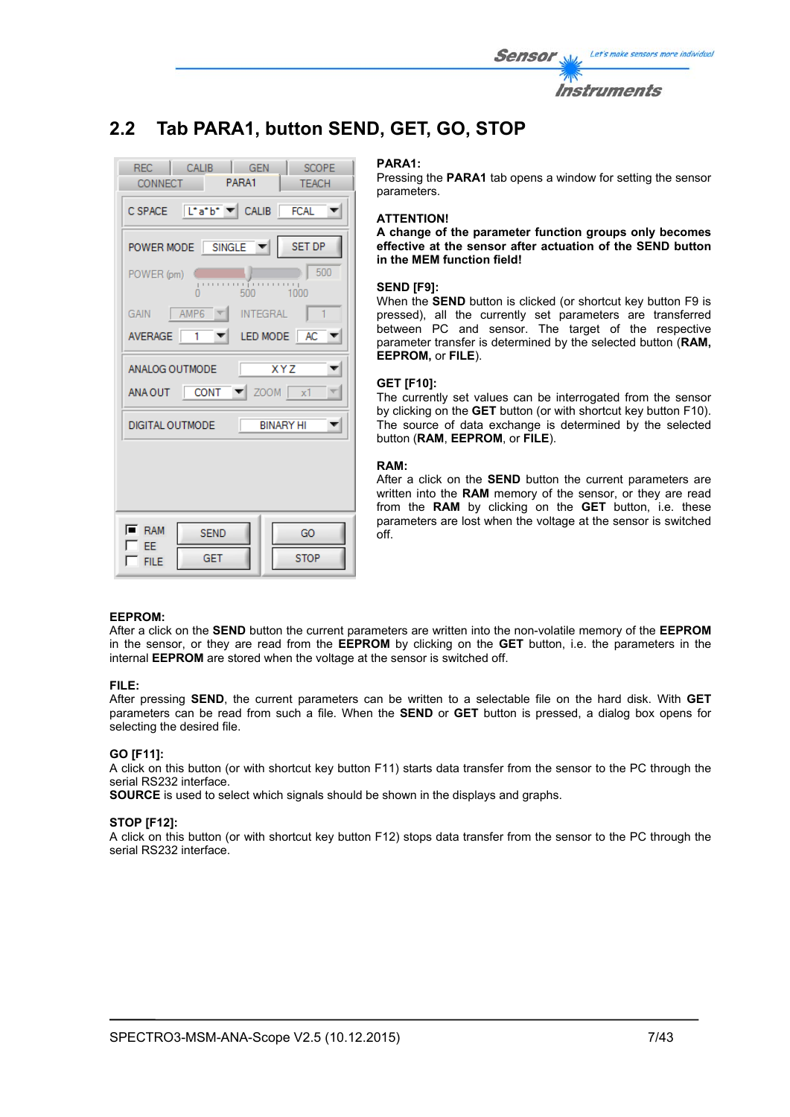| <i>Sensor</i> | Let's make sensors more individual |
|---------------|------------------------------------|
|               | <i><b>Instruments</b></i>          |

## **2.2 Tab PARA1, button SEND, GET, GO, STOP**

| REC CALIB<br><b>GEN</b><br>SCOPE<br>CONNECT PARA1<br><b>TEACH</b> |
|-------------------------------------------------------------------|
| CSPACE L'atb <sup>+</sup> CALIB FCAL                              |
| POWER MODE SINGLE V<br>SET DP                                     |
| 500<br>POWER (pm)<br>$-1000$                                      |
| GAIN $\parallel$ AMP6<br><b>INTEGRAL</b><br>$\mathbf{1}$          |
| LED MODE AC<br>AVERAGE 1                                          |
| $\overline{XYZ}$<br>ANALOG OUTMODE                                |
| ANA OUT CONT $\blacktriangledown$ ZOOM $\mid x1 \rangle$          |
| <b>BINARY HI</b><br>DIGITAL OUTMODE                               |
|                                                                   |
|                                                                   |
| $\overline{\phantom{a}}$ RAM<br><b>SEND</b><br>GO                 |
| EE.<br>GET<br><b>STOP</b><br><b>FILE</b>                          |

#### **PARA1:**

Pressing the **PARA1** tab opens a window for setting the sensor parameters.

#### **ATTENTION!**

**A change of the parameter function groups only becomes effective at the sensor after actuation of the SEND button in the MEM function field!** 

### **SEND [F9]:**

When the **SEND** button is clicked (or shortcut key button F9 is pressed), all the currently set parameters are transferred between PC and sensor. The target of the respective parameter transfer is determined by the selected button (**RAM, EEPROM,** or **FILE**).

#### **GET [F10]:**

The currently set values can be interrogated from the sensor by clicking on the **GET** button (or with shortcut key button F10). The source of data exchange is determined by the selected button (**RAM**, **EEPROM**, or **FILE**).

#### **RAM:**

After a click on the **SEND** button the current parameters are written into the **RAM** memory of the sensor, or they are read from the **RAM** by clicking on the **GET** button, i.e. these parameters are lost when the voltage at the sensor is switched off.

### **EEPROM:**

After a click on the **SEND** button the current parameters are written into the non-volatile memory of the **EEPROM** in the sensor, or they are read from the **EEPROM** by clicking on the **GET** button, i.e. the parameters in the internal **EEPROM** are stored when the voltage at the sensor is switched off.

#### **FILE:**

After pressing **SEND**, the current parameters can be written to a selectable file on the hard disk. With **GET** parameters can be read from such a file. When the **SEND** or **GET** button is pressed, a dialog box opens for selecting the desired file.

#### **GO [F11]:**

A click on this button (or with shortcut key button F11) starts data transfer from the sensor to the PC through the serial RS232 interface.

**SOURCE** is used to select which signals should be shown in the displays and graphs.

#### **STOP [F12]:**

A click on this button (or with shortcut key button F12) stops data transfer from the sensor to the PC through the serial RS232 interface.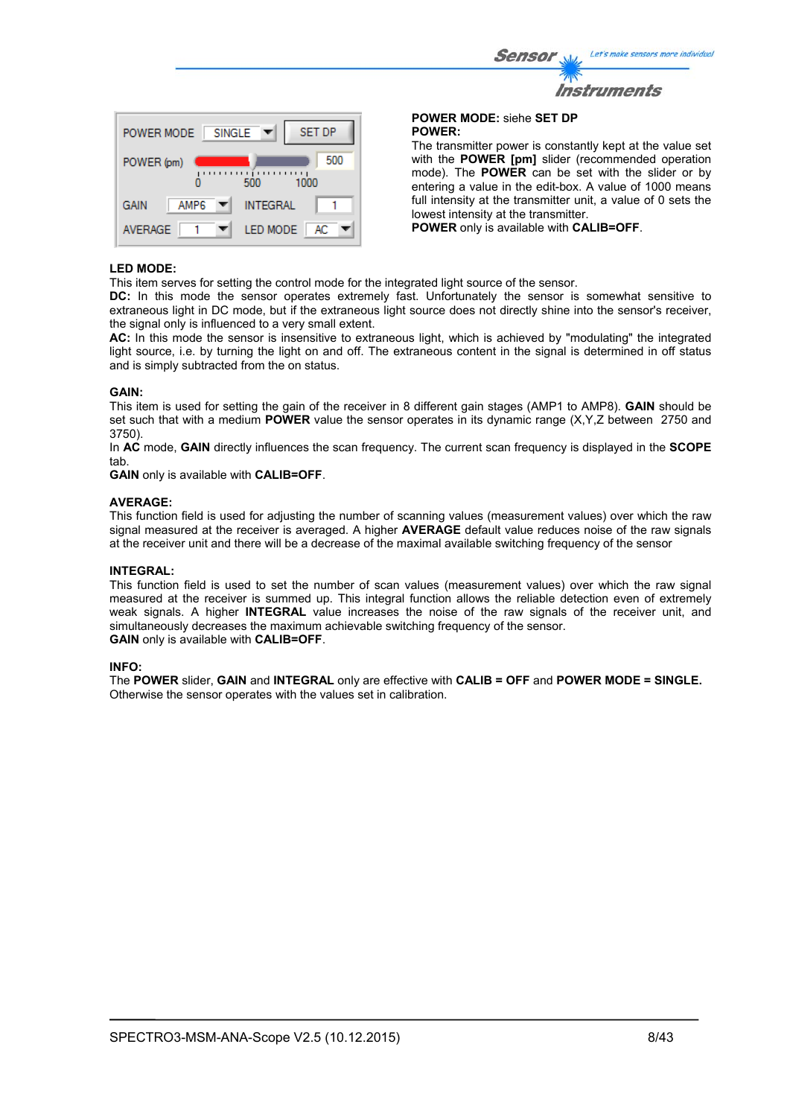| ensor W     | Let's make sensors more individual |
|-------------|------------------------------------|
| <b>TANY</b> |                                    |
|             | <b>Instruments</b>                 |



**POWER MODE:** siehe **SET DP POWER:** 

 $\mathcal{S}$ 

The transmitter power is constantly kept at the value set with the **POWER [pm]** slider (recommended operation mode). The **POWER** can be set with the slider or by entering a value in the edit-box. A value of 1000 means full intensity at the transmitter unit, a value of 0 sets the lowest intensity at the transmitter.

**POWER** only is available with **CALIB=OFF**.

### **LED MODE:**

This item serves for setting the control mode for the integrated light source of the sensor.

**DC:** In this mode the sensor operates extremely fast. Unfortunately the sensor is somewhat sensitive to extraneous light in DC mode, but if the extraneous light source does not directly shine into the sensor's receiver, the signal only is influenced to a very small extent.

**AC:** In this mode the sensor is insensitive to extraneous light, which is achieved by "modulating" the integrated light source, i.e. by turning the light on and off. The extraneous content in the signal is determined in off status and is simply subtracted from the on status.

#### **GAIN:**

This item is used for setting the gain of the receiver in 8 different gain stages (AMP1 to AMP8). **GAIN** should be set such that with a medium **POWER** value the sensor operates in its dynamic range (X,Y,Z between 2750 and 3750).

In **AC** mode, **GAIN** directly influences the scan frequency. The current scan frequency is displayed in the **SCOPE** tab.

**GAIN** only is available with **CALIB=OFF**.

#### **AVERAGE:**

This function field is used for adjusting the number of scanning values (measurement values) over which the raw signal measured at the receiver is averaged. A higher **AVERAGE** default value reduces noise of the raw signals at the receiver unit and there will be a decrease of the maximal available switching frequency of the sensor

#### **INTEGRAL:**

This function field is used to set the number of scan values (measurement values) over which the raw signal measured at the receiver is summed up. This integral function allows the reliable detection even of extremely weak signals. A higher **INTEGRAL** value increases the noise of the raw signals of the receiver unit, and simultaneously decreases the maximum achievable switching frequency of the sensor. **GAIN** only is available with **CALIB=OFF**.

#### **INFO:**

The **POWER** slider, **GAIN** and **INTEGRAL** only are effective with **CALIB = OFF** and **POWER MODE = SINGLE.**  Otherwise the sensor operates with the values set in calibration.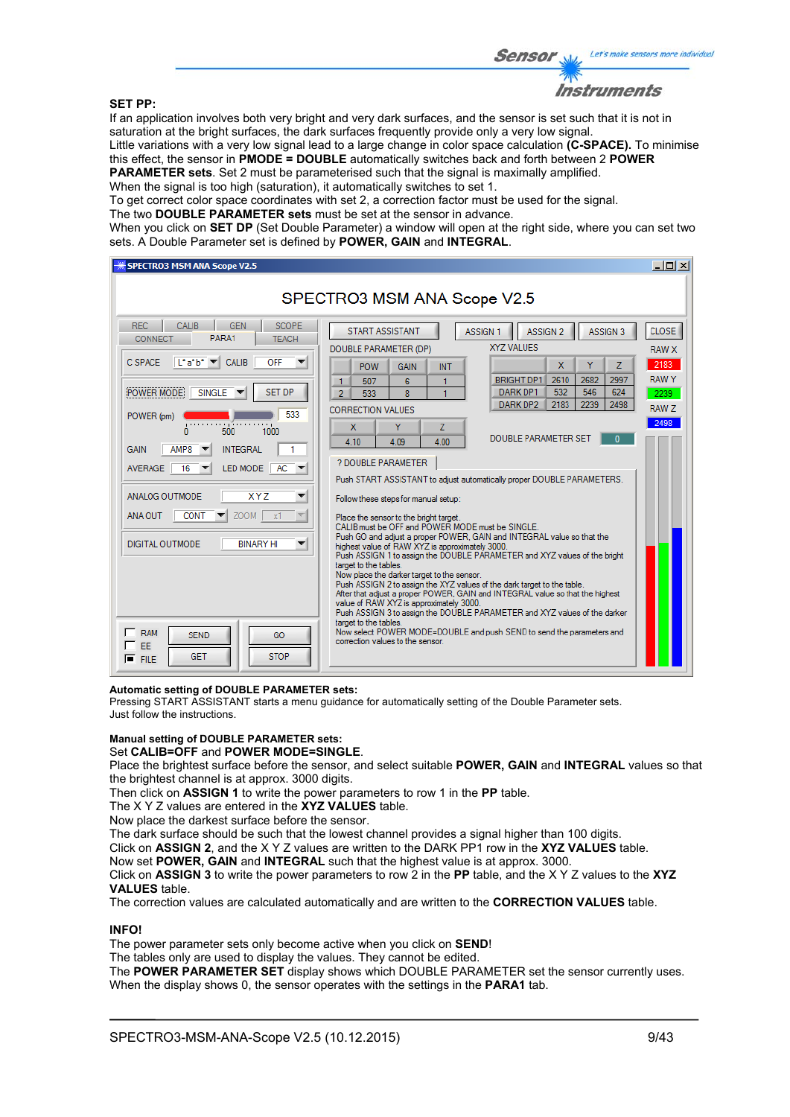#### **SET PP:**

Sensor

Let's make sensors more individual

If an application involves both very bright and very dark surfaces, and the sensor is set such that it is not in saturation at the bright surfaces, the dark surfaces frequently provide only a very low signal. Little variations with a very low signal lead to a large change in color space calculation **(C-SPACE).** To minimise this effect, the sensor in **PMODE = DOUBLE** automatically switches back and forth between 2 **POWER** 

**PARAMETER sets**. Set 2 must be parameterised such that the signal is maximally amplified.

When the signal is too high (saturation), it automatically switches to set 1.

To get correct color space coordinates with set 2, a correction factor must be used for the signal.

The two **DOUBLE PARAMETER sets** must be set at the sensor in advance.

When you click on **SET DP** (Set Double Parameter) a window will open at the right side, where you can set two sets. A Double Parameter set is defined by **POWER, GAIN** and **INTEGRAL**.

| <b>SPECTRO3 MSM ANA Scope V2.5</b>                                                                                                                                                                                                                                                                                                                                                                                                                                                                                                                                                                             |                                                                                                                                                                                                                                                                                                                                                                                                                                                                                                                                                                                                                                                                                                                                                                                                                                                                                                                                                                                                                                                                                                                                                                                                                                                                                                                                                                                                                                          | $ \Box$ $\times$                                                             |  |  |  |
|----------------------------------------------------------------------------------------------------------------------------------------------------------------------------------------------------------------------------------------------------------------------------------------------------------------------------------------------------------------------------------------------------------------------------------------------------------------------------------------------------------------------------------------------------------------------------------------------------------------|------------------------------------------------------------------------------------------------------------------------------------------------------------------------------------------------------------------------------------------------------------------------------------------------------------------------------------------------------------------------------------------------------------------------------------------------------------------------------------------------------------------------------------------------------------------------------------------------------------------------------------------------------------------------------------------------------------------------------------------------------------------------------------------------------------------------------------------------------------------------------------------------------------------------------------------------------------------------------------------------------------------------------------------------------------------------------------------------------------------------------------------------------------------------------------------------------------------------------------------------------------------------------------------------------------------------------------------------------------------------------------------------------------------------------------------|------------------------------------------------------------------------------|--|--|--|
| SPECTRO3 MSM ANA Scope V2.5                                                                                                                                                                                                                                                                                                                                                                                                                                                                                                                                                                                    |                                                                                                                                                                                                                                                                                                                                                                                                                                                                                                                                                                                                                                                                                                                                                                                                                                                                                                                                                                                                                                                                                                                                                                                                                                                                                                                                                                                                                                          |                                                                              |  |  |  |
| REC.<br><b>CALIB</b><br><b>GEN</b><br><b>SCOPE</b><br>PARA1<br><b>CONNECT</b><br><b>TEACH</b><br>$\lfloor \cdot a \cdot b \cdot \rfloor$<br><b>CALIB</b><br><b>OFF</b><br>C SPACE<br><b>SET DP</b><br>POWER MODE<br>SINGLE V<br>533<br>POWER (pm)<br>ريبيتينين آرينينينيينر<br>500<br>1000<br>n<br>AMP8<br><b>INTEGRAL</b><br><b>GAIN</b><br>LED MODE<br>$AC =$<br>16<br><b>AVERAGE</b><br>ANALOG OUTMODE<br><b>XYZ</b><br>▼<br><b>ZOOM</b><br><b>CONT</b><br>ANA OUT<br>$\mathbf{x}$<br>DIGITAL OUTMODE<br><b>BINARY HI</b><br><b>RAM</b><br><b>SEND</b><br>GO<br>EE<br><b>STOP</b><br><b>GET</b><br>$F$ FILE | <b>START ASSISTANT</b><br><b>ASSIGN 1</b><br>ASSIGN <sub>2</sub><br>ASSIGN <sub>3</sub><br>XYZ VALUES<br>DOUBLE PARAMETER (DP)<br>$\mathbf{x}$<br>Ÿ<br>7<br><b>POW</b><br><b>GAIN</b><br><b>INT</b><br>2682<br><b>BRIGHT DP1</b><br>2610<br>2997<br>507<br>6<br>1<br>-1<br>546<br>532<br>624<br>DARK DP1<br>$\overline{2}$<br>533<br>8<br>2183<br>2239<br>DARK DP2<br>2498<br><b>CORRECTION VALUES</b><br>X<br>Ÿ<br>Z<br><b>DOUBLE PARAMETER SET</b><br>U<br>4.10<br>4.09<br>4.00<br><b>2 DOUBLE PARAMETER</b><br>Push START ASSISTANT to adjust automatically proper DOUBLE PARAMETERS.<br>Follow these steps for manual setup:<br>Place the sensor to the bright target.<br>CALIB must be OFF and POWER MODE must be SINGLE.<br>Push GO and adjust a proper POWER, GAIN and INTEGRAL value so that the<br>highest value of RAW XYZ is approximately 3000.<br>Push ASSIGN 1 to assign the DOUBLE PARAMETER and XYZ values of the bright<br>target to the tables.<br>Now place the darker target to the sensor.<br>Push ASSIGN 2 to assign the XYZ values of the dark target to the table.<br>After that adjust a proper POWER, GAIN and INTEGRAL value so that the highest<br>value of RAW XYZ is approximately 3000.<br>Push ASSIGN 3 to assign the DOUBLE PARAMETER and XYZ values of the darker<br>target to the tables.<br>Now select POWER MODE=DOUBLE and push SEND to send the parameters and<br>correction values to the sensor | <b>CLOSE</b><br><b>RAW X</b><br>2183<br><b>RAWY</b><br>2239<br>RAW Z<br>2498 |  |  |  |

#### **Automatic setting of DOUBLE PARAMETER sets:**

Pressing START ASSISTANT starts a menu guidance for automatically setting of the Double Parameter sets. Just follow the instructions.

#### **Manual setting of DOUBLE PARAMETER sets:**  Set **CALIB=OFF** and **POWER MODE=SINGLE**.

Place the brightest surface before the sensor, and select suitable **POWER, GAIN** and **INTEGRAL** values so that the brightest channel is at approx. 3000 digits.

Then click on **ASSIGN 1** to write the power parameters to row 1 in the **PP** table.

The X Y Z values are entered in the **XYZ VALUES** table.

Now place the darkest surface before the sensor.

The dark surface should be such that the lowest channel provides a signal higher than 100 digits.

Click on **ASSIGN 2**, and the X Y Z values are written to the DARK PP1 row in the **XYZ VALUES** table.

Now set **POWER, GAIN** and **INTEGRAL** such that the highest value is at approx. 3000.

Click on **ASSIGN 3** to write the power parameters to row 2 in the **PP** table, and the X Y Z values to the **XYZ VALUES** table.

The correction values are calculated automatically and are written to the **CORRECTION VALUES** table.

#### **INFO!**

The power parameter sets only become active when you click on **SEND**!

The tables only are used to display the values. They cannot be edited.

The **POWER PARAMETER SET** display shows which DOUBLE PARAMETER set the sensor currently uses. When the display shows 0, the sensor operates with the settings in the **PARA1** tab.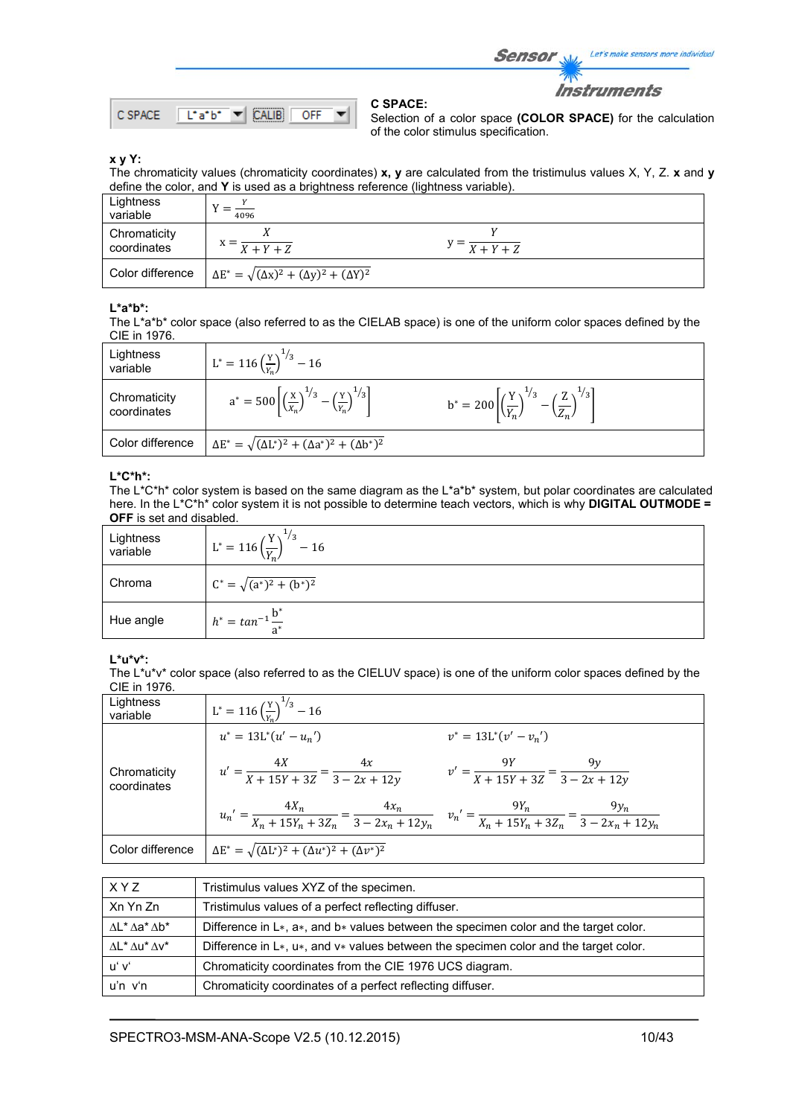Sensor Let's make sensors more individual

**Instruments** 



**C SPACE:** 

Selection of a color space **(COLOR SPACE)** for the calculation of the color stimulus specification.

### **x y Y:**

The chromaticity values (chromaticity coordinates) **x, y** are calculated from the tristimulus values X, Y, Z. **x** and **y** define the color, and **Y** is used as a brightness reference (lightness variable).

| Lightness<br>variable       | 4096                                                             |                                   |  |
|-----------------------------|------------------------------------------------------------------|-----------------------------------|--|
| Chromaticity<br>coordinates | $X + Y + Z$                                                      | $y = \frac{X + Y + Z}{X + Y + Z}$ |  |
| Color difference            | $\Delta E^* = \sqrt{(\Delta x)^2 + (\Delta y)^2 + (\Delta Y)^2}$ |                                   |  |

### **L\*a\*b\*:**

The L\*a\*b\* color space (also referred to as the CIELAB space) is one of the uniform color spaces defined by the CIE in 1976.

| Lightness<br>variable       | $L^* = 116 \left(\frac{Y}{Y_s}\right)^{1/3} - 16$                                                  |                                                                                            |
|-----------------------------|----------------------------------------------------------------------------------------------------|--------------------------------------------------------------------------------------------|
| Chromaticity<br>coordinates | $a^* = 500 \left[ \left( \frac{x}{x_n} \right)^{1/3} - \left( \frac{y}{y_n} \right)^{1/3} \right]$ | $b^* = 200 \left  \left(\frac{Y}{V}\right)^{1/3} - \left(\frac{Z}{Z}\right)^{1/3} \right $ |
| Color difference            | $\Delta E^* = \sqrt{(\Delta L^*)^2 + (\Delta a^*)^2 + (\Delta b^*)^2}$                             |                                                                                            |

### **L\*C\*h\*:**

The L\*C\*h\* color system is based on the same diagram as the L\*a\*b\* system, but polar coordinates are calculated here. In the L\*C\*h\* color system it is not possible to determine teach vectors, which is why **DIGITAL OUTMODE = OFF** is set and disabled.

| Lightness<br>variable | $^{1}/_{3}$<br>$L^* = 116 \left(\frac{Y}{Y_n}\right)^T$<br>$-16$ |
|-----------------------|------------------------------------------------------------------|
| Chroma                | $C^* = \sqrt{(a^*)^2 + (b^*)^2}$                                 |
| Hue angle             | $h^* = \tan^{-1} \frac{b}{a^*}$                                  |

### **L\*u\*v\*:**

The L\*u\*v\* color space (also referred to as the CIELUV space) is one of the uniform color spaces defined by the CIE in 1976.

| Lightness<br>variable       | $L^* = 116 \left(\frac{Y}{Y_e}\right)^{1/3} - 16$                      |                                                                                                                                                   |
|-----------------------------|------------------------------------------------------------------------|---------------------------------------------------------------------------------------------------------------------------------------------------|
|                             | $u^* = 13L^*(u' - u_n')$                                               | $v^* = 13L^*(v'-v_n')$                                                                                                                            |
| Chromaticity<br>coordinates | $u' = \frac{4X}{X + 15Y + 3Z} = \frac{4x}{3 - 2x + 12y}$               | $v' = \frac{9Y}{X + 15Y + 3Z} = \frac{9y}{3 - 2x + 12y}$                                                                                          |
|                             |                                                                        | $u_n' = \frac{4X_n}{X_n + 15Y_n + 3Z_n} = \frac{4x_n}{3 - 2x_n + 12y_n}$ $v_n' = \frac{9Y_n}{X_n + 15Y_n + 3Z_n} = \frac{9y_n}{3 - 2x_n + 12y_n}$ |
| Color difference            | $\Delta E^* = \sqrt{(\Delta L^*)^2 + (\Delta u^*)^2 + (\Delta v^*)^2}$ |                                                                                                                                                   |

| XYZ                                   | Tristimulus values XYZ of the specimen.                                                         |
|---------------------------------------|-------------------------------------------------------------------------------------------------|
| Xn Yn Zn                              | Tristimulus values of a perfect reflecting diffuser.                                            |
| $\Delta$ L* $\Delta$ a* $\Delta$ b*   | Difference in $L*, a*,$ and $b*$ values between the specimen color and the target color.        |
| $\Lambda L^* \Lambda u^* \Lambda v^*$ | Difference in $L^*$ , $u^*$ , and $v^*$ values between the specimen color and the target color. |
| uʻ vʻ                                 | Chromaticity coordinates from the CIE 1976 UCS diagram.                                         |
| u'n v'n                               | Chromaticity coordinates of a perfect reflecting diffuser.                                      |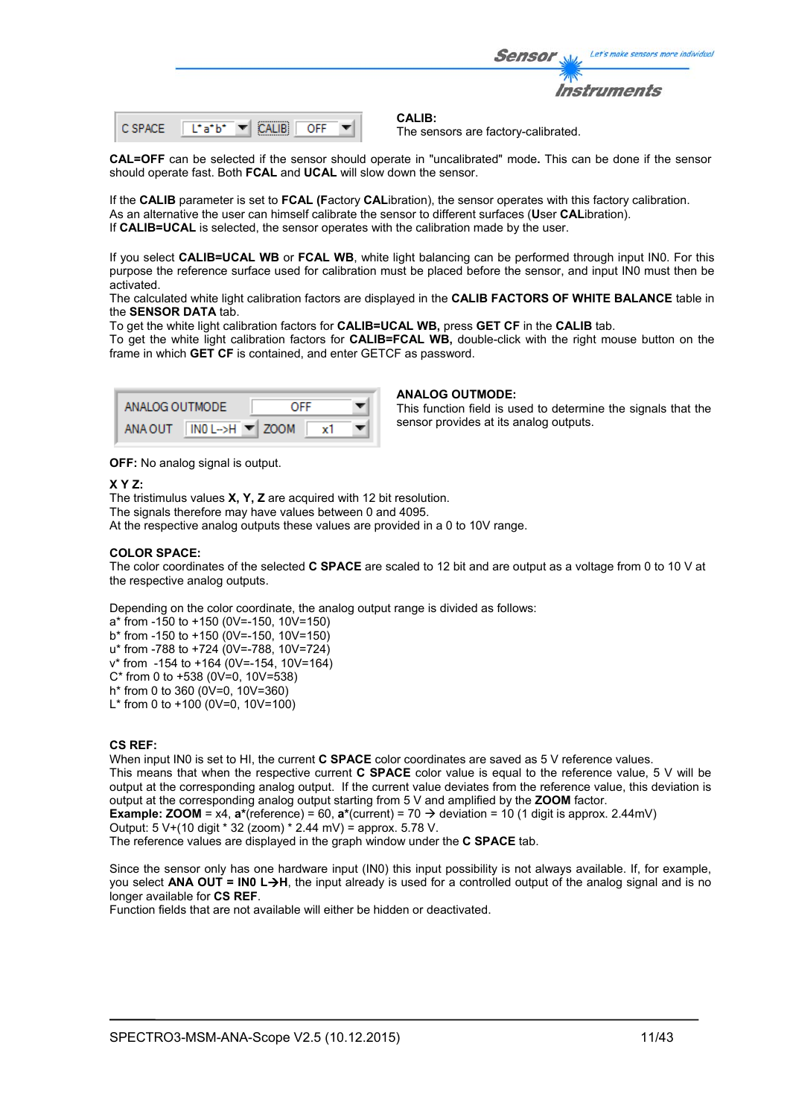|         |                | Let's make sensors more individual<br><b>Sensor</b>  |
|---------|----------------|------------------------------------------------------|
|         |                | <i><b>Instruments</b></i>                            |
| C SPACE | Liaibi.<br>OFF | <b>CALIB:</b><br>The sensors are factory-calibrated. |

**CAL=OFF** can be selected if the sensor should operate in "uncalibrated" mode**.** This can be done if the sensor should operate fast. Both **FCAL** and **UCAL** will slow down the sensor.

If the **CALIB** parameter is set to **FCAL (F**actory **CAL**ibration), the sensor operates with this factory calibration. As an alternative the user can himself calibrate the sensor to different surfaces (**U**ser **CAL**ibration). If **CALIB=UCAL** is selected, the sensor operates with the calibration made by the user.

If you select **CALIB=UCAL WB** or **FCAL WB**, white light balancing can be performed through input IN0. For this purpose the reference surface used for calibration must be placed before the sensor, and input IN0 must then be activated.

The calculated white light calibration factors are displayed in the **CALIB FACTORS OF WHITE BALANCE** table in the **SENSOR DATA** tab.

To get the white light calibration factors for **CALIB=UCAL WB,** press **GET CF** in the **CALIB** tab.

To get the white light calibration factors for **CALIB=FCAL WB,** double-click with the right mouse button on the frame in which **GET CF** is contained, and enter GETCF as password.

| ANALOG OUTMODE |                                       | OFF |  |
|----------------|---------------------------------------|-----|--|
| ANA OUT        | $INO$ L->H $\blacktriangleright$ ZOOM |     |  |

#### **ANALOG OUTMODE:**

This function field is used to determine the signals that the sensor provides at its analog outputs.

**OFF:** No analog signal is output.

#### **X Y Z:**

The tristimulus values **X, Y, Z** are acquired with 12 bit resolution. The signals therefore may have values between 0 and 4095. At the respective analog outputs these values are provided in a 0 to 10V range.

### **COLOR SPACE:**

The color coordinates of the selected **C SPACE** are scaled to 12 bit and are output as a voltage from 0 to 10 V at the respective analog outputs.

Depending on the color coordinate, the analog output range is divided as follows:

a\* from -150 to +150 (0V=-150, 10V=150)

b\* from -150 to +150 (0V=-150, 10V=150)

u\* from -788 to +724 (0V=-788, 10V=724) v\* from -154 to +164 (0V=-154, 10V=164)

C\* from 0 to +538 (0V=0, 10V=538)

h\* from 0 to 360 (0V=0, 10V=360) L<sup>\*</sup> from 0 to +100 (0V=0, 10V=100)

### **CS REF:**

When input IN0 is set to HI, the current **C SPACE** color coordinates are saved as 5 V reference values. This means that when the respective current **C SPACE** color value is equal to the reference value, 5 V will be output at the corresponding analog output. If the current value deviates from the reference value, this deviation is output at the corresponding analog output starting from 5 V and amplified by the **ZOOM** factor.

**Example: <b>ZOOM** = x4,  $a^*(reference) = 60$ ,  $a^*(current) = 70 \rightarrow deviation = 10 (1 digit is approx. 2.44mV)$ 

Output: 5 V+(10 digit \* 32 (zoom) \* 2.44 mV) = approx. 5.78 V.

The reference values are displayed in the graph window under the **C SPACE** tab.

Since the sensor only has one hardware input (IN0) this input possibility is not always available. If, for example, you select **ANA OUT = IN0 LH**, the input already is used for a controlled output of the analog signal and is no longer available for **CS REF**.

Function fields that are not available will either be hidden or deactivated.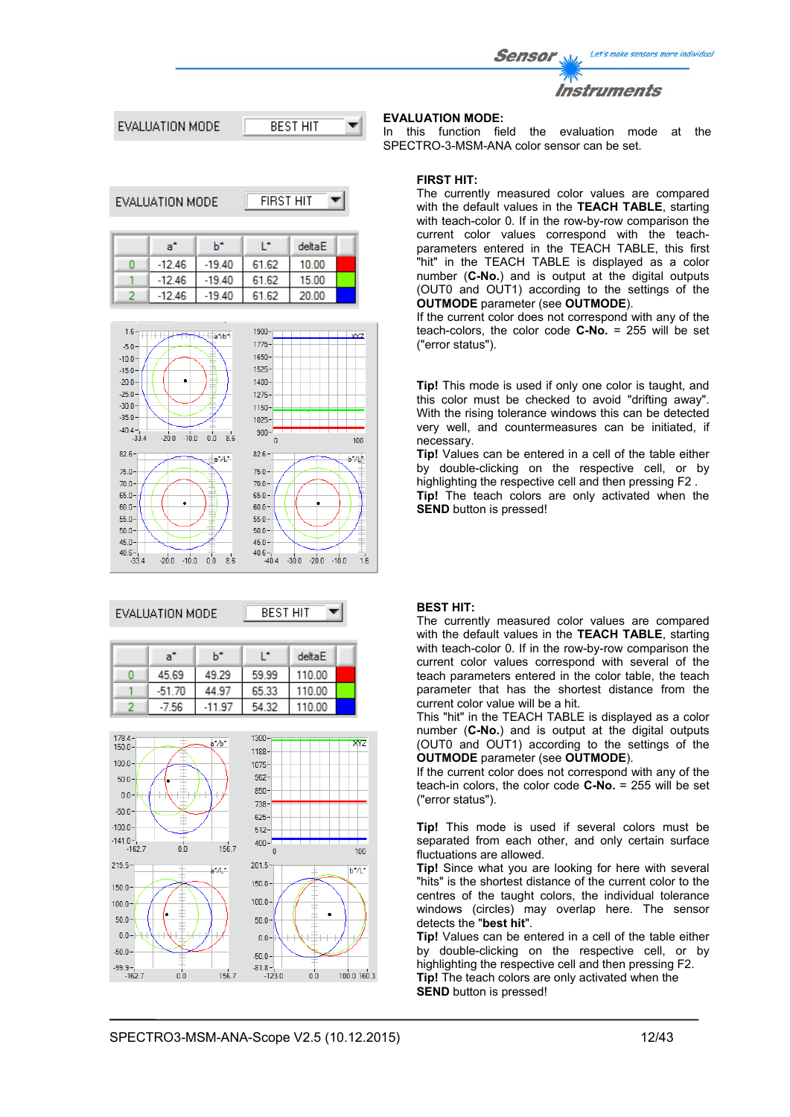Let's make sensors more individual Sensor





 $\sim$   $\sim$   $\sim$   $\sim$ 

| EVALUATION MODE |          |          | FIRST HIT |        |  |
|-----------------|----------|----------|-----------|--------|--|
|                 | a"       | ь÷       | œ         | deltaE |  |
|                 | $-12.46$ | $-19.40$ | 61.62     | 10.00  |  |
|                 | $-12.46$ | $-19.40$ | 61.62     | 15.00  |  |
|                 | $-12.46$ | $-19.40$ | 61.62     | 20.00  |  |



## EVALUATION MODE



| -a°      | h*    |       | deltaE |  |
|----------|-------|-------|--------|--|
| 45.69    | 49.29 | 59.99 | 110.00 |  |
| $-51.70$ |       | 65.33 | 110.00 |  |
| -56      |       |       | 1በ በበ  |  |



## **EVALUATION MODE:**

In this function field the evaluation mode at the SPECTRO-3-MSM-ANA color sensor can be set.

### **FIRST HIT:**

The currently measured color values are compared with the default values in the **TEACH TABLE**, starting with teach-color 0. If in the row-by-row comparison the current color values correspond with the teachparameters entered in the TEACH TABLE, this first "hit" in the TEACH TABLE is displayed as a color number (**C-No.**) and is output at the digital outputs (OUT0 and OUT1) according to the settings of the **OUTMODE** parameter (see **OUTMODE**).

If the current color does not correspond with any of the teach-colors, the color code **C-No.** = 255 will be set ("error status").

**Tip!** This mode is used if only one color is taught, and this color must be checked to avoid "drifting away". With the rising tolerance windows this can be detected very well, and countermeasures can be initiated, if necessary.

**Tip!** Values can be entered in a cell of the table either by double-clicking on the respective cell, or by highlighting the respective cell and then pressing F2 . **Tip!** The teach colors are only activated when the **SEND** button is pressed!

### **BEST HIT:**

The currently measured color values are compared with the default values in the **TEACH TABLE**, starting with teach-color 0. If in the row-by-row comparison the current color values correspond with several of the teach parameters entered in the color table, the teach parameter that has the shortest distance from the current color value will be a hit.

This "hit" in the TEACH TABLE is displayed as a color number (**C-No.**) and is output at the digital outputs (OUT0 and OUT1) according to the settings of the **OUTMODE** parameter (see **OUTMODE**).

If the current color does not correspond with any of the teach-in colors, the color code **C-No.** = 255 will be set ("error status").

**Tip!** This mode is used if several colors must be separated from each other, and only certain surface fluctuations are allowed.

**Tip!** Since what you are looking for here with several "hits" is the shortest distance of the current color to the centres of the taught colors, the individual tolerance windows (circles) may overlap here. The sensor detects the "**best hit**".

**Tip!** Values can be entered in a cell of the table either by double-clicking on the respective cell, or by highlighting the respective cell and then pressing F2. **Tip!** The teach colors are only activated when the **SEND** button is pressed!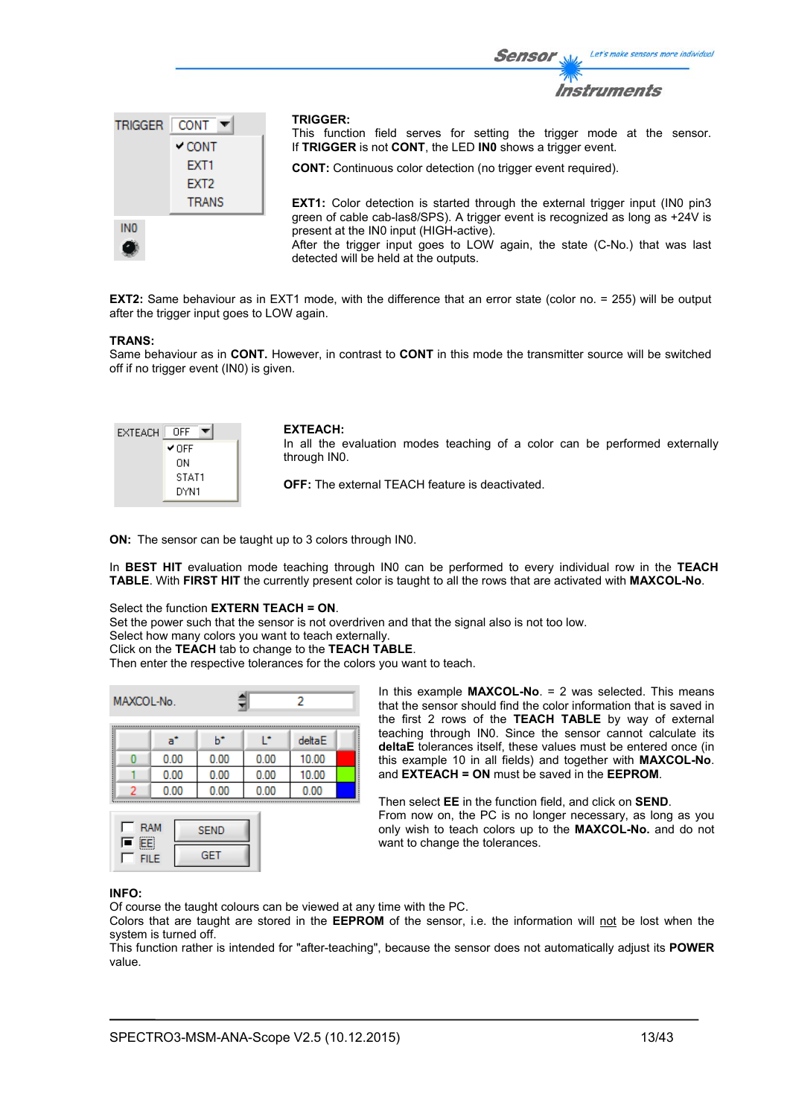

**EXT2:** Same behaviour as in EXT1 mode, with the difference that an error state (color no. = 255) will be output after the trigger input goes to LOW again.

#### **TRANS:**

Same behaviour as in **CONT.** However, in contrast to **CONT** in this mode the transmitter source will be switched off if no trigger event (IN0) is given.

| EXTEACH | OFF   |
|---------|-------|
|         | ✔ OFF |
|         | OΝ    |
|         | STAT1 |
|         | DYN1  |

#### **EXTEACH:**

In all the evaluation modes teaching of a color can be performed externally through IN0.

Sensor

**OFF:** The external TEACH feature is deactivated.

**ON:** The sensor can be taught up to 3 colors through IN0.

In **BEST HIT** evaluation mode teaching through IN0 can be performed to every individual row in the **TEACH TABLE**. With **FIRST HIT** the currently present color is taught to all the rows that are activated with **MAXCOL-No**.

## Select the function **EXTERN TEACH = ON**.

Set the power such that the sensor is not overdriven and that the signal also is not too low.

Select how many colors you want to teach externally.

Click on the **TEACH** tab to change to the **TEACH TABLE**.

Then enter the respective tolerances for the colors you want to teach.

| MAXCOL-No. |  |      |      |      | 2      |  |
|------------|--|------|------|------|--------|--|
|            |  | a°   | ь    | r    | deltaE |  |
|            |  | 0.00 | 0.00 | 0.00 | 10.00  |  |
|            |  | 0.00 | 0.00 | 0.00 | 10.00  |  |
|            |  | 0.00 | 0.00 | 0.00 | 0.00   |  |



In this example **MAXCOL-No**. = 2 was selected. This means that the sensor should find the color information that is saved in the first 2 rows of the **TEACH TABLE** by way of external teaching through IN0. Since the sensor cannot calculate its **deltaE** tolerances itself, these values must be entered once (in this example 10 in all fields) and together with **MAXCOL-No**. and **EXTEACH = ON** must be saved in the **EEPROM**.

Then select **EE** in the function field, and click on **SEND**. From now on, the PC is no longer necessary, as long as you only wish to teach colors up to the **MAXCOL-No.** and do not want to change the tolerances.

#### **INFO:**

Of course the taught colours can be viewed at any time with the PC.

Colors that are taught are stored in the **EEPROM** of the sensor, i.e. the information will not be lost when the system is turned off.

This function rather is intended for "after-teaching", because the sensor does not automatically adjust its **POWER** value.

Let's make sensors more individual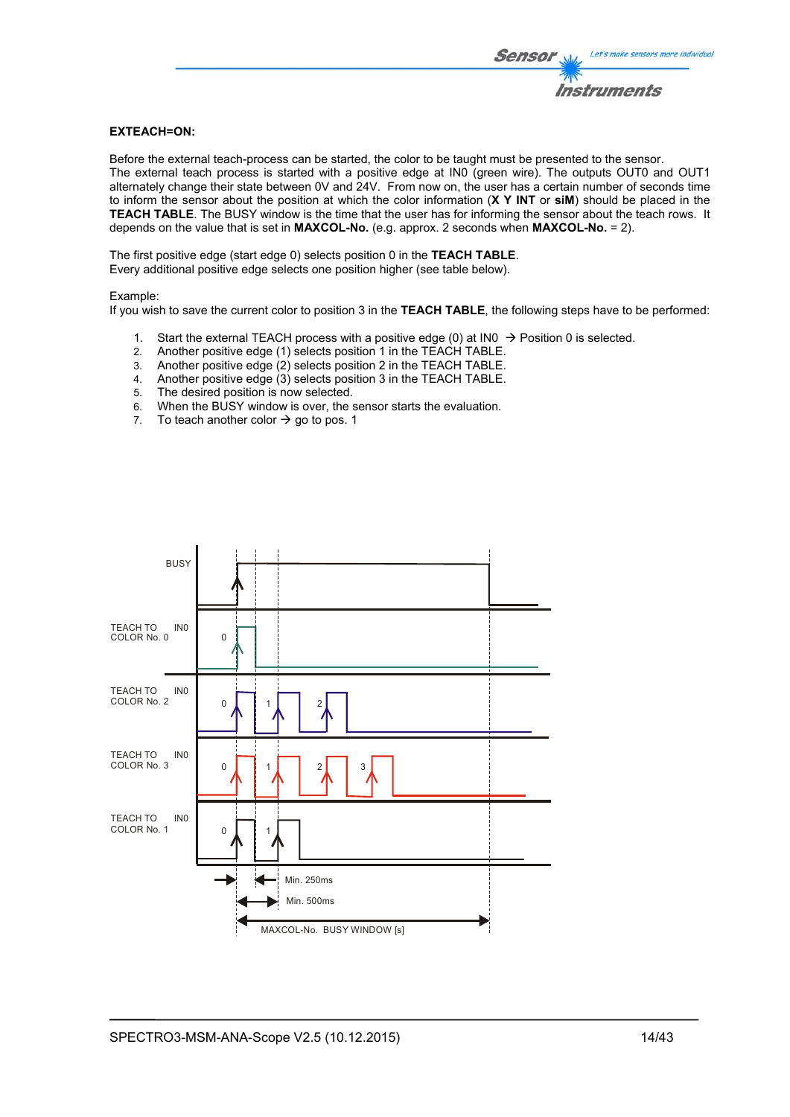## **EXTEACH=ON:**

Before the external teach-process can be started, the color to be taught must be presented to the sensor. The external teach process is started with a positive edge at IN0 (green wire). The outputs OUT0 and OUT1 alternately change their state between 0V and 24V. From now on, the user has a certain number of seconds time to inform the sensor about the position at which the color information (**X Y INT** or **siM**) should be placed in the **TEACH TABLE**. The BUSY window is the time that the user has for informing the sensor about the teach rows. It depends on the value that is set in **MAXCOL-No.** (e.g. approx. 2 seconds when **MAXCOL-No.** = 2).

The first positive edge (start edge 0) selects position 0 in the **TEACH TABLE**. Every additional positive edge selects one position higher (see table below).

#### Example:

If you wish to save the current color to position 3 in the **TEACH TABLE**, the following steps have to be performed:

- 1. Start the external TEACH process with a positive edge (0) at INO  $\rightarrow$  Position 0 is selected.
- 2. Another positive edge (1) selects position 1 in the TEACH TABLE.
- 3. Another positive edge (2) selects position 2 in the TEACH TABLE.
- 4. Another positive edge (3) selects position 3 in the TEACH TABLE.
- 5. The desired position is now selected.
- 6. When the BUSY window is over, the sensor starts the evaluation.
- 7. To teach another color  $\rightarrow$  go to pos. 1

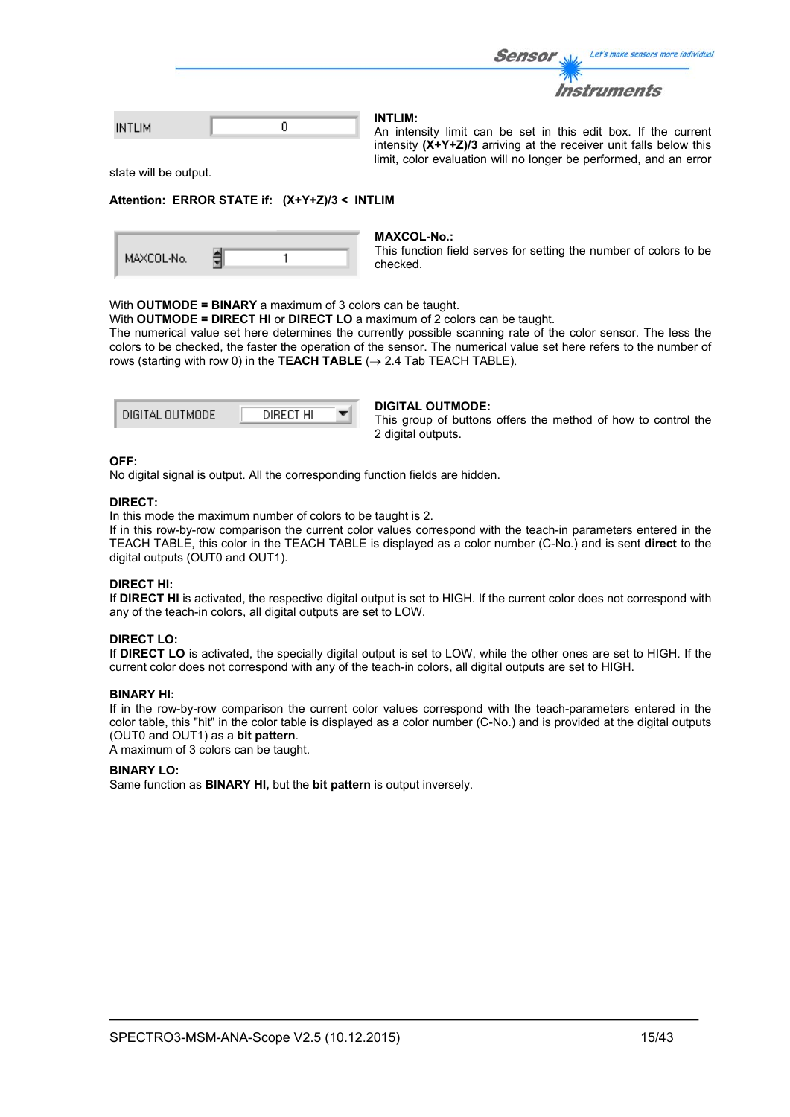|               |  | Sensor W<br>Let's make sensors more individual                            |
|---------------|--|---------------------------------------------------------------------------|
|               |  | Instruments                                                               |
| <b>INTLIM</b> |  | INTLIM:<br>An intensity limit can be set in this edit box. If the current |
|               |  | intensity $(X+Y+Z)/3$ arriving at the receiver unit falls below this      |

state will be output.

#### **Attention: ERROR STATE if: (X+Y+Z)/3 < INTLIM**

|  | MAXCOL-No. |  |  |  |
|--|------------|--|--|--|
|--|------------|--|--|--|

#### **MAXCOL-No.:**

This function field serves for setting the number of colors to be checked.

limit, color evaluation will no longer be performed, and an error

#### With **OUTMODE = BINARY** a maximum of 3 colors can be taught.

With **OUTMODE = DIRECT HI** or **DIRECT LO** a maximum of 2 colors can be taught.

The numerical value set here determines the currently possible scanning rate of the color sensor. The less the colors to be checked, the faster the operation of the sensor. The numerical value set here refers to the number of rows (starting with row 0) in the **TEACH TABLE**  $(\rightarrow 2.4$  Tab TEACH TABLE).

| DIGITAL OUTMODE | DIRECT HI |  |
|-----------------|-----------|--|
|                 |           |  |

#### **DIGITAL OUTMODE:**

This group of buttons offers the method of how to control the 2 digital outputs.

#### **OFF:**

No digital signal is output. All the corresponding function fields are hidden.

#### **DIRECT:**

In this mode the maximum number of colors to be taught is 2.

If in this row-by-row comparison the current color values correspond with the teach-in parameters entered in the TEACH TABLE, this color in the TEACH TABLE is displayed as a color number (C-No.) and is sent **direct** to the digital outputs (OUT0 and OUT1).

#### **DIRECT HI:**

If **DIRECT HI** is activated, the respective digital output is set to HIGH. If the current color does not correspond with any of the teach-in colors, all digital outputs are set to LOW.

#### **DIRECT LO:**

If **DIRECT LO** is activated, the specially digital output is set to LOW, while the other ones are set to HIGH. If the current color does not correspond with any of the teach-in colors, all digital outputs are set to HIGH.

#### **BINARY HI:**

If in the row-by-row comparison the current color values correspond with the teach-parameters entered in the color table, this "hit" in the color table is displayed as a color number (C-No.) and is provided at the digital outputs (OUT0 and OUT1) as a **bit pattern**.

A maximum of 3 colors can be taught.

#### **BINARY LO:**

Same function as **BINARY HI,** but the **bit pattern** is output inversely.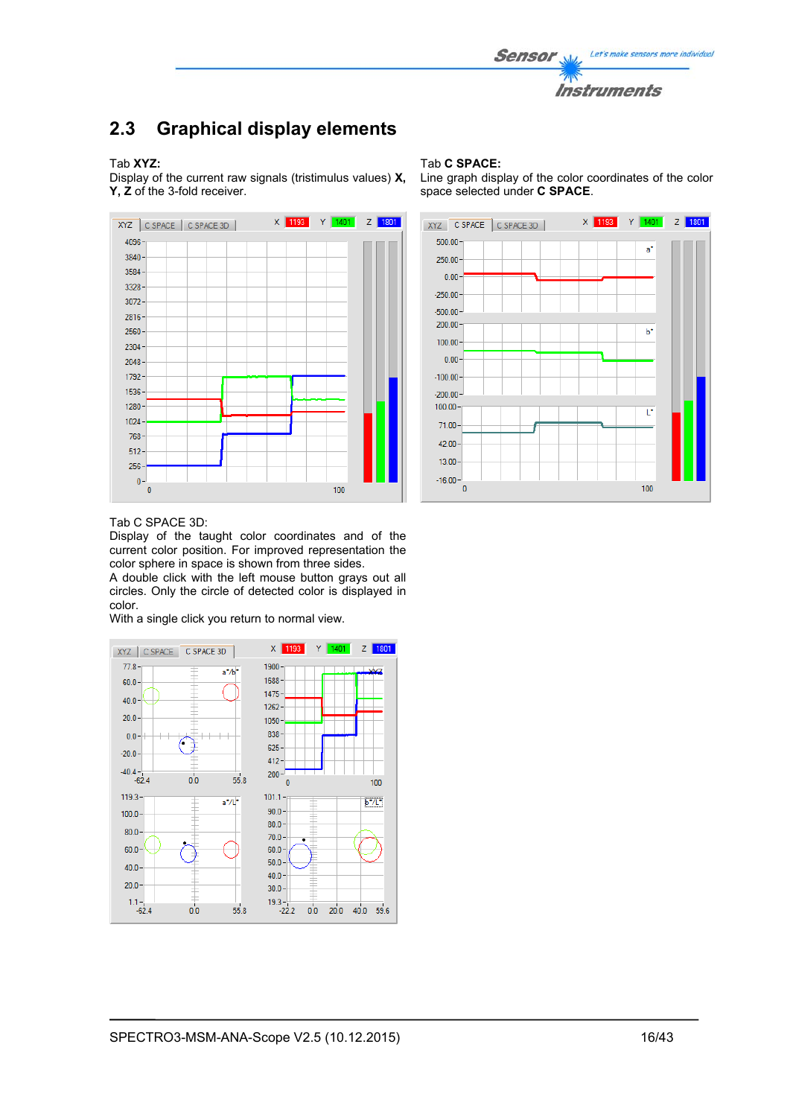

## **2.3 Graphical display elements**

### Tab **XYZ:**

Display of the current raw signals (tristimulus values) **X, Y, Z** of the 3-fold receiver.



#### Tab **C SPACE:**

Line graph display of the color coordinates of the color space selected under **C SPACE**.



#### Tab C SPACE 3D:

Display of the taught color coordinates and of the current color position. For improved representation the color sphere in space is shown from three sides.

A double click with the left mouse button grays out all circles. Only the circle of detected color is displayed in color.

With a single click you return to normal view.

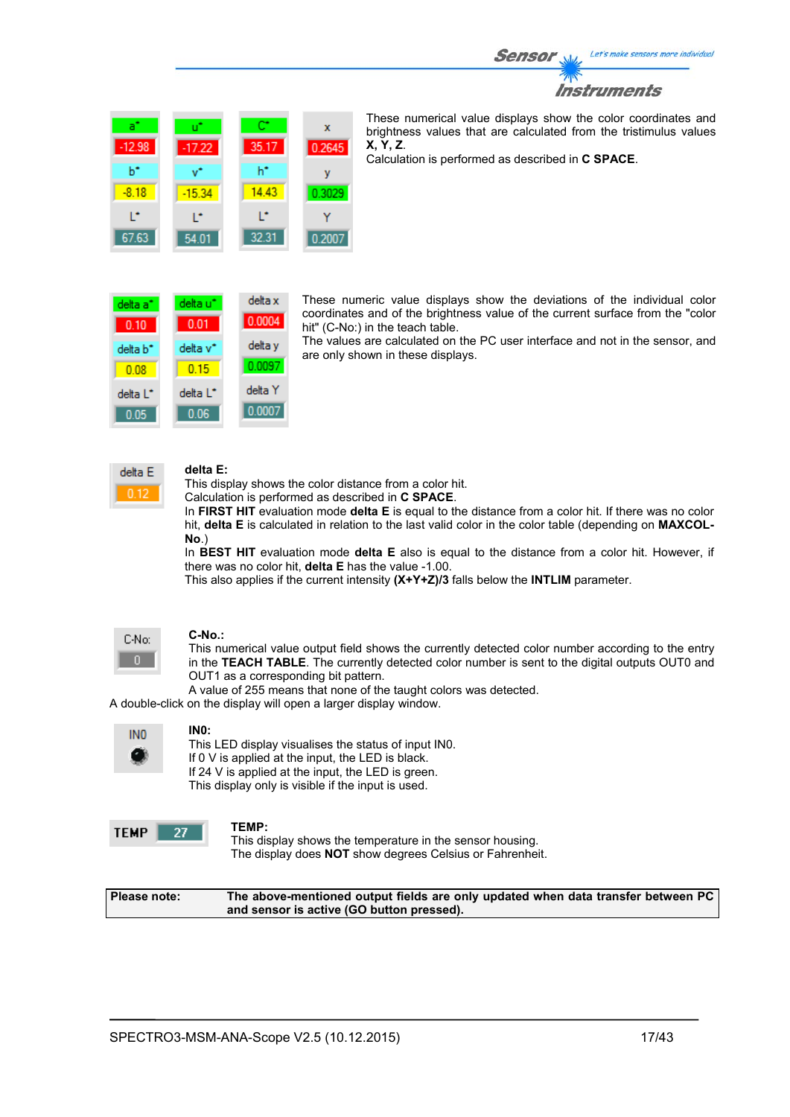

| a°<br>$-12.98$ | υĩ<br>$-17.22$ | œ<br>35.17 | x<br>0.2645 |
|----------------|----------------|------------|-------------|
| ь÷             | $\mathbf{v}$   | h*         | ٧           |
| $-8.18$        | $-15.34$       | 14.43      | 0.3029      |
| r              | r              | r          |             |
| 67.63          | 54.01          | 32.31      | 0.2007      |

These numerical value displays show the color coordinates and brightness values that are calculated from the tristimulus values **X, Y, Z**.

Calculation is performed as described in **C SPACE**.

delta x delta a\* delta u\* 0.0004  $0.10$  $0.01$ delta v\* delta v delta b<sup>\*</sup>  $0.15$ 0.0097  $0.08$ delta Y delta L\* delta L\* 0.0007  $0.06$  $0.05$ 

These numeric value displays show the deviations of the individual color coordinates and of the brightness value of the current surface from the "color hit" (C-No:) in the teach table.

The values are calculated on the PC user interface and not in the sensor, and are only shown in these displays.



## **delta E:**

This display shows the color distance from a color hit.

Calculation is performed as described in **C SPACE**.

In **FIRST HIT** evaluation mode **delta E** is equal to the distance from a color hit. If there was no color hit, **delta E** is calculated in relation to the last valid color in the color table (depending on **MAXCOL-No**.)

In **BEST HIT** evaluation mode **delta E** also is equal to the distance from a color hit. However, if there was no color hit, **delta E** has the value -1.00.

This also applies if the current intensity **(X+Y+Z)/3** falls below the **INTLIM** parameter.



#### **C-No.:**

This numerical value output field shows the currently detected color number according to the entry in the **TEACH TABLE**. The currently detected color number is sent to the digital outputs OUT0 and OUT1 as a corresponding bit pattern.

A value of 255 means that none of the taught colors was detected.

A double-click on the display will open a larger display window.

| INO |  |
|-----|--|
|     |  |

#### **IN0:**

This LED display visualises the status of input IN0. If 0 V is applied at the input, the LED is black. If 24 V is applied at the input, the LED is green. This display only is visible if the input is used.

| F.<br>ы |  |
|---------|--|
|         |  |

**TEMP:**  This display shows the temperature in the sensor housing. The display does **NOT** show degrees Celsius or Fahrenheit.

| Please note: | The above-mentioned output fields are only updated when data transfer between PC |
|--------------|----------------------------------------------------------------------------------|
|              | and sensor is active (GO button pressed).                                        |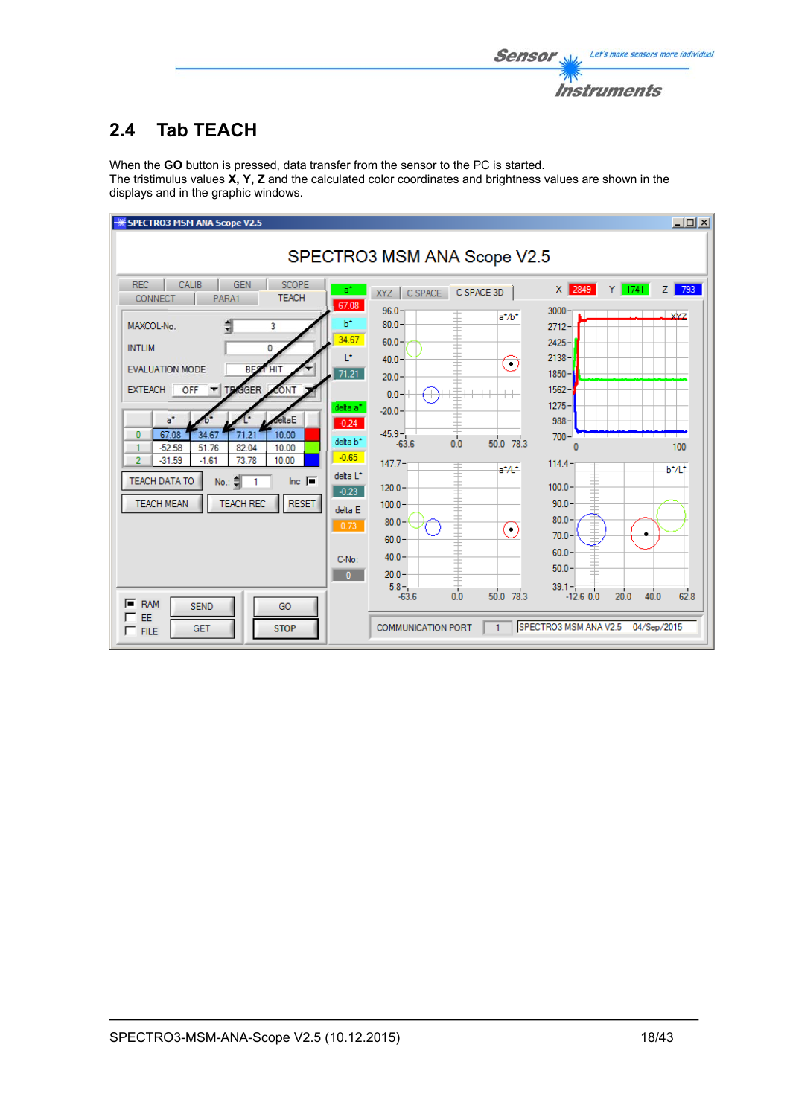

## **2.4 Tab TEACH**

When the **GO** button is pressed, data transfer from the sensor to the PC is started. The tristimulus values **X, Y, Z** and the calculated color coordinates and brightness values are shown in the displays and in the graphic windows.

| <b>SPECTRO3 MSM ANA Scope V2.5</b>                                                                                                                                                                                                                                                                                                                                                                                                                                                                                                                                                                                                                                                                                                                                                    |                                                                                                                                                                                                                                                                                                                                                       | $\Box$                                                                                                                                                                                                                                                                                                                                     |  |  |  |  |  |  |
|---------------------------------------------------------------------------------------------------------------------------------------------------------------------------------------------------------------------------------------------------------------------------------------------------------------------------------------------------------------------------------------------------------------------------------------------------------------------------------------------------------------------------------------------------------------------------------------------------------------------------------------------------------------------------------------------------------------------------------------------------------------------------------------|-------------------------------------------------------------------------------------------------------------------------------------------------------------------------------------------------------------------------------------------------------------------------------------------------------------------------------------------------------|--------------------------------------------------------------------------------------------------------------------------------------------------------------------------------------------------------------------------------------------------------------------------------------------------------------------------------------------|--|--|--|--|--|--|
| SPECTRO3 MSM ANA Scope V2.5                                                                                                                                                                                                                                                                                                                                                                                                                                                                                                                                                                                                                                                                                                                                                           |                                                                                                                                                                                                                                                                                                                                                       |                                                                                                                                                                                                                                                                                                                                            |  |  |  |  |  |  |
| CALIB<br><b>SCOPE</b><br><b>REC</b><br><b>GEN</b><br>$a^*$<br><b>TEACH</b><br>CONNECT<br>PARA1<br>67.08<br>P.<br>3<br>MAXCOL-No.<br>34.67<br><b>INTLIM</b><br>$\mathbf{0}$<br>L*<br><b>EVALUATION MODE</b><br><b>BES</b><br><b>HIT</b><br>71.21<br>OFF<br><b>TEXGGER</b><br><b>EXTEACH</b><br>CONT<br>delta a <sup>*</sup><br>eltaE<br>$a^*$<br>$-0.24$<br>67.08<br>10.00<br>34.67<br>$\bf{0}$<br>71.21<br>delta b <sup>*</sup><br>82.04<br>$-52.58$<br>51.76<br>10.00<br>$-0.65$<br>$-31.59$<br>73.78<br>$\overline{2}$<br>$-1.61$<br>10.00<br>delta L <sup>*</sup><br>Inc. $\blacksquare$<br><b>TEACH DATA TO</b><br>No.: 흑<br>$-0.23$<br><b>TEACH MEAN</b><br><b>TEACH REC</b><br><b>RESET</b><br>delta E<br>0.73<br>C-No:<br>$\mathbf{0}$<br>ஈ<br><b>RAM</b><br><b>SEND</b><br>GO | C SPACE<br>C SPACE 3D<br>XYZ<br>96.0<br>$a^* / b^*$<br>$80.0 -$<br>$60.0 -$<br>$40.0 -$<br>۰<br>$20.0 -$<br>$0.0 -$<br>$-20.0 -$<br>$-45.9 -$<br>$50.0$ 78.3<br>0.0<br>$-63.6$<br>$147.7 -$<br>$a^*$ /L <sup>*</sup><br>$120.0 -$<br>$100.0 -$<br>$80.0 -$<br>$(\cdot)$<br>$60.0 -$<br>$40.0 -$<br>$20.0 -$<br>$5.8 -$<br>0.0<br>50.0 78.3<br>$-63.6$ | 793<br>X 2849<br>$Y$ 1741<br>zΙ<br>3000<br><b>YYZ</b><br>$2712 -$<br>$2425 -$<br>$2138 -$<br>$1850 -$<br>$1562 -$<br>$1275 -$<br>$988 -$<br>$700 -$<br>100<br>114.4<br>$b^*$ /L <sup>*</sup><br>$100.0 -$<br>$90.0 -$<br>80.0 <sub>1</sub><br>70.0 <sub>1</sub><br>$60.0 -$<br>$50.0 -$<br>$39.1 -$<br>62.8<br>40.0<br>20.0<br>$-12.6$ 0.0 |  |  |  |  |  |  |
| EE<br><b>STOP</b><br><b>GET</b><br>$\Gamma$ FILE                                                                                                                                                                                                                                                                                                                                                                                                                                                                                                                                                                                                                                                                                                                                      | <b>COMMUNICATION PORT</b><br>1                                                                                                                                                                                                                                                                                                                        | SPECTRO3 MSM ANA V2.5<br>04/Sep/2015                                                                                                                                                                                                                                                                                                       |  |  |  |  |  |  |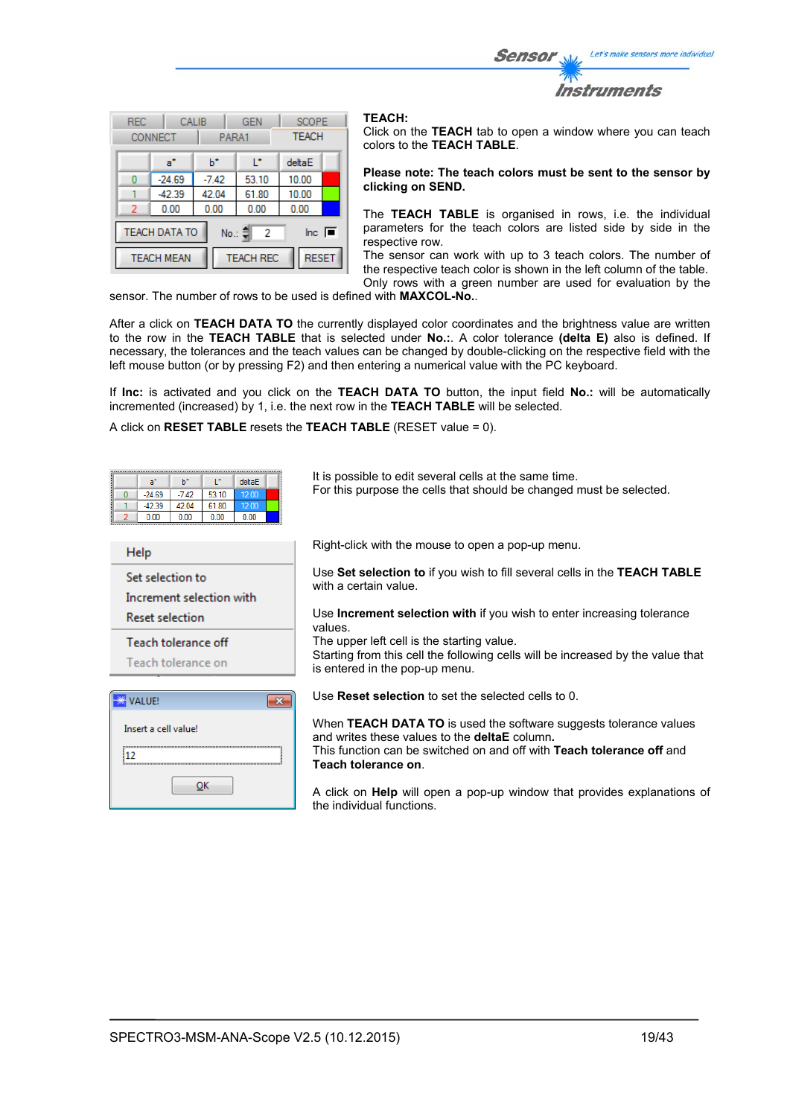Let's make sensors more individual Sensor Instruments

| <b>REC</b>                                                                                 | <b>CONNECT</b> | <b>GEN</b><br>PARA1 |       | CALIB  |  | <b>SCOPE</b><br><b>TEACH</b> |  |
|--------------------------------------------------------------------------------------------|----------------|---------------------|-------|--------|--|------------------------------|--|
|                                                                                            | a*             | ь                   | r     | deltaE |  |                              |  |
| Ω                                                                                          | $-24.69$       | $-7.42$             | 53.10 | 10.00  |  |                              |  |
|                                                                                            | $-42.39$       | 42.04               | 61.80 | 10.00  |  |                              |  |
| 2                                                                                          | 0.00           | 0.00                | 0.00  | 0.00   |  |                              |  |
| <b>TEACH DATA TO</b><br>$\overline{\mathsf{Inc}}$ $\overline{\blacksquare}$<br>No.: 이<br>2 |                |                     |       |        |  |                              |  |
| <b>RESET</b><br><b>TEACH REC</b><br><b>TEACH MEAN</b>                                      |                |                     |       |        |  |                              |  |

#### **TEACH:**

Click on the **TEACH** tab to open a window where you can teach colors to the **TEACH TABLE**.

#### **Please note: The teach colors must be sent to the sensor by clicking on SEND.**

The **TEACH TABLE** is organised in rows, i.e. the individual parameters for the teach colors are listed side by side in the respective row.

The sensor can work with up to 3 teach colors. The number of the respective teach color is shown in the left column of the table. Only rows with a green number are used for evaluation by the

sensor. The number of rows to be used is defined with **MAXCOL-No.**.

After a click on **TEACH DATA TO** the currently displayed color coordinates and the brightness value are written to the row in the **TEACH TABLE** that is selected under **No.:**. A color tolerance **(delta E)** also is defined. If necessary, the tolerances and the teach values can be changed by double-clicking on the respective field with the left mouse button (or by pressing F2) and then entering a numerical value with the PC keyboard.

If **Inc:** is activated and you click on the **TEACH DATA TO** button, the input field **No.:** will be automatically incremented (increased) by 1, i.e. the next row in the **TEACH TABLE** will be selected.

A click on **RESET TABLE** resets the **TEACH TABLE** (RESET value = 0).

|    | a*                       | $b^*$   | L.    | deltaE       | It is possible to edit several cells at the same time.                                                                    |
|----|--------------------------|---------|-------|--------------|---------------------------------------------------------------------------------------------------------------------------|
|    | $-24.69$                 | $-7.42$ | 53.10 | 12.00        | For this purpose the cells that should be changed must be selected.                                                       |
|    | $-42.39$                 | 42.04   | 61.80 | 12.00        |                                                                                                                           |
|    | 0.00                     | 0.00    | 0.00  | 0.00         |                                                                                                                           |
|    |                          |         |       |              |                                                                                                                           |
|    | Help                     |         |       |              | Right-click with the mouse to open a pop-up menu.                                                                         |
|    |                          |         |       |              |                                                                                                                           |
|    | Set selection to         |         |       |              | Use Set selection to if you wish to fill several cells in the TEACH TABLE<br>with a certain value.                        |
|    | Increment selection with |         |       |              |                                                                                                                           |
|    | <b>Reset selection</b>   |         |       |              | Use <b>Increment selection with</b> if you wish to enter increasing tolerance<br>values.                                  |
|    | Teach tolerance off      |         |       |              | The upper left cell is the starting value.                                                                                |
|    |                          |         |       |              | Starting from this cell the following cells will be increased by the value that                                           |
|    | Teach tolerance on       |         |       |              | is entered in the pop-up menu.                                                                                            |
|    |                          |         |       |              |                                                                                                                           |
|    | <b>VALUE!</b>            |         |       | $\mathbf{x}$ | Use <b>Reset selection</b> to set the selected cells to 0.                                                                |
|    | Insert a cell value!     |         |       |              | When TEACH DATA TO is used the software suggests tolerance values<br>and writes these values to the <b>deltaE</b> column. |
| 12 |                          |         |       |              | This function can be switched on and off with <b>Teach tolerance off</b> and<br>Teach tolerance on.                       |
|    |                          |         |       |              |                                                                                                                           |

A click on **Help** will open a pop-up window that provides explanations of the individual functions.

 $QK$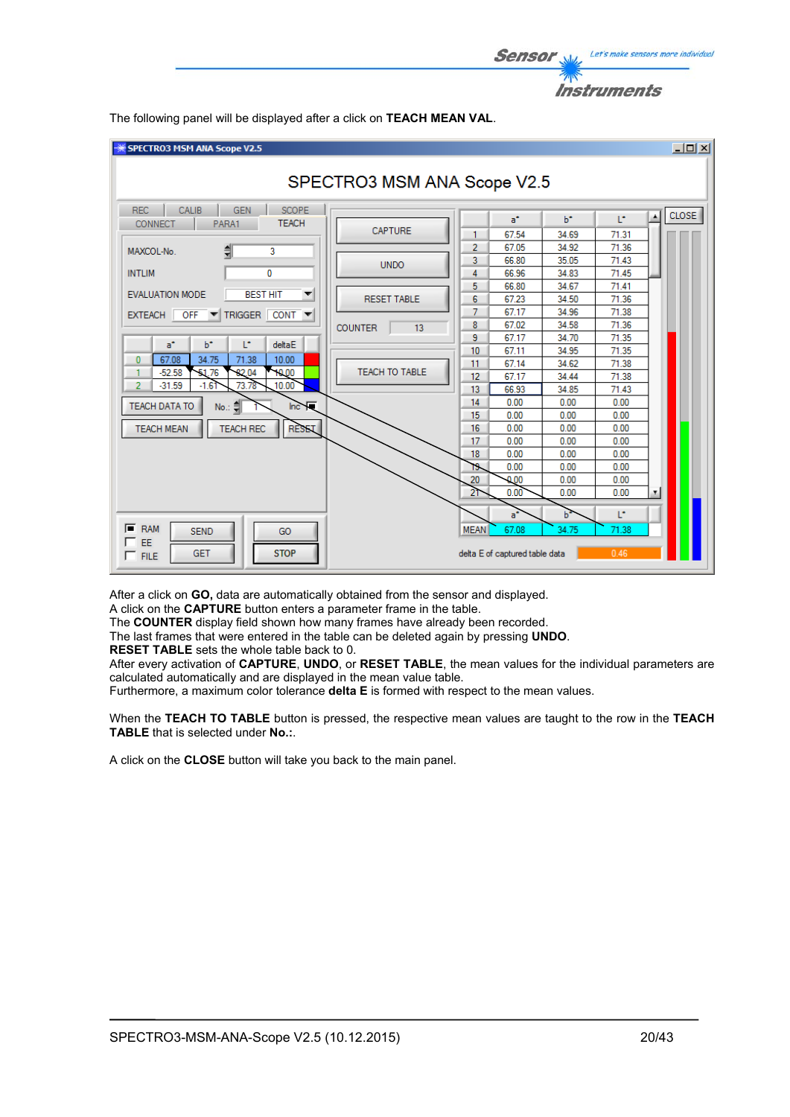

 $-10x$ SPECTRO3 MSM ANA Scope V2.5 SPECTRO3 MSM ANA Scope V2.5 REC CALIB GEN SCOPE **CLOSE**  $\blacktriangle$  $\mathsf{b}^{\star}$ T.  $a^*$ CONNECT | PARA1 **TEACH** CAPTURE 67.54 34.69 71.31 1.  $\overline{2}$ 67.05 34.92 71.36 MAXCOL-No. 릨 ä 3 66.80 35.05 71.43 **UNDO INTLIM**  $\overline{0}$ **ae aa** 34.83  $71.45$  $\Delta$  $5<sub>1</sub>$ 66.80 34.67 71.41 **EVALUATION MODE BEST HIT**  $\overline{\mathbf{v}}$ **RESET TABLE** 67.23 34.50  $71.36$ 6 7 67.17 34.96  $71.38$ EXTEACH OFF TRIGGER CONT  $\overline{\phantom{a}}$ 67.02 34.58  $71.36$  $\overline{8}$ **COUNTER**  $\overline{13}$ 9 67.17 34.70 71.35  $a^*$  $h^*$ T. deltaE  $10$ 34.95 71.35 67.11  $10.00$  $\mathbf{0}$  $67.08$ 34.75 71.38  $11$ 67.14 34.62 71.38 TEACH TO TABLE  $-52.58$  $\overline{51}$  $\overline{76}$ 82.04 10.00 1  $12$  $67.17$ 34.44 71.38 73.78  $10.00$  $-31.59$  $\overline{2}$  $-161$  $13<sub>1</sub>$ 66.93 34.85 71.43  $14$  $0.00$  $0.00$  $0.00$ TEACH DATA TO No. ᆌ  $lnc$   $\sqrt{ }$  $0.00$  $0.00$  $0.00$ 15 **RESET**  $0.00$  $0.00$ **TEACH MEAN TEACH REC** 16  $0.00$  $0.00$ 17  $0.00$  $0.00$  $0.00$  $0.00$ 18  $0.00$  $0.00$  $0.00$ 19  $0.00$  $0.00$  $0.00$  $0.00$ 20  $0.00$  $0.00$  $0.00$ 21.  $\mathbf{b}^*$ Ľ, a.  $F$  RAM **MEAN** 67.08 **SEND** GO 34.75 71.3 EE **STOP** GFT delta E of captured table data  $\Gamma$  FILE

The following panel will be displayed after a click on **TEACH MEAN VAL**.

After a click on **GO,** data are automatically obtained from the sensor and displayed.

A click on the **CAPTURE** button enters a parameter frame in the table.

The **COUNTER** display field shown how many frames have already been recorded.

The last frames that were entered in the table can be deleted again by pressing **UNDO**.

**RESET TABLE** sets the whole table back to 0.

After every activation of **CAPTURE**, **UNDO**, or **RESET TABLE**, the mean values for the individual parameters are calculated automatically and are displayed in the mean value table.

Furthermore, a maximum color tolerance **delta E** is formed with respect to the mean values.

When the **TEACH TO TABLE** button is pressed, the respective mean values are taught to the row in the **TEACH TABLE** that is selected under **No.:**.

A click on the **CLOSE** button will take you back to the main panel.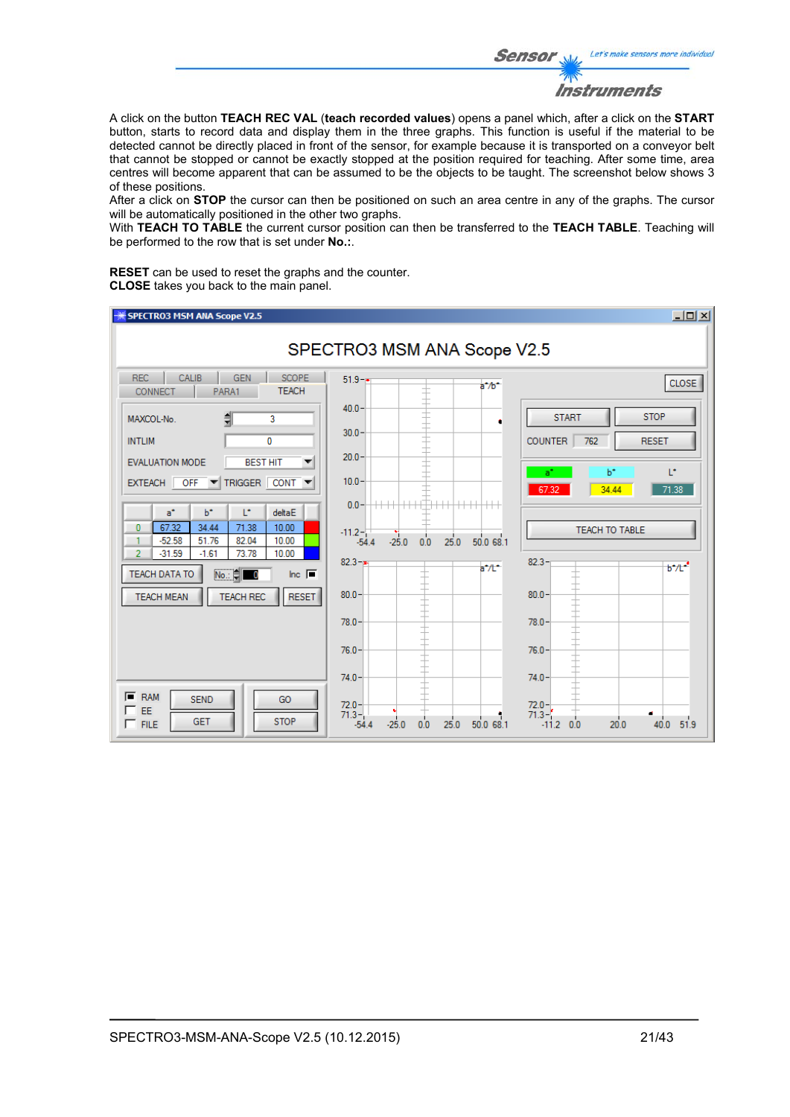Let's make sensors more individual **Sensor** Instruments

A click on the button **TEACH REC VAL** (**teach recorded values**) opens a panel which, after a click on the **START** button, starts to record data and display them in the three graphs. This function is useful if the material to be detected cannot be directly placed in front of the sensor, for example because it is transported on a conveyor belt that cannot be stopped or cannot be exactly stopped at the position required for teaching. After some time, area centres will become apparent that can be assumed to be the objects to be taught. The screenshot below shows 3 of these positions.

After a click on **STOP** the cursor can then be positioned on such an area centre in any of the graphs. The cursor will be automatically positioned in the other two graphs.

With **TEACH TO TABLE** the current cursor position can then be transferred to the **TEACH TABLE**. Teaching will be performed to the row that is set under **No.:**.

**RESET** can be used to reset the graphs and the counter. **CLOSE** takes you back to the main panel.

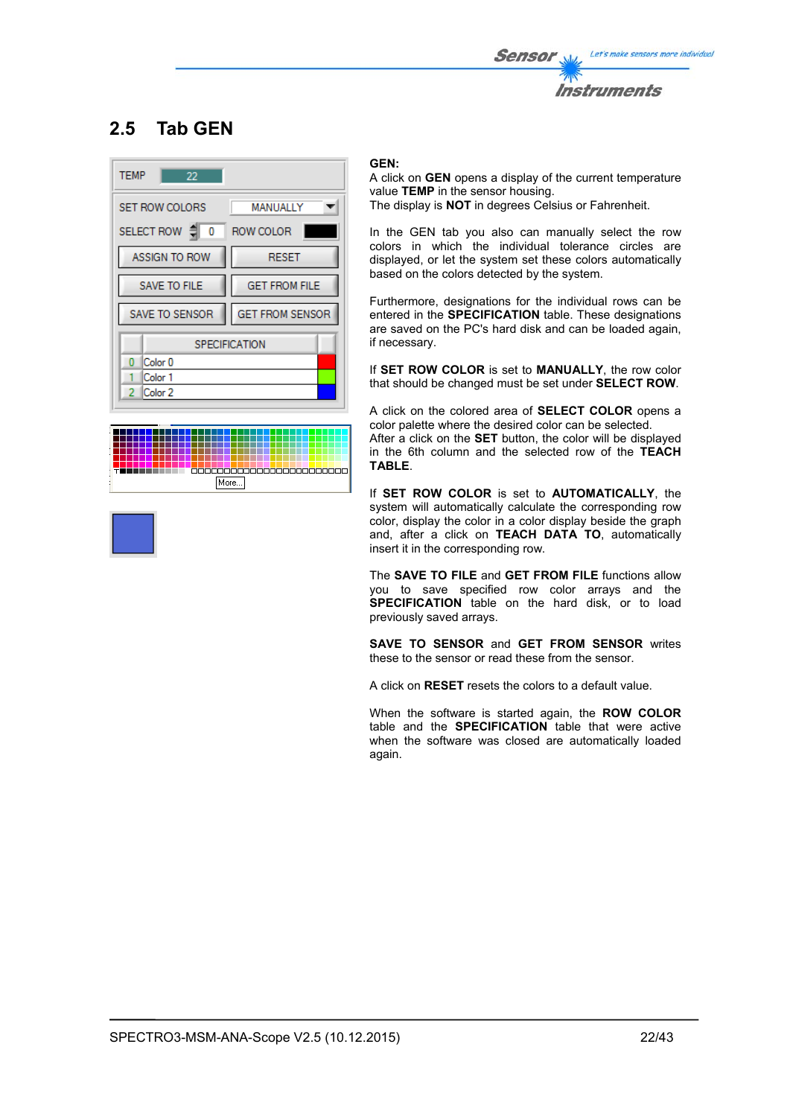

## **2.5 Tab GEN**





#### **GEN:**

A click on **GEN** opens a display of the current temperature value **TEMP** in the sensor housing. The display is **NOT** in degrees Celsius or Fahrenheit.

In the GEN tab you also can manually select the row colors in which the individual tolerance circles are displayed, or let the system set these colors automatically based on the colors detected by the system.

Furthermore, designations for the individual rows can be entered in the **SPECIFICATION** table. These designations are saved on the PC's hard disk and can be loaded again, if necessary.

If **SET ROW COLOR** is set to **MANUALLY**, the row color that should be changed must be set under **SELECT ROW**.

A click on the colored area of **SELECT COLOR** opens a color palette where the desired color can be selected.

After a click on the **SET** button, the color will be displayed in the 6th column and the selected row of the **TEACH TABLE**.

If **SET ROW COLOR** is set to **AUTOMATICALLY**, the system will automatically calculate the corresponding row color, display the color in a color display beside the graph and, after a click on **TEACH DATA TO**, automatically insert it in the corresponding row.

The **SAVE TO FILE** and **GET FROM FILE** functions allow you to save specified row color arrays and the **SPECIFICATION** table on the hard disk, or to load previously saved arrays.

**SAVE TO SENSOR** and **GET FROM SENSOR** writes these to the sensor or read these from the sensor.

A click on **RESET** resets the colors to a default value.

When the software is started again, the **ROW COLOR** table and the **SPECIFICATION** table that were active when the software was closed are automatically loaded again.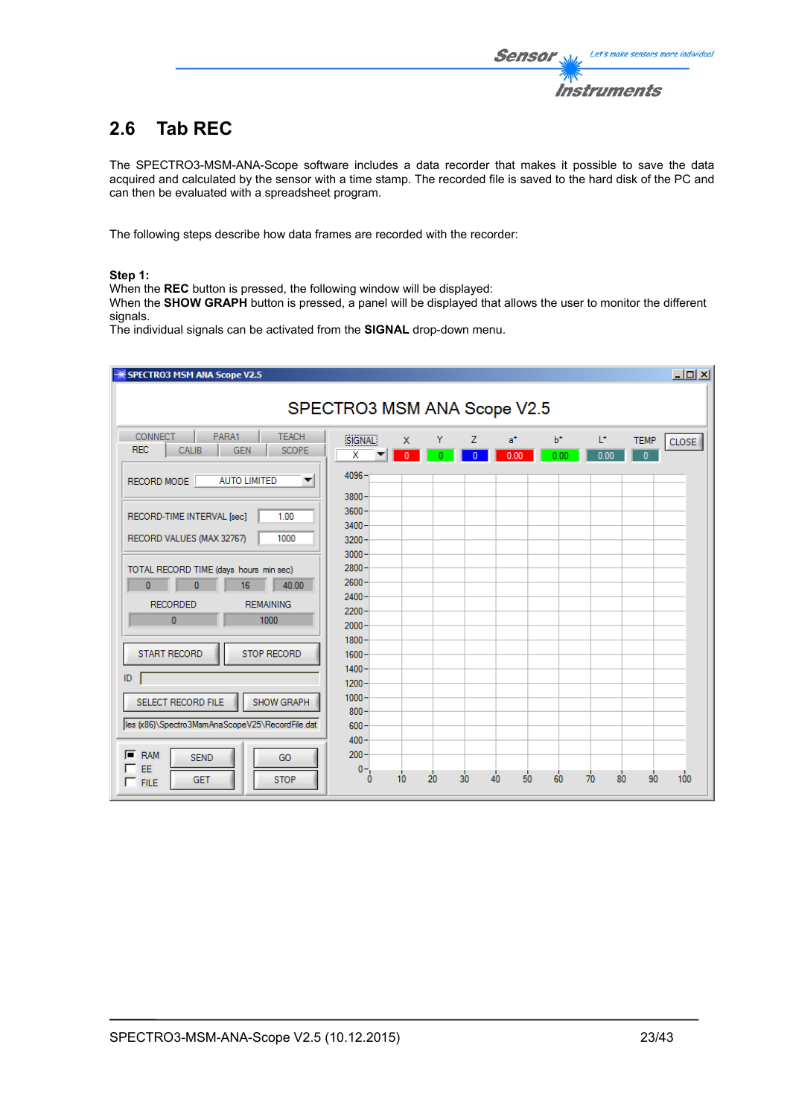## **2.6 Tab REC**

The SPECTRO3-MSM-ANA-Scope software includes a data recorder that makes it possible to save the data acquired and calculated by the sensor with a time stamp. The recorded file is saved to the hard disk of the PC and can then be evaluated with a spreadsheet program.

The following steps describe how data frames are recorded with the recorder:

### **Step 1:**

When the **REC** button is pressed, the following window will be displayed:

When the **SHOW GRAPH** button is pressed, a panel will be displayed that allows the user to monitor the different signals.

The individual signals can be activated from the **SIGNAL** drop-down menu.

| SPECTRO3 MSM ANA Scope V2.5                                                                                                                  |                                              |                 |    |    |            |               |                       | $-12X$                                      |
|----------------------------------------------------------------------------------------------------------------------------------------------|----------------------------------------------|-----------------|----|----|------------|---------------|-----------------------|---------------------------------------------|
| SPECTRO3 MSM ANA Scope V2.5                                                                                                                  |                                              |                 |    |    |            |               |                       |                                             |
| <b>CONNECT</b><br>PARA1<br><b>TEACH</b><br><b>REC</b><br>CALIB<br><b>GEN</b><br><b>SCOPE</b><br><b>AUTO LIMITED</b><br>RECORD MODE<br>▼      | SIGNAL<br>X<br>4096                          | X<br>$\sqrt{ }$ | Y  | z  | a*<br>0.00 | $b^*$<br>0.00 | L*<br>0.00            | <b>TEMP</b><br><b>CLOSE</b><br>$\mathbf{0}$ |
| 1.00<br>RECORD-TIME INTERVAL [sec]<br>1000<br>RECORD VALUES (MAX 32767)                                                                      | 3800<br>3600<br>3400<br>3200                 |                 |    |    |            |               |                       |                                             |
| TOTAL RECORD TIME (days hours min sec)<br>$\bf{0}$<br>40.00<br>$\mathbf{0}$<br>16<br><b>RECORDED</b><br><b>REMAINING</b><br>1000<br>$\bf{0}$ | 3000<br>2800<br>2600<br>2400<br>2200<br>2000 |                 |    |    |            |               |                       |                                             |
| <b>START RECORD</b><br>STOP RECORD<br>ID                                                                                                     | 1800<br>1600<br>1400<br>$1200 -$             |                 |    |    |            |               |                       |                                             |
| SELECT RECORD FILE<br>SHOW GRAPH<br>les (x86)\Spectro3MsmAnaScopeV25\RecordFile.dat                                                          | $1000 -$<br>800<br>$600 -$<br>$400 -$        |                 |    |    |            |               |                       |                                             |
| $F$ RAM<br><b>SEND</b><br>GO<br>EE<br>п<br><b>STOP</b><br><b>GET</b><br>$\Gamma$ FILE                                                        | $200 -$<br>$0 -$<br>$\sqrt{2}$               | 10              | 20 | 30 | 50<br>40   | 60            | $\overline{70}$<br>80 | 100<br>90                                   |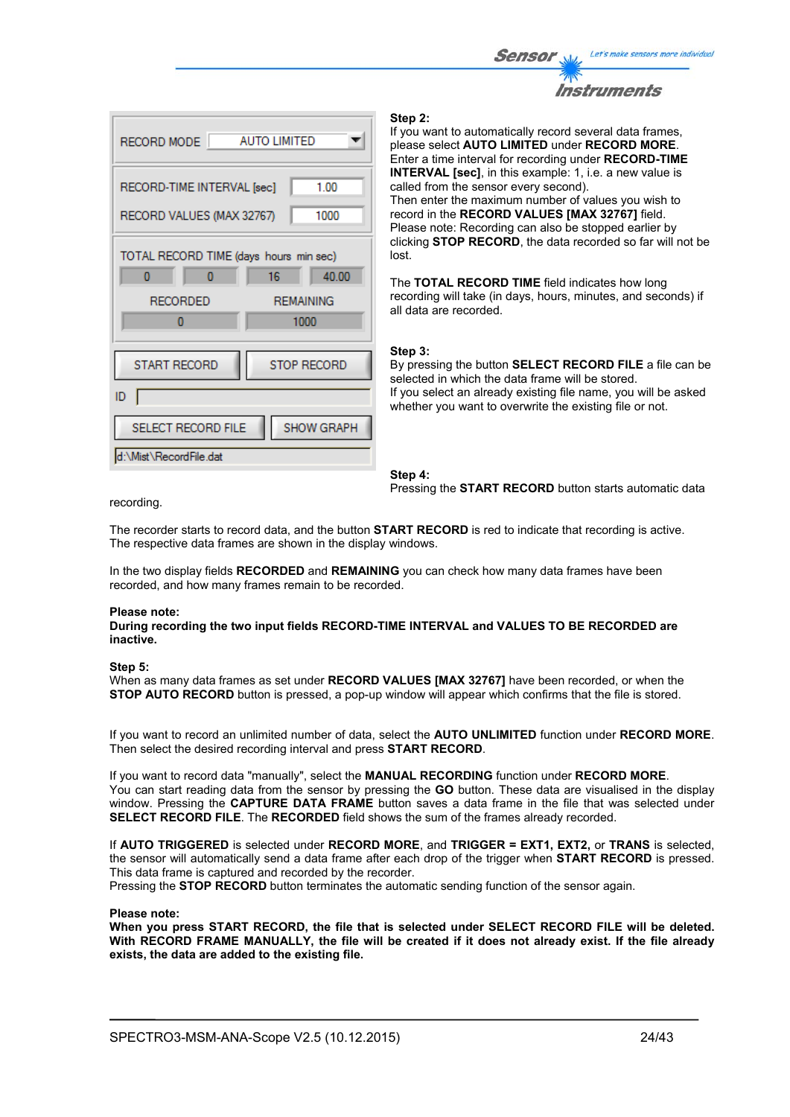



#### **Step 2:**

If you want to automatically record several data frames, please select **AUTO LIMITED** under **RECORD MORE**. Enter a time interval for recording under **RECORD-TIME INTERVAL [sec]**, in this example: 1, i.e. a new value is called from the sensor every second). Then enter the maximum number of values you wish to record in the **RECORD VALUES [MAX 32767]** field. Please note: Recording can also be stopped earlier by clicking **STOP RECORD**, the data recorded so far will not be lost.

The **TOTAL RECORD TIME** field indicates how long recording will take (in days, hours, minutes, and seconds) if all data are recorded.

#### **Step 3:**

By pressing the button **SELECT RECORD FILE** a file can be selected in which the data frame will be stored. If you select an already existing file name, you will be asked whether you want to overwrite the existing file or not.

**Step 4:**  Pressing the **START RECORD** button starts automatic data

recording.

The recorder starts to record data, and the button **START RECORD** is red to indicate that recording is active. The respective data frames are shown in the display windows.

In the two display fields **RECORDED** and **REMAINING** you can check how many data frames have been recorded, and how many frames remain to be recorded.

#### **Please note:**

**During recording the two input fields RECORD-TIME INTERVAL and VALUES TO BE RECORDED are inactive.**

#### **Step 5:**

When as many data frames as set under **RECORD VALUES [MAX 32767]** have been recorded, or when the **STOP AUTO RECORD** button is pressed, a pop-up window will appear which confirms that the file is stored.

If you want to record an unlimited number of data, select the **AUTO UNLIMITED** function under **RECORD MORE**. Then select the desired recording interval and press **START RECORD**.

If you want to record data "manually", select the **MANUAL RECORDING** function under **RECORD MORE**. You can start reading data from the sensor by pressing the **GO** button. These data are visualised in the display window. Pressing the **CAPTURE DATA FRAME** button saves a data frame in the file that was selected under **SELECT RECORD FILE**. The **RECORDED** field shows the sum of the frames already recorded.

If **AUTO TRIGGERED** is selected under **RECORD MORE**, and **TRIGGER = EXT1, EXT2,** or **TRANS** is selected, the sensor will automatically send a data frame after each drop of the trigger when **START RECORD** is pressed. This data frame is captured and recorded by the recorder.

Pressing the **STOP RECORD** button terminates the automatic sending function of the sensor again.

#### **Please note:**

**When you press START RECORD, the file that is selected under SELECT RECORD FILE will be deleted. With RECORD FRAME MANUALLY, the file will be created if it does not already exist. If the file already exists, the data are added to the existing file.**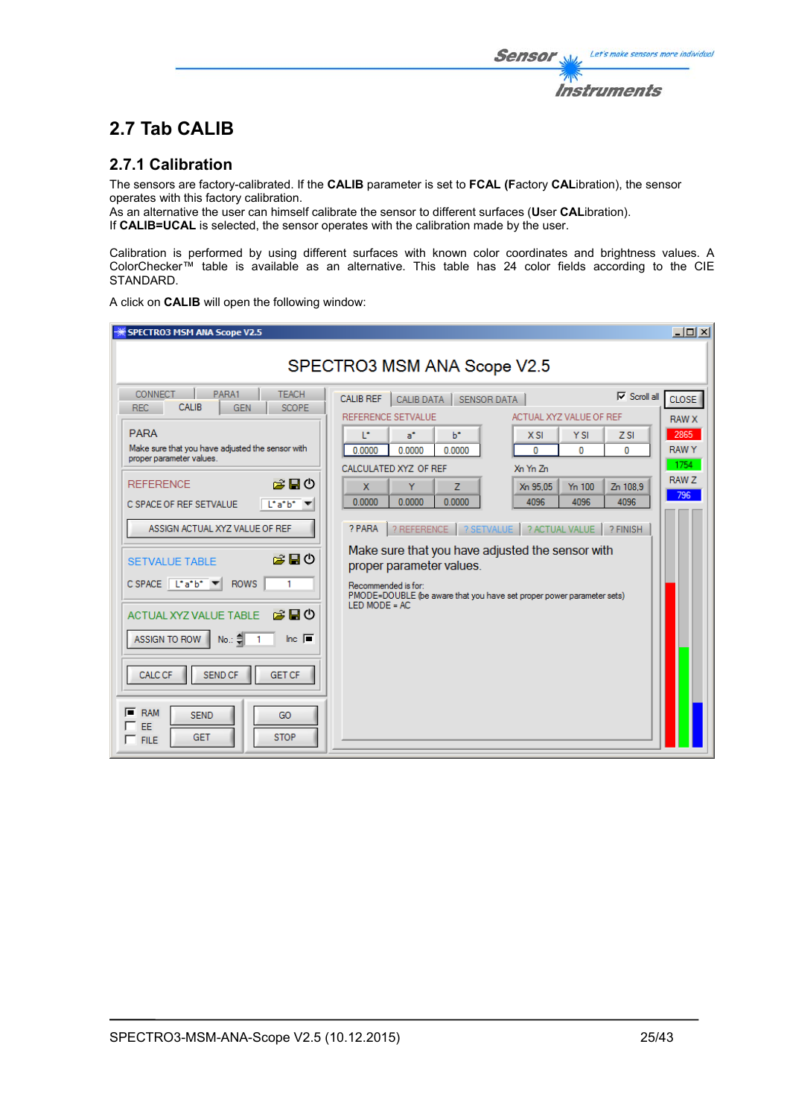The sensors are factory-calibrated. If the **CALIB** parameter is set to **FCAL (F**actory **CAL**ibration), the sensor operates with this factory calibration.

As an alternative the user can himself calibrate the sensor to different surfaces (**U**ser **CAL**ibration). If **CALIB=UCAL** is selected, the sensor operates with the calibration made by the user.

Calibration is performed by using different surfaces with known color coordinates and brightness values. A ColorChecker™ table is available as an alternative. This table has 24 color fields according to the CIE STANDARD.

A click on **CALIB** will open the following window:

| SPECTRO3 MSM ANA Scope V2.5                                                                                                                                                                                                                                                                                                                                                                                                                                                                   |                                                                                                                                                                                                                                                                                                                                                                                                                                                                                                                                                                                                                                                                                    | $ \Box$ $\times$                                                                 |  |  |  |  |  |
|-----------------------------------------------------------------------------------------------------------------------------------------------------------------------------------------------------------------------------------------------------------------------------------------------------------------------------------------------------------------------------------------------------------------------------------------------------------------------------------------------|------------------------------------------------------------------------------------------------------------------------------------------------------------------------------------------------------------------------------------------------------------------------------------------------------------------------------------------------------------------------------------------------------------------------------------------------------------------------------------------------------------------------------------------------------------------------------------------------------------------------------------------------------------------------------------|----------------------------------------------------------------------------------|--|--|--|--|--|
| SPECTRO3 MSM ANA Scope V2.5                                                                                                                                                                                                                                                                                                                                                                                                                                                                   |                                                                                                                                                                                                                                                                                                                                                                                                                                                                                                                                                                                                                                                                                    |                                                                                  |  |  |  |  |  |
| <b>CONNECT</b><br>PARA1<br><b>TEACH</b><br>CALIB<br><b>REC</b><br><b>GEN</b><br><b>SCOPE</b><br><b>PARA</b><br>Make sure that you have adjusted the sensor with<br>proper parameter values.<br>房間の<br><b>REFERENCE</b><br>Liatbi<br>C SPACE OF REF SETVALUE<br>ASSIGN ACTUAL XYZ VALUE OF REF<br>お目の<br><b>SETVALUE TABLE</b><br>$C$ SPACE $ $ L <sup>*</sup> a <sup>*</sup> b <sup>*</sup><br><b>ROWS</b><br>お問め<br><b>ACTUAL XYZ VALUE TABLE</b><br>$lnc$ $\Box$<br>ASSIGN TO ROW<br>No.: 예 | $\nabla$ Scroll all<br><b>CALIB REF</b><br><b>CALIB DATA</b><br><b>SENSOR DATA</b><br>REFERENCE SETVALUE<br>ACTUAL XYZ VALUE OF REF<br>T.<br>$a^*$<br>b*<br><b>YSI</b><br>$X$ SI<br>$Z$ SI<br>0.0000<br>0.0000<br>0.0000<br>o<br>o<br>0<br>CALCULATED XYZ OF REF<br>Xn Yn Zn<br>Y<br>$\mathbf{x}$<br>Z<br>Xn 95.05<br>Y <sub>n</sub> 100<br>Zn 108.9<br>0.0000<br>0.0000<br>4096<br>0.0000<br>4096<br>4096<br>? REFERENCE   ? SETVALUE   ? ACTUAL VALUE  <br>? PARA<br>? FINISH<br>Make sure that you have adjusted the sensor with<br>proper parameter values.<br>Recommended is for:<br>PMODE=DOUBLE (be aware that you have set proper power parameter sets)<br>$LED MODE = AC$ | CLOSE <sup></sup><br><b>RAW X</b><br>2865<br><b>RAWY</b><br>1754<br>RAW Z<br>796 |  |  |  |  |  |
| <b>SEND CF</b><br><b>CALC CF</b><br><b>GET CF</b><br>叵<br><b>RAM</b><br><b>SEND</b><br>GO<br>EE<br><b>STOP</b><br><b>GET</b><br>$\Gamma$ FILE                                                                                                                                                                                                                                                                                                                                                 |                                                                                                                                                                                                                                                                                                                                                                                                                                                                                                                                                                                                                                                                                    |                                                                                  |  |  |  |  |  |

Let's make sensors more individual

**Instruments** 

Sensor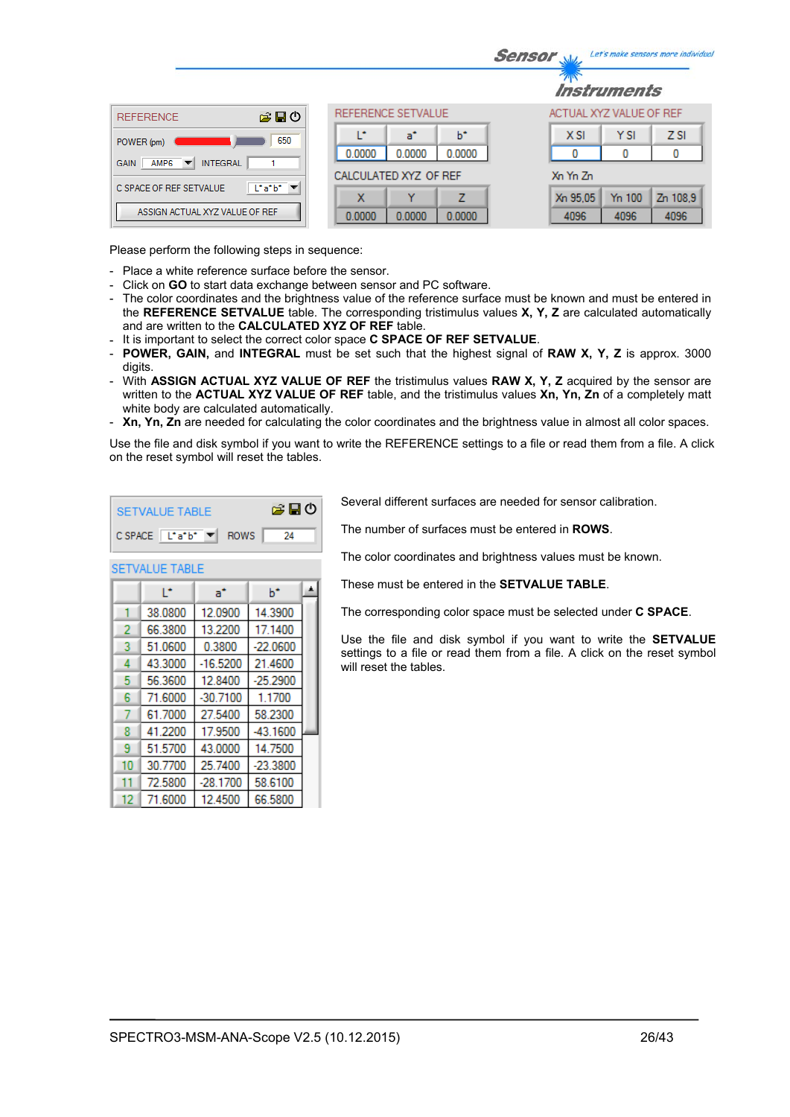|                                                                                |                            | Let's make sensors more individua<br><b>Sensor</b> |
|--------------------------------------------------------------------------------|----------------------------|----------------------------------------------------|
|                                                                                |                            | <i><b>Instruments</b></i>                          |
| 合日の<br><b>REFERENCE</b>                                                        | REFERENCE SETVALUE         | ACTUAL XYZ VALUE OF REF                            |
| 650<br>POWER (pm)                                                              | ь<br>œ<br>a*               | <b>YSI</b><br>Z <sub>SI</sub><br>$X$ SI            |
| <b>INTEGRAL</b><br>AMP <sub>6</sub><br><b>GAIN</b><br>$\overline{\phantom{a}}$ | 0.0000<br>0.0000<br>0.0000 | 0<br>0<br>0                                        |
|                                                                                | CALCULATED XYZ OF REF      | Xn Yn Zn                                           |
| $\lfloor \cdot a \cdot b \cdot \rfloor$<br>C SPACE OF REF SETVALUE             | 7<br>x<br>v                | Y <sub>n</sub> 100<br>Zn 108.9<br>Xn 95.05         |
| ASSIGN ACTUAL XYZ VALUE OF REF                                                 | 0.0000<br>0.0000<br>0.0000 | 4096<br>4096<br>4096                               |

Please perform the following steps in sequence:

- Place a white reference surface before the sensor.
- Click on **GO** to start data exchange between sensor and PC software.
- The color coordinates and the brightness value of the reference surface must be known and must be entered in the **REFERENCE SETVALUE** table. The corresponding tristimulus values **X, Y, Z** are calculated automatically and are written to the **CALCULATED XYZ OF REF** table.
- It is important to select the correct color space **C SPACE OF REF SETVALUE**.

A

 $h^*$ 

- **POWER, GAIN,** and **INTEGRAL** must be set such that the highest signal of **RAW X, Y, Z** is approx. 3000 digits.
- With **ASSIGN ACTUAL XYZ VALUE OF REF** the tristimulus values **RAW X, Y, Z** acquired by the sensor are written to the **ACTUAL XYZ VALUE OF REF** table, and the tristimulus values **Xn, Yn, Zn** of a completely matt white body are calculated automatically.
- **Xn, Yn, Zn** are needed for calculating the color coordinates and the brightness value in almost all color spaces.

Use the file and disk symbol if you want to write the REFERENCE settings to a file or read them from a file. A click on the reset symbol will reset the tables.

| SETVALUE TABLE                                                        | 第日の |
|-----------------------------------------------------------------------|-----|
| $C$ SPACE $\boxed{\begin{bmatrix} \bot^* a^* b^* \end{bmatrix}}$ ROWS | -24 |

 $a^*$ 

**SETVALUE TABLE** P.

Several different surfaces are needed for sensor calibration.

The number of surfaces must be entered in **ROWS**.

The color coordinates and brightness values must be known.

These must be entered in the **SETVALUE TABLE**.

The corresponding color space must be selected under **C SPACE**.

Use the file and disk symbol if you want to write the **SETVALUE** settings to a file or read them from a file. A click on the reset symbol will reset the tables.

|    | 38.0800 | 12.0900    | 14.3900    |  |
|----|---------|------------|------------|--|
| 2  | 66.3800 | 13.2200    | 17.1400    |  |
| 3  | 51.0600 | 0.3800     | $-22.0600$ |  |
| 4  | 43.3000 | $-16.5200$ | 21.4600    |  |
| 5  | 56.3600 | 12.8400    | $-25.2900$ |  |
| 6  | 71.6000 | $-30.7100$ | 1.1700     |  |
|    | 61.7000 | 27.5400    | 58.2300    |  |
| 8  | 41.2200 | 17.9500    | $-43.1600$ |  |
| 9  | 51.5700 | 43.0000    | 14.7500    |  |
| 10 | 30.7700 | 25.7400    | $-23.3800$ |  |
| 11 | 72.5800 | $-28.1700$ | 58.6100    |  |
| 12 | 71.6000 | 12.4500    | 66.5800    |  |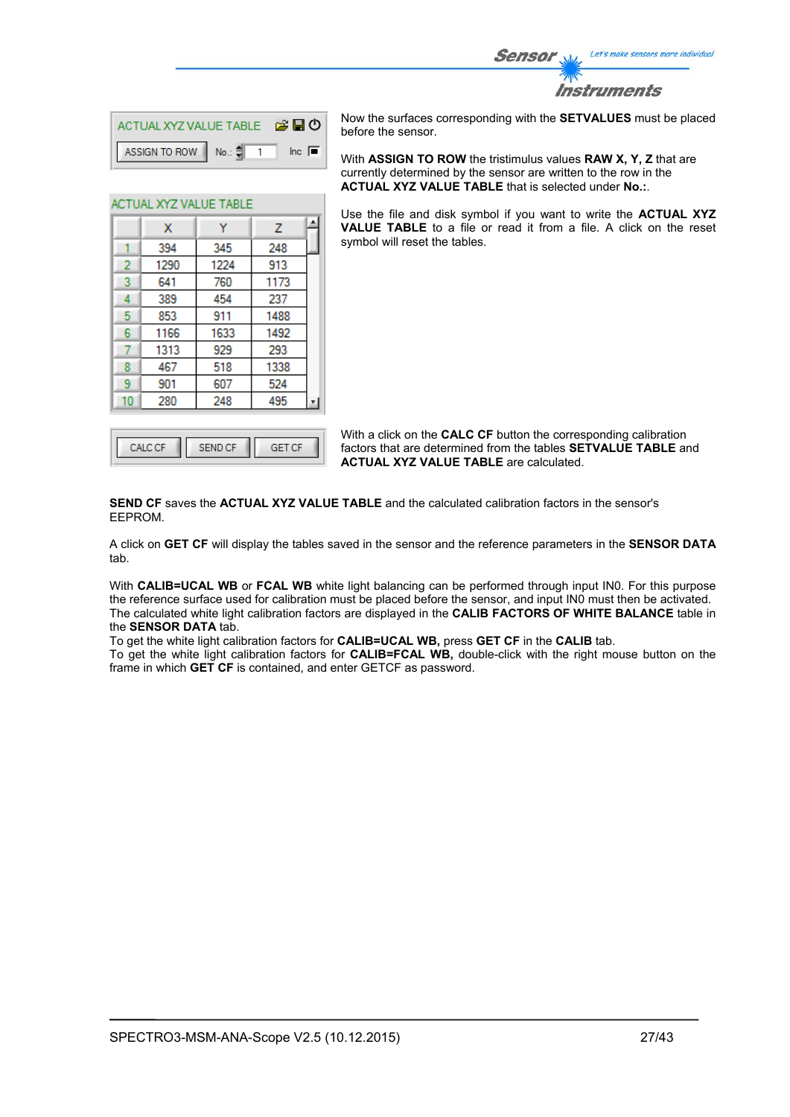

| ACTUAL XYZ VALUE TABLE <b>B B D</b> |  |                |
|-------------------------------------|--|----------------|
| ASSIGN TO ROW No.: $\frac{4}{3}$ 1  |  | $\ln c$ $\Box$ |

Ÿ

345

1224

760

454

911

1633

929

518

607

248

l۰

 $\overline{z}$ 

248

913

1173

237

1488

1492

293

1338

524

495

ACTUAL XYZ VALUE TABLE

 $\mathbf{x}$ 394

1290

641

389

853

1166

1313

467

901 280

1  $\overline{2}$ 

3

 $\overline{4}$ 

5

 $6\phantom{a}$ 

 $\overline{7}$ 

8

9

 $10<sub>1</sub>$ 

Now the surfaces corresponding with the **SETVALUES** must be placed before the sensor.

With **ASSIGN TO ROW** the tristimulus values **RAW X, Y, Z** that are currently determined by the sensor are written to the row in the **ACTUAL XYZ VALUE TABLE** that is selected under **No.:**.

Use the file and disk symbol if you want to write the **ACTUAL XYZ VALUE TABLE** to a file or read it from a file. A click on the reset symbol will reset the tables.

With a click on the **CALC CF** button the corresponding calibration factors that are determined from the tables **SETVALUE TABLE** and **ACTUAL XYZ VALUE TABLE** are calculated.

**SEND CF** saves the **ACTUAL XYZ VALUE TABLE** and the calculated calibration factors in the sensor's EEPROM.

A click on **GET CF** will display the tables saved in the sensor and the reference parameters in the **SENSOR DATA** tab.

With **CALIB=UCAL WB** or **FCAL WB** white light balancing can be performed through input IN0. For this purpose the reference surface used for calibration must be placed before the sensor, and input IN0 must then be activated. The calculated white light calibration factors are displayed in the **CALIB FACTORS OF WHITE BALANCE** table in the **SENSOR DATA** tab.

To get the white light calibration factors for **CALIB=UCAL WB,** press **GET CF** in the **CALIB** tab.

To get the white light calibration factors for **CALIB=FCAL WB,** double-click with the right mouse button on the frame in which **GET CF** is contained, and enter GETCF as password.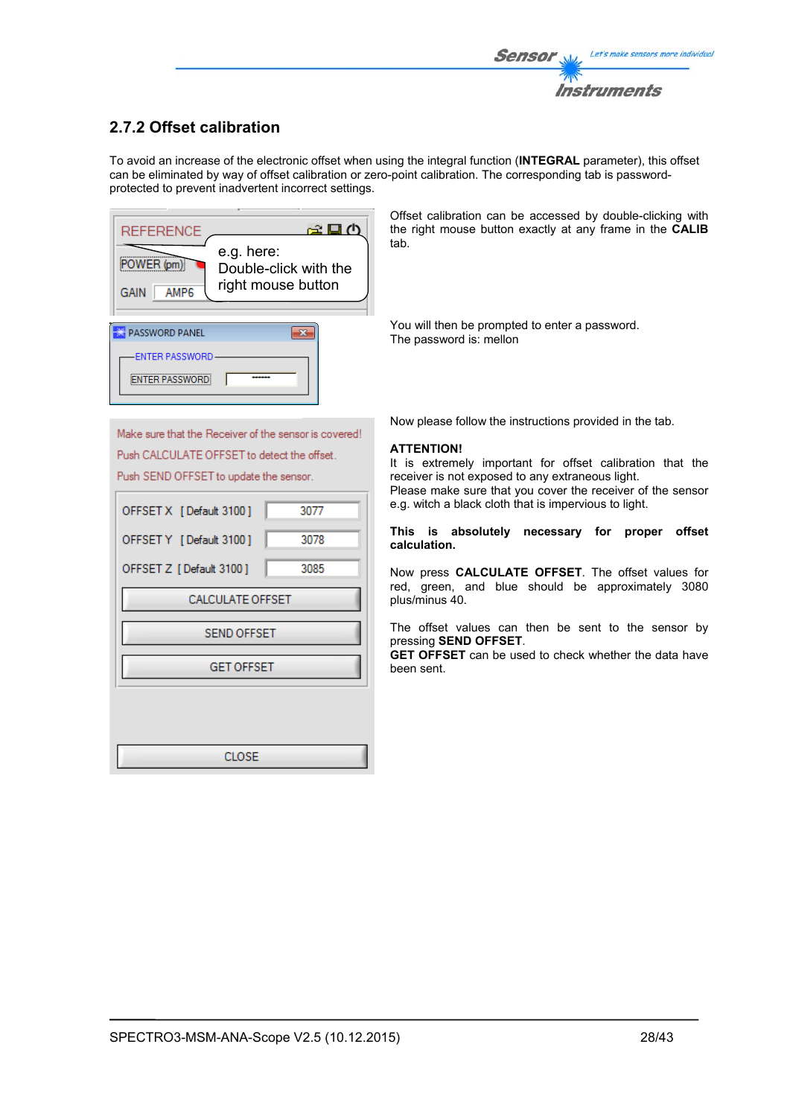## **2.7.2 Offset calibration**

To avoid an increase of the electronic offset when using the integral function (**INTEGRAL** parameter), this offset can be eliminated by way of offset calibration or zero-point calibration. The corresponding tab is passwordprotected to prevent inadvertent incorrect settings.

| REFERENCE                              | ∉⊡ ∆                                                      |
|----------------------------------------|-----------------------------------------------------------|
| POWER (pm)<br>AMP <sub>6</sub><br>GAIN | e.g. here:<br>Double-click with the<br>right mouse button |
|                                        |                                                           |
| <b>PASSWORD PANEL</b>                  |                                                           |
|                                        |                                                           |
| ENTER PASSWORD                         |                                                           |
| <b>ITER PASSWORD</b>                   |                                                           |

Offset calibration can be accessed by double-clicking with the right mouse button exactly at any frame in the **CALIB** tab.

You will then be prompted to enter a password. The password is: mellon

Make sure that the Receiver of the sensor is covered! Push CALCULATE OFFSET to detect the offset. Push SEND OFFSET to update the sensor.

| OFFSET X [Default 3100] | 3077 |  |  |  |  |  |  |  |
|-------------------------|------|--|--|--|--|--|--|--|
| OFFSET Y [Default 3100] | 3078 |  |  |  |  |  |  |  |
| OFFSET Z [Default 3100] | 3085 |  |  |  |  |  |  |  |
| CALCULATE OFFSET        |      |  |  |  |  |  |  |  |
| <b>SEND OFFSET</b>      |      |  |  |  |  |  |  |  |
| <b>GET OFFSET</b>       |      |  |  |  |  |  |  |  |
|                         |      |  |  |  |  |  |  |  |
|                         |      |  |  |  |  |  |  |  |
| CLOSE                   |      |  |  |  |  |  |  |  |

Now please follow the instructions provided in the tab.

### **ATTENTION!**

It is extremely important for offset calibration that the receiver is not exposed to any extraneous light. Please make sure that you cover the receiver of the sensor e.g. witch a black cloth that is impervious to light.

#### **This is absolutely necessary for proper offset calculation.**

Now press **CALCULATE OFFSET**. The offset values for red, green, and blue should be approximately 3080 plus/minus 40.

The offset values can then be sent to the sensor by pressing **SEND OFFSET**.

**GET OFFSET** can be used to check whether the data have been sent.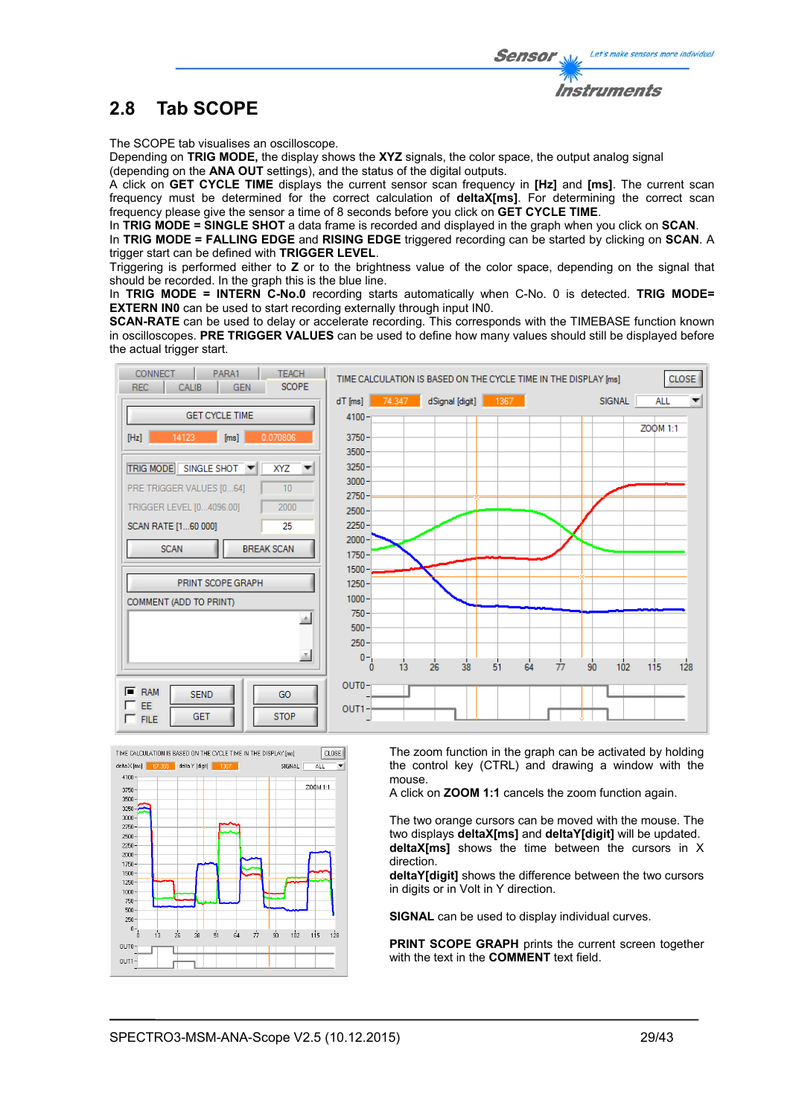

The SCOPE tab visualises an oscilloscope.

Depending on **TRIG MODE,** the display shows the **XYZ** signals, the color space, the output analog signal (depending on the **ANA OUT** settings), and the status of the digital outputs.

A click on **GET CYCLE TIME** displays the current sensor scan frequency in **[Hz]** and **[ms]**. The current scan frequency must be determined for the correct calculation of **deltaX[ms]**. For determining the correct scan frequency please give the sensor a time of 8 seconds before you click on **GET CYCLE TIME**.

In **TRIG MODE = SINGLE SHOT** a data frame is recorded and displayed in the graph when you click on **SCAN**.

In **TRIG MODE = FALLING EDGE** and **RISING EDGE** triggered recording can be started by clicking on **SCAN**. A trigger start can be defined with **TRIGGER LEVEL**.

Triggering is performed either to **Z** or to the brightness value of the color space, depending on the signal that should be recorded. In the graph this is the blue line.

In **TRIG MODE = INTERN C-No.0** recording starts automatically when C-No. 0 is detected. **TRIG MODE= EXTERN IN0** can be used to start recording externally through input IN0.

**SCAN-RATE** can be used to delay or accelerate recording. This corresponds with the TIMEBASE function known in oscilloscopes. **PRE TRIGGER VALUES** can be used to define how many values should still be displayed before the actual trigger start.





The zoom function in the graph can be activated by holding the control key (CTRL) and drawing a window with the mouse.

A click on **ZOOM 1:1** cancels the zoom function again.

The two orange cursors can be moved with the mouse. The two displays **deltaX[ms]** and **deltaY[digit]** will be updated. **deltaX[ms]** shows the time between the cursors in X direction.

**deltaY[digit]** shows the difference between the two cursors in digits or in Volt in Y direction.

**SIGNAL** can be used to display individual curves.

**PRINT SCOPE GRAPH** prints the current screen together with the text in the **COMMENT** text field.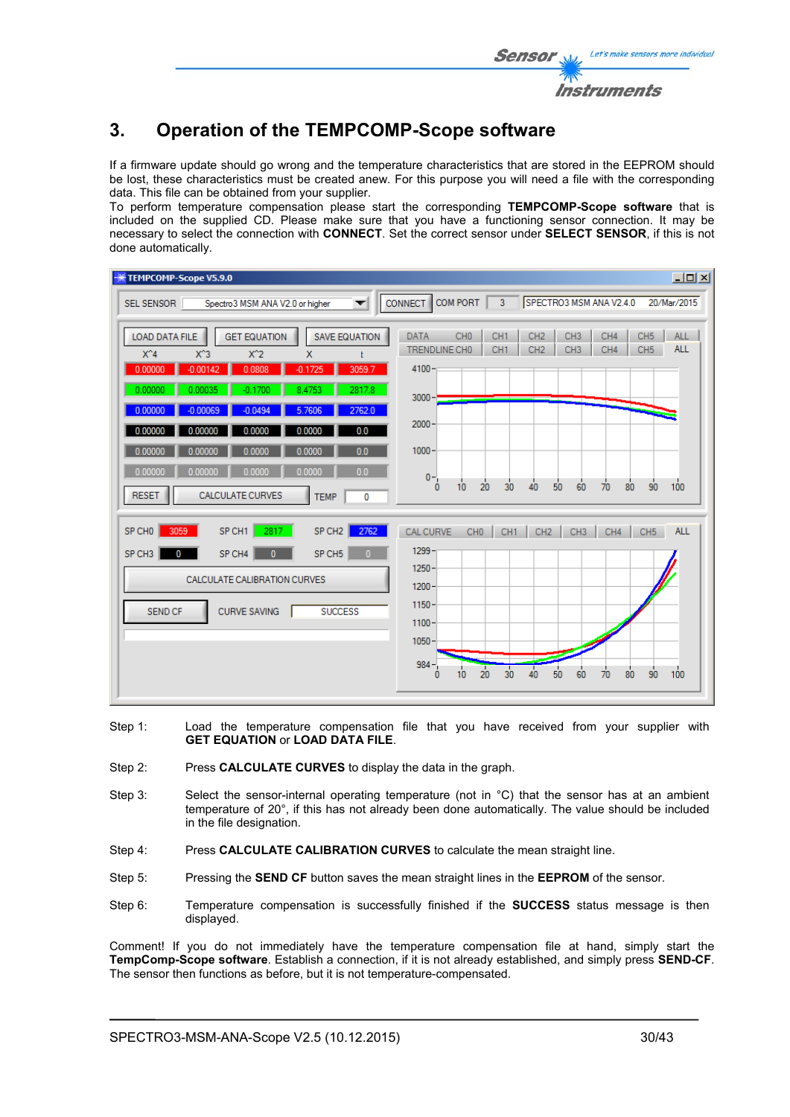## **3. Operation of the TEMPCOMP-Scope software**

If a firmware update should go wrong and the temperature characteristics that are stored in the EEPROM should be lost, these characteristics must be created anew. For this purpose you will need a file with the corresponding data. This file can be obtained from your supplier.

To perform temperature compensation please start the corresponding **TEMPCOMP-Scope software** that is included on the supplied CD. Please make sure that you have a functioning sensor connection. It may be necessary to select the connection with **CONNECT**. Set the correct sensor under **SELECT SENSOR**, if this is not done automatically.

| TEMPCOMP-Scope V5.9.0                                                                                                                                                          | $\Box$                                                                                                                                                                                                                                                        |
|--------------------------------------------------------------------------------------------------------------------------------------------------------------------------------|---------------------------------------------------------------------------------------------------------------------------------------------------------------------------------------------------------------------------------------------------------------|
| Spectro3 MSM ANA V2.0 or higher<br>SEL SENSOR<br>$\overline{\phantom{a}}$                                                                                                      | <b>COM PORT</b><br>SPECTRO3 MSM ANA V2.4.0<br>$\overline{3}$<br>20/Mar/2015<br><b>CONNECT</b>                                                                                                                                                                 |
| <b>GET EQUATION</b><br><b>SAVE EQUATION</b><br><b>LOAD DATA FILE</b><br>$X^4$<br>$X^3$<br>$X^2$<br>$\mathsf{x}$<br>ł<br>0.00000<br>$-0.00142$<br>0.0808<br>$-0.1725$<br>3059.7 | CH <sub>0</sub><br>CH <sub>3</sub><br>CH <sub>1</sub><br>CH <sub>2</sub><br>CH4<br>CH <sub>5</sub><br><b>ALL</b><br><b>DATA</b><br><b>ALL</b><br>TRENDLINE CHO<br>CH <sub>1</sub><br>CH <sub>2</sub><br>CH <sub>3</sub><br>CH4<br>CH <sub>5</sub><br>$4100 -$ |
| 0.00000<br>2817.8<br>0.00035<br>$-0.1700$<br>8.4753<br>0.00000<br>2762.0<br>$-0.00069$<br>$-0.0494$<br>5.7606                                                                  | $3000 -$                                                                                                                                                                                                                                                      |
| 0.0<br>0.00000<br>0.0000<br>0.00000<br>0.0000<br>0.00000<br>0.0<br>0.00000<br>0.0000<br>0.0000<br>0.0                                                                          | $2000 -$<br>$1000 -$                                                                                                                                                                                                                                          |
| 0.00000<br>0.0000<br>0.0000<br>0.00000<br><b>CALCULATE CURVES</b><br><b>RESET</b><br><b>TEMP</b><br>0                                                                          | $0 -$<br>30<br>100<br>20<br>40<br>50<br>60<br>80<br>90<br>70<br>$\bf{0}$<br>10                                                                                                                                                                                |
| 2817<br>2762<br>3059<br>SP CH1<br>SP CH <sub>2</sub><br>SP CHO                                                                                                                 | CH <sub>0</sub><br><b>ALL</b><br>CH <sub>1</sub><br>CH <sub>2</sub><br><b>CAL CURVE</b><br>CH <sub>3</sub><br>CH4<br>CH <sub>5</sub>                                                                                                                          |
| SP CH <sub>5</sub><br>SP CH <sub>3</sub><br>SP CH4<br>$\mathbf{0}$<br>$\mathbf{0}$<br>0                                                                                        | $1299 -$                                                                                                                                                                                                                                                      |
| CALCULATE CALIBRATION CURVES                                                                                                                                                   | $1250 -$<br>$1200 -$                                                                                                                                                                                                                                          |
| <b>CURVE SAVING</b><br><b>SUCCESS</b><br><b>SEND CF</b>                                                                                                                        | $1150 -$<br>$1100 -$<br>$1050 -$                                                                                                                                                                                                                              |
|                                                                                                                                                                                | $984 -$<br>$\overline{20}$<br>30<br>40<br>50<br>100<br>60<br>80<br>90<br>10<br>70<br>0                                                                                                                                                                        |

- Step 1: Load the temperature compensation file that you have received from your supplier with **GET EQUATION** or **LOAD DATA FILE**.
- Step 2: Press **CALCULATE CURVES** to display the data in the graph.
- Step 3: Select the sensor-internal operating temperature (not in °C) that the sensor has at an ambient temperature of 20°, if this has not already been done automatically. The value should be included in the file designation.
- Step 4: Press **CALCULATE CALIBRATION CURVES** to calculate the mean straight line.
- Step 5: Pressing the **SEND CF** button saves the mean straight lines in the **EEPROM** of the sensor.
- Step 6: Temperature compensation is successfully finished if the **SUCCESS** status message is then displayed.

Comment! If you do not immediately have the temperature compensation file at hand, simply start the **TempComp-Scope software**. Establish a connection, if it is not already established, and simply press **SEND-CF**. The sensor then functions as before, but it is not temperature-compensated.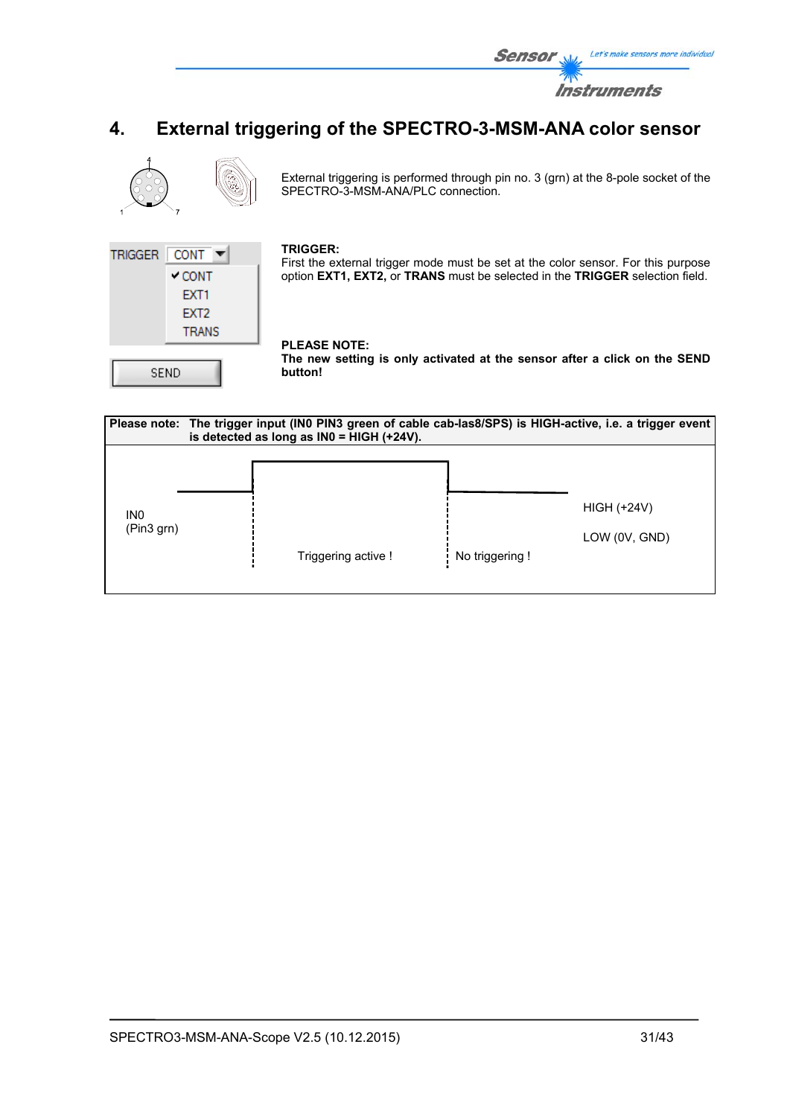

## **4. External triggering of the SPECTRO-3-MSM-ANA color sensor**



External triggering is performed through pin no. 3 (grn) at the 8-pole socket of the SPECTRO-3-MSM-ANA/PLC connection.



#### **TRIGGER:**

First the external trigger mode must be set at the color sensor. For this purpose option **EXT1, EXT2,** or **TRANS** must be selected in the **TRIGGER** selection field.

## **PLEASE NOTE:**

**The new setting is only activated at the sensor after a click on the SEND button!** 

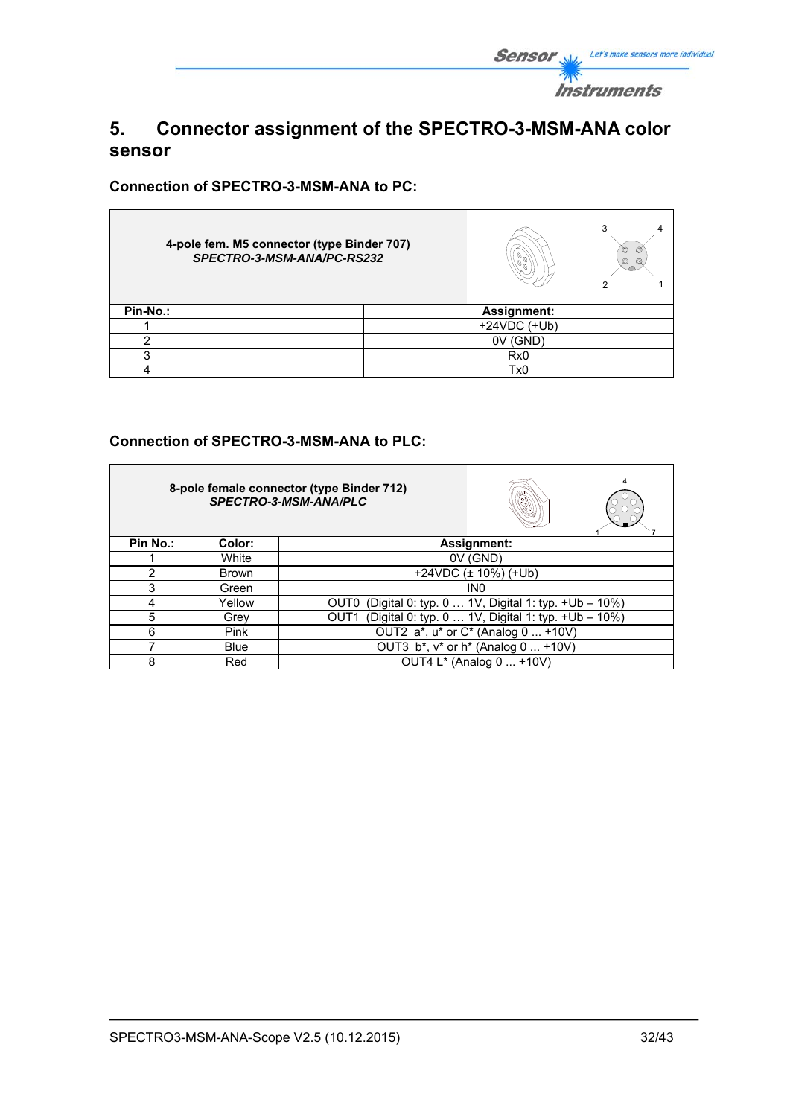

## **5. Connector assignment of the SPECTRO-3-MSM-ANA color sensor**

**Connection of SPECTRO-3-MSM-ANA to PC:** 

 $\blacksquare$ 

|          | 4-pole fem. M5 connector (type Binder 707)<br>SPECTRO-3-MSM-ANA/PC-RS232 |  | 3<br>O<br>o<br>O<br>Q |  |
|----------|--------------------------------------------------------------------------|--|-----------------------|--|
| Pin-No.: |                                                                          |  | Assignment:           |  |
|          |                                                                          |  | $+24VDC$ (+Ub)        |  |
|          |                                                                          |  | 0V (GND)              |  |
| ◠        |                                                                          |  | Rx <sub>0</sub>       |  |
|          |                                                                          |  | Tx0                   |  |

## **Connection of SPECTRO-3-MSM-ANA to PLC:**

|               |              | 8-pole female connector (type Binder 712)<br>SPECTRO-3-MSM-ANA/PLC     |
|---------------|--------------|------------------------------------------------------------------------|
| Pin No.:      | Color:       | Assignment:                                                            |
|               | White        | 0V (GND)                                                               |
| $\mathcal{P}$ | <b>Brown</b> | +24VDC $(\pm 10\%)$ (+Ub)                                              |
| 3             | Green        | IN <sub>0</sub>                                                        |
| 4             | Yellow       | (Digital 0: typ. 0  1V, Digital 1: typ. +Ub - 10%)<br>OUT0             |
| 5             | Grey         | (Digital 0: typ. 0  1V, Digital 1: typ. +Ub - 10%)<br>OUT <sub>1</sub> |
| 6             | Pink         | OUT2 a*, u* or C* (Analog 0  +10V)                                     |
|               | <b>Blue</b>  | OUT3 b*, v* or h* (Analog 0  +10V)                                     |
| 8             | Red          | OUT4 L* (Analog 0  +10V)                                               |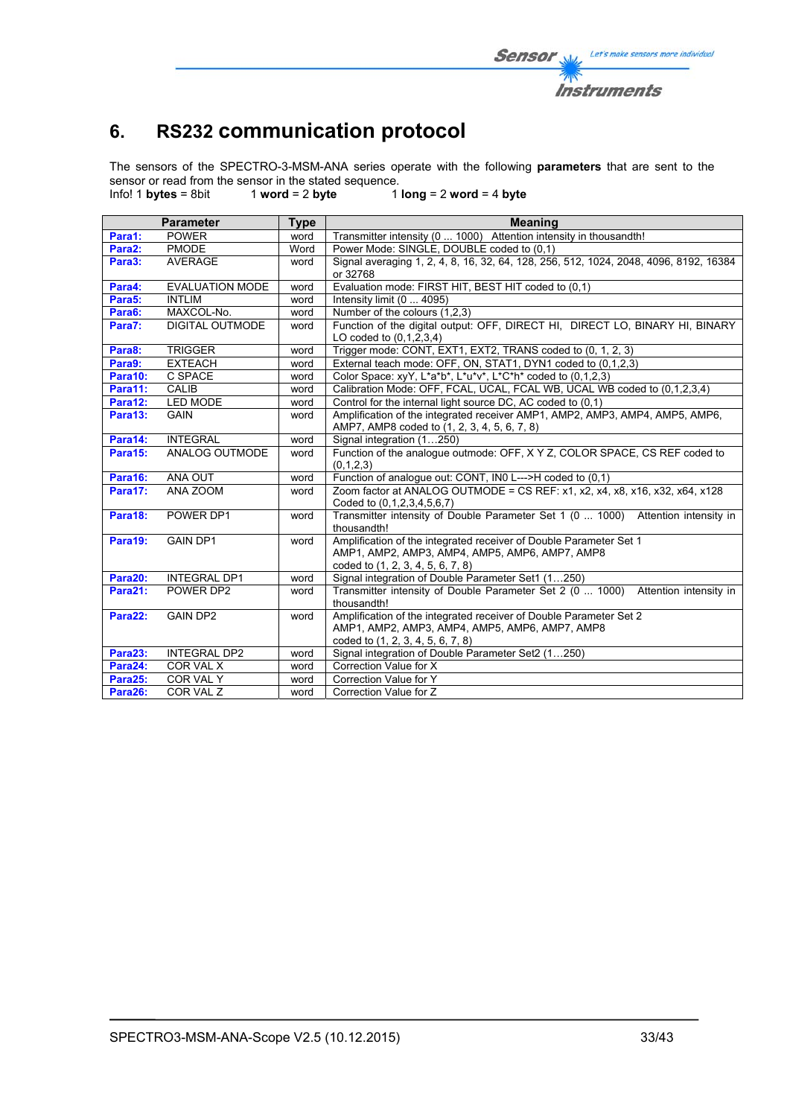# **6. RS232 communication protocol**

The sensors of the SPECTRO-3-MSM-ANA series operate with the following **parameters** that are sent to the sensor or read from the sensor in the stated sequence.<br>Info! 1 bytes = 8bit  $\frac{1}{2}$  word = 2 byte 1

Info! 1 **bytes** = 8bit 1 **word** = 2 **byte** 1 **long** = 2 **word** = 4 **byte**

| <b>Parameter</b> |                        | <b>Type</b> | <b>Meaning</b>                                                                                                                                            |
|------------------|------------------------|-------------|-----------------------------------------------------------------------------------------------------------------------------------------------------------|
| Para1:           | <b>POWER</b>           | word        | Transmitter intensity (0  1000) Attention intensity in thousandth!                                                                                        |
| Para2:           | <b>PMODE</b>           | Word        | Power Mode: SINGLE, DOUBLE coded to (0,1)                                                                                                                 |
| Para3:           | <b>AVERAGE</b>         | word        | Signal averaging 1, 2, 4, 8, 16, 32, 64, 128, 256, 512, 1024, 2048, 4096, 8192, 16384<br>or 32768                                                         |
| Para4:           | <b>EVALUATION MODE</b> | word        | Evaluation mode: FIRST HIT, BEST HIT coded to (0,1)                                                                                                       |
| Para5:           | <b>INTLIM</b>          | word        | Intensity limit (0  4095)                                                                                                                                 |
| Para6:           | MAXCOL-No.             | word        | Number of the colours (1,2,3)                                                                                                                             |
| Para7:           | <b>DIGITAL OUTMODE</b> | word        | Function of the digital output: OFF, DIRECT HI, DIRECT LO, BINARY HI, BINARY<br>LO coded to $(0,1,2,3,4)$                                                 |
| Para8:           | <b>TRIGGER</b>         | word        | Trigger mode: CONT, EXT1, EXT2, TRANS coded to (0, 1, 2, 3)                                                                                               |
| Para9:           | <b>EXTEACH</b>         | word        | External teach mode: OFF, ON, STAT1, DYN1 coded to (0,1,2,3)                                                                                              |
| Para10:          | C SPACE                | word        | Color Space: xyY, L*a*b*, L*u*v*, L*C*h* coded to (0,1,2,3)                                                                                               |
| Para11:          | <b>CALIB</b>           | word        | Calibration Mode: OFF, FCAL, UCAL, FCAL WB, UCAL WB coded to (0,1,2,3,4)                                                                                  |
| Para12:          | <b>LED MODE</b>        | word        | Control for the internal light source DC, AC coded to (0,1)                                                                                               |
| Para13:          | <b>GAIN</b>            | word        | Amplification of the integrated receiver AMP1, AMP2, AMP3, AMP4, AMP5, AMP6,                                                                              |
|                  |                        |             | AMP7, AMP8 coded to (1, 2, 3, 4, 5, 6, 7, 8)                                                                                                              |
| Para14:          | <b>INTEGRAL</b>        | word        | Signal integration (1250)                                                                                                                                 |
| Para15:          | ANALOG OUTMODE         | word        | Function of the analogue outmode: OFF, X Y Z, COLOR SPACE, CS REF coded to<br>(0,1,2,3)                                                                   |
| Para16:          | ANA OUT                | word        | Function of analogue out: CONT, IN0 L--->H coded to (0,1)                                                                                                 |
| Para17:          | ANA ZOOM               | word        | Zoom factor at ANALOG OUTMODE = CS REF: x1, x2, x4, x8, x16, x32, x64, x128<br>Coded to (0.1.2.3.4.5.6.7)                                                 |
| Para18:          | POWER DP1              | word        | Transmitter intensity of Double Parameter Set 1 (0  1000) Attention intensity in<br>thousandth!                                                           |
| Para19:          | <b>GAIN DP1</b>        | word        | Amplification of the integrated receiver of Double Parameter Set 1<br>AMP1, AMP2, AMP3, AMP4, AMP5, AMP6, AMP7, AMP8<br>coded to (1, 2, 3, 4, 5, 6, 7, 8) |
| Para20:          | <b>INTEGRAL DP1</b>    | word        | Signal integration of Double Parameter Set1 (1250)                                                                                                        |
| Para21:          | POWER DP2              | word        | Transmitter intensity of Double Parameter Set 2 (0  1000) Attention intensity in<br>thousandth!                                                           |
| Para22:          | <b>GAIN DP2</b>        | word        | Amplification of the integrated receiver of Double Parameter Set 2                                                                                        |
|                  |                        |             | AMP1, AMP2, AMP3, AMP4, AMP5, AMP6, AMP7, AMP8<br>coded to (1, 2, 3, 4, 5, 6, 7, 8)                                                                       |
| Para23:          | <b>INTEGRAL DP2</b>    | word        | Signal integration of Double Parameter Set2 (1250)                                                                                                        |
| Para24:          | COR VAL X              | word        | Correction Value for X                                                                                                                                    |
| Para25:          | COR VAL Y              | word        | Correction Value for Y                                                                                                                                    |
| Para26:          | COR VAL Z              | word        | Correction Value for Z                                                                                                                                    |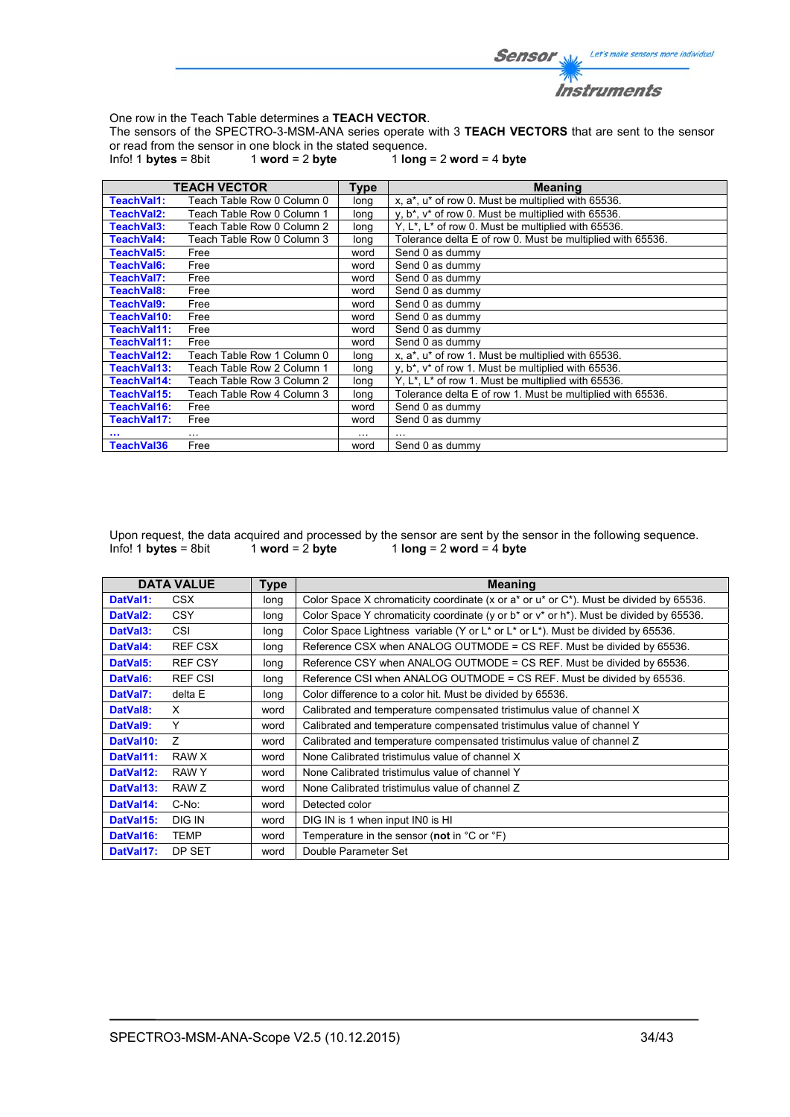

One row in the Teach Table determines a **TEACH VECTOR**.

The sensors of the SPECTRO-3-MSM-ANA series operate with 3 **TEACH VECTORS** that are sent to the sensor or read from the sensor in one block in the stated sequence.<br>Info! 1 **bytes** = 8bit  $1$  **word** = 2 **byte**  $1$  **long** 

 $1$  word = 2 byte  $1$   $\log$  = 2 word = 4 byte

|             | <b>TEACH VECTOR</b>        | <b>Type</b> | <b>Meaning</b>                                                              |
|-------------|----------------------------|-------------|-----------------------------------------------------------------------------|
| TeachVal1:  | Teach Table Row 0 Column 0 | long        | x, a*, u* of row 0. Must be multiplied with 65536.                          |
| TeachVal2:  | Teach Table Row 0 Column 1 | long        | y, b <sup>*</sup> , v <sup>*</sup> of row 0. Must be multiplied with 65536. |
| TeachVal3:  | Teach Table Row 0 Column 2 | long        | Y, L <sup>*</sup> , L <sup>*</sup> of row 0. Must be multiplied with 65536. |
| TeachVal4:  | Teach Table Row 0 Column 3 | long        | Tolerance delta E of row 0. Must be multiplied with 65536.                  |
| TeachVal5:  | Free                       | word        | Send 0 as dummy                                                             |
| TeachVal6:  | Free                       | word        | Send 0 as dummy                                                             |
| TeachVal7:  | Free                       | word        | Send 0 as dummy                                                             |
| TeachVal8:  | Free                       | word        | Send 0 as dummy                                                             |
| TeachVal9:  | Free                       | word        | Send 0 as dummy                                                             |
| TeachVal10: | Free                       | word        | Send 0 as dummy                                                             |
| TeachVal11: | Free                       | word        | Send 0 as dummy                                                             |
| TeachVal11: | Free                       | word        | Send 0 as dummy                                                             |
| TeachVal12: | Teach Table Row 1 Column 0 | long        | x, a*, u* of row 1. Must be multiplied with 65536.                          |
| TeachVal13: | Teach Table Row 2 Column 1 | long        | y, b <sup>*</sup> , v <sup>*</sup> of row 1. Must be multiplied with 65536. |
| TeachVal14: | Teach Table Row 3 Column 2 | long        | Y, $L^*$ , $L^*$ of row 1. Must be multiplied with 65536.                   |
| TeachVal15: | Teach Table Row 4 Column 3 | long        | Tolerance delta E of row 1. Must be multiplied with 65536.                  |
| TeachVal16: | Free                       | word        | Send 0 as dummy                                                             |
| TeachVal17: | Free                       | word        | Send 0 as dummy                                                             |
|             | $\cdots$                   | $\cdots$    |                                                                             |
| TeachVal36  | Free                       | word        | Send 0 as dummy                                                             |

Upon request, the data acquired and processed by the sensor are sent by the sensor in the following sequence.<br>Info! 1 bytes = 8bit 1 word = 2 byte 1 long = 2 word = 4 byte  $1$  **long** = 2 **word** =  $\frac{1}{4}$  **byte** 

|                       | <b>DATA VALUE</b> | <b>Type</b> | <b>Meaning</b>                                                                                   |
|-----------------------|-------------------|-------------|--------------------------------------------------------------------------------------------------|
| DatVal1:              | CSX.              | long        | Color Space X chromaticity coordinate (x or a* or u* or C*). Must be divided by 65536.           |
| DatVal <sub>2</sub> : | <b>CSY</b>        | long        | Color Space Y chromaticity coordinate (y or $b^*$ or $v^*$ or $h^*$ ). Must be divided by 65536. |
| DatVal3:              | CSI               | long        | Color Space Lightness variable (Y or L* or L* or L*). Must be divided by 65536.                  |
| DatVal4:              | <b>REF CSX</b>    | long        | Reference CSX when ANALOG OUTMODE = CS REF. Must be divided by 65536.                            |
| DatVal5:              | <b>REF CSY</b>    | long        | Reference CSY when ANALOG OUTMODE = CS REF. Must be divided by 65536.                            |
| DatVal6:              | <b>REF CSI</b>    | long        | Reference CSI when ANALOG OUTMODE = CS REF. Must be divided by 65536.                            |
| DatVal7:              | delta E           | long        | Color difference to a color hit. Must be divided by 65536.                                       |
| DatVal8:              | X                 | word        | Calibrated and temperature compensated tristimulus value of channel X                            |
| DatVal9:              | Υ                 | word        | Calibrated and temperature compensated tristimulus value of channel Y                            |
| DatVal10:             | Z                 | word        | Calibrated and temperature compensated tristimulus value of channel Z                            |
| DatVal11:             | RAW X             | word        | None Calibrated tristimulus value of channel X                                                   |
| DatVal12:             | RAW Y             | word        | None Calibrated tristimulus value of channel Y                                                   |
| DatVal13:             | RAW Z             | word        | None Calibrated tristimulus value of channel Z                                                   |
| DatVal14:             | C-No:             | word        | Detected color                                                                                   |
| DatVal15:             | DIG IN            | word        | DIG IN is 1 when input IN0 is HI                                                                 |
| DatVal16:             | TEMP              | word        | Temperature in the sensor (not in $^{\circ}$ C or $^{\circ}$ F)                                  |
| DatVal17:             | DP SET            | word        | Double Parameter Set                                                                             |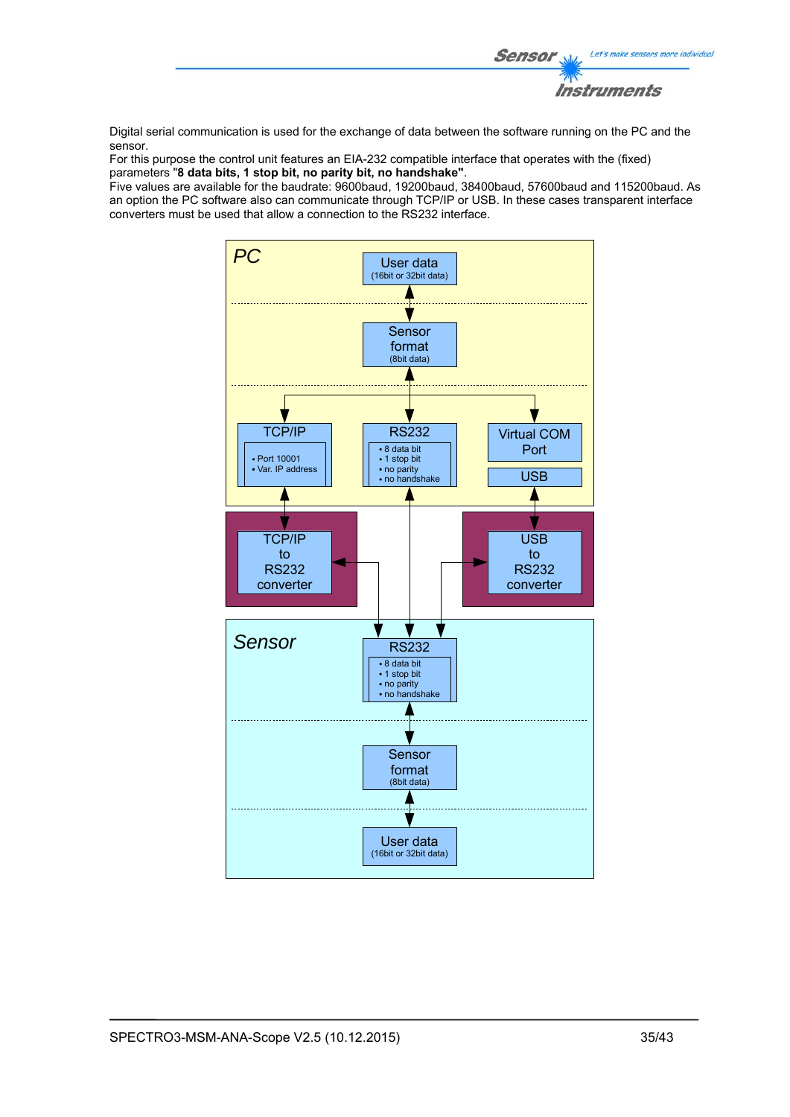

Digital serial communication is used for the exchange of data between the software running on the PC and the sensor.

For this purpose the control unit features an EIA-232 compatible interface that operates with the (fixed) parameters "**8 data bits, 1 stop bit, no parity bit, no handshake"**.

Five values are available for the baudrate: 9600baud, 19200baud, 38400baud, 57600baud and 115200baud. As an option the PC software also can communicate through TCP/IP or USB. In these cases transparent interface converters must be used that allow a connection to the RS232 interface.

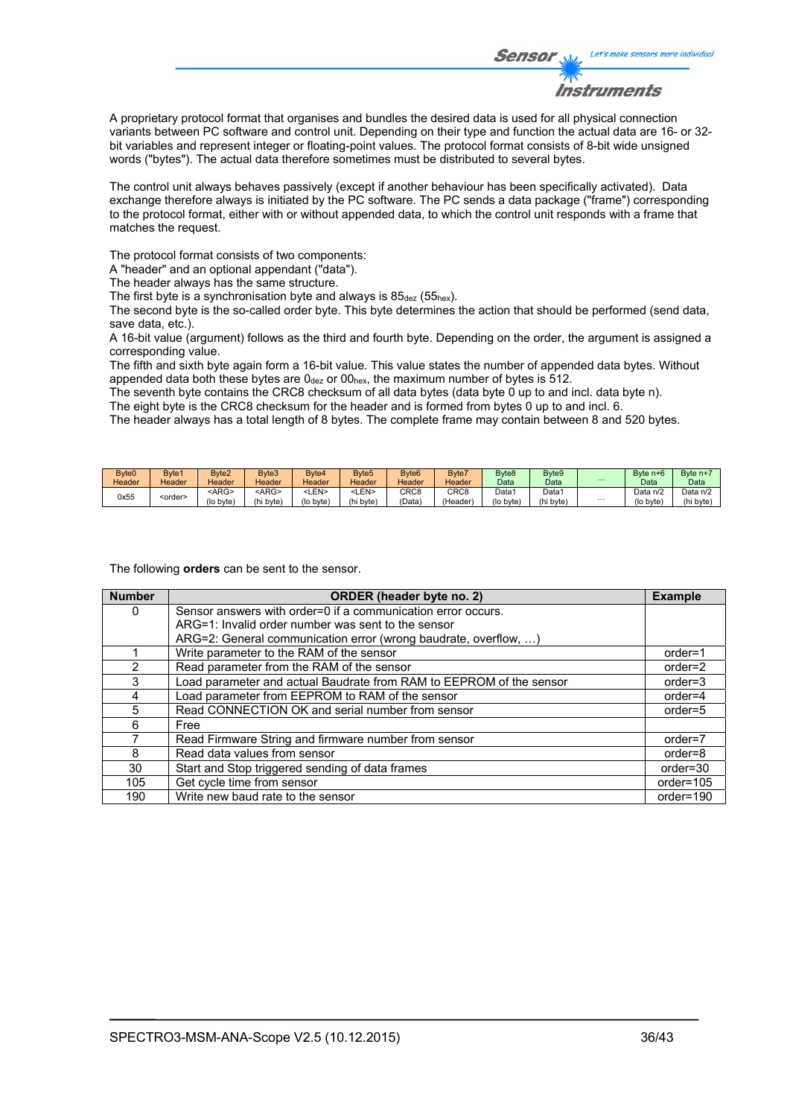

A proprietary protocol format that organises and bundles the desired data is used for all physical connection variants between PC software and control unit. Depending on their type and function the actual data are 16- or 32 bit variables and represent integer or floating-point values. The protocol format consists of 8-bit wide unsigned words ("bytes"). The actual data therefore sometimes must be distributed to several bytes.

The control unit always behaves passively (except if another behaviour has been specifically activated). Data exchange therefore always is initiated by the PC software. The PC sends a data package ("frame") corresponding to the protocol format, either with or without appended data, to which the control unit responds with a frame that matches the request.

The protocol format consists of two components:

A "header" and an optional appendant ("data").

The header always has the same structure.

The first byte is a synchronisation byte and always is  $85_{\text{dez}}$  (55<sub>hex</sub>).

The second byte is the so-called order byte. This byte determines the action that should be performed (send data, save data, etc.).

A 16-bit value (argument) follows as the third and fourth byte. Depending on the order, the argument is assigned a corresponding value.

The fifth and sixth byte again form a 16-bit value. This value states the number of appended data bytes. Without appended data both these bytes are  $0_{\text{dez}}$  or  $00_{\text{hex}}$ , the maximum number of bytes is 512.

The seventh byte contains the CRC8 checksum of all data bytes (data byte 0 up to and incl. data byte n). The eight byte is the CRC8 checksum for the header and is formed from bytes 0 up to and incl. 6.

The header always has a total length of 8 bytes. The complete frame may contain between 8 and 520 bytes.

| Byte0  | Byte1           | Byte2       | Byte3         | Bvte4       | Byte <sub>5</sub> | Byte <sub>6</sub> | Byte7            | Byte <sub>8</sub> | Byte <sub>9</sub> |          | Byte n+6  | Byte n+  |
|--------|-----------------|-------------|---------------|-------------|-------------------|-------------------|------------------|-------------------|-------------------|----------|-----------|----------|
| Header | Header          | Header      | <b>Header</b> | Header      | Header            | Header            | Header           | Data              | Data              | $\cdots$ | Data      | Data     |
| 0x55   | <order></order> | <arg></arg> | <arg></arg>   | <len></len> | ∟EN>              | CRC <sub>8</sub>  | CRC <sub>8</sub> | Data1             | Data <sup>1</sup> |          | Data n/2  | Data n/2 |
|        |                 | (lo byte)   | (hi byte)     | (lo byte)   | (hi byte)         | 'Data             | (Header)         | (lo byte)         | (hi byte)         | $\cdots$ | (lo byte) | (hi byte |

The following **orders** can be sent to the sensor.

| <b>Number</b> | ORDER (header byte no. 2)                                           | <b>Example</b> |
|---------------|---------------------------------------------------------------------|----------------|
| 0             | Sensor answers with order=0 if a communication error occurs.        |                |
|               | ARG=1: Invalid order number was sent to the sensor                  |                |
|               | ARG=2: General communication error (wrong baudrate, overflow, )     |                |
|               | Write parameter to the RAM of the sensor                            | $order=1$      |
| $\mathcal{P}$ | Read parameter from the RAM of the sensor                           | $order=2$      |
| 3             | Load parameter and actual Baudrate from RAM to EEPROM of the sensor | $order = 3$    |
| 4             | Load parameter from EEPROM to RAM of the sensor                     | $order=4$      |
| 5             | Read CONNECTION OK and serial number from sensor                    | $order=5$      |
| 6             | Free                                                                |                |
|               | Read Firmware String and firmware number from sensor                | order=7        |
| 8             | Read data values from sensor                                        | order=8        |
| 30            | Start and Stop triggered sending of data frames                     | $order = 30$   |
| 105           | Get cycle time from sensor                                          | order=105      |
| 190           | Write new baud rate to the sensor                                   | order=190      |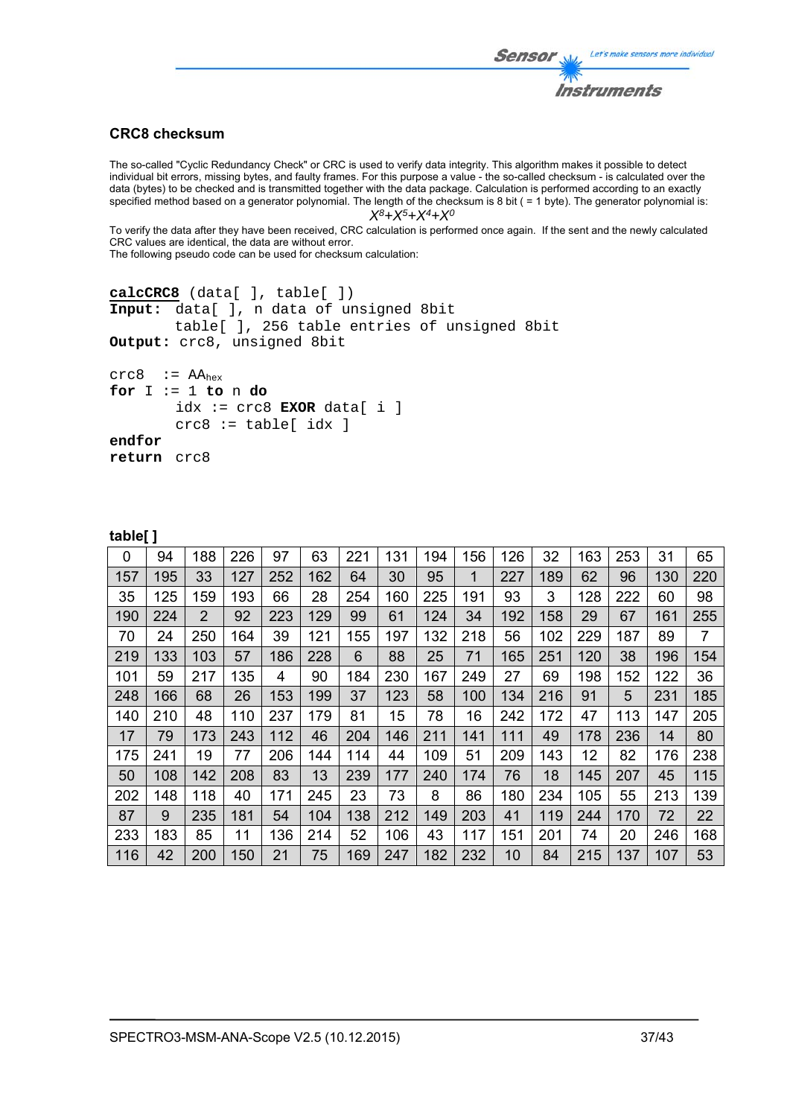## Let's make sensors more individual Sensor Instruments

## **CRC8 checksum**

The so-called "Cyclic Redundancy Check" or CRC is used to verify data integrity. This algorithm makes it possible to detect individual bit errors, missing bytes, and faulty frames. For this purpose a value - the so-called checksum - is calculated over the data (bytes) to be checked and is transmitted together with the data package. Calculation is performed according to an exactly specified method based on a generator polynomial. The length of the checksum is 8 bit ( = 1 byte). The generator polynomial is: *X8+X5+X4+X0*

To verify the data after they have been received, CRC calculation is performed once again. If the sent and the newly calculated CRC values are identical, the data are without error.

The following pseudo code can be used for checksum calculation:

```
calcCRC8 (data[ ], table[ ]) 
Input: data[ ], n data of unsigned 8bit 
         table[ ], 256 table entries of unsigned 8bit 
Output: crc8, unsigned 8bit 
crc8 := AA_{hex}for I := 1 to n do 
        idx := crc8 EXOR data[ i ]
```
 crc8 := table[ idx ] **endfor** 

```
return crc8
```

| 0   | 94  | 188            | 226 | 97  | 63  | 221 | 131 | 194 | 156 | 126 | 32  | 163 | 253 | 31  | 65             |
|-----|-----|----------------|-----|-----|-----|-----|-----|-----|-----|-----|-----|-----|-----|-----|----------------|
| 157 | 195 | 33             | 127 | 252 | 162 | 64  | 30  | 95  | 1   | 227 | 189 | 62  | 96  | 130 | 220            |
| 35  | 125 | 159            | 193 | 66  | 28  | 254 | 160 | 225 | 191 | 93  | 3   | 128 | 222 | 60  | 98             |
| 190 | 224 | $\overline{2}$ | 92  | 223 | 129 | 99  | 61  | 124 | 34  | 192 | 158 | 29  | 67  | 161 | 255            |
| 70  | 24  | 250            | 164 | 39  | 121 | 155 | 197 | 132 | 218 | 56  | 102 | 229 | 187 | 89  | $\overline{7}$ |
| 219 | 133 | 103            | 57  | 186 | 228 | 6   | 88  | 25  | 71  | 165 | 251 | 120 | 38  | 196 | 154            |
| 101 | 59  | 217            | 135 | 4   | 90  | 184 | 230 | 167 | 249 | 27  | 69  | 198 | 152 | 122 | 36             |
| 248 | 166 | 68             | 26  | 153 | 199 | 37  | 123 | 58  | 100 | 134 | 216 | 91  | 5   | 231 | 185            |
| 140 | 210 | 48             | 110 | 237 | 179 | 81  | 15  | 78  | 16  | 242 | 172 | 47  | 113 | 147 | 205            |
| 17  | 79  | 173            | 243 | 112 | 46  | 204 | 146 | 211 | 141 | 111 | 49  | 178 | 236 | 14  | 80             |
| 175 | 241 | 19             | 77  | 206 | 144 | 114 | 44  | 109 | 51  | 209 | 143 | 12  | 82  | 176 | 238            |
| 50  | 108 | 142            | 208 | 83  | 13  | 239 | 177 | 240 | 174 | 76  | 18  | 145 | 207 | 45  | 115            |
| 202 | 148 | 118            | 40  | 171 | 245 | 23  | 73  | 8   | 86  | 180 | 234 | 105 | 55  | 213 | 139            |
| 87  | 9   | 235            | 181 | 54  | 104 | 138 | 212 | 149 | 203 | 41  | 119 | 244 | 170 | 72  | 22             |
| 233 | 183 | 85             | 11  | 136 | 214 | 52  | 106 | 43  | 117 | 151 | 201 | 74  | 20  | 246 | 168            |
| 116 | 42  | 200            | 150 | 21  | 75  | 169 | 247 | 182 | 232 | 10  | 84  | 215 | 137 | 107 | 53             |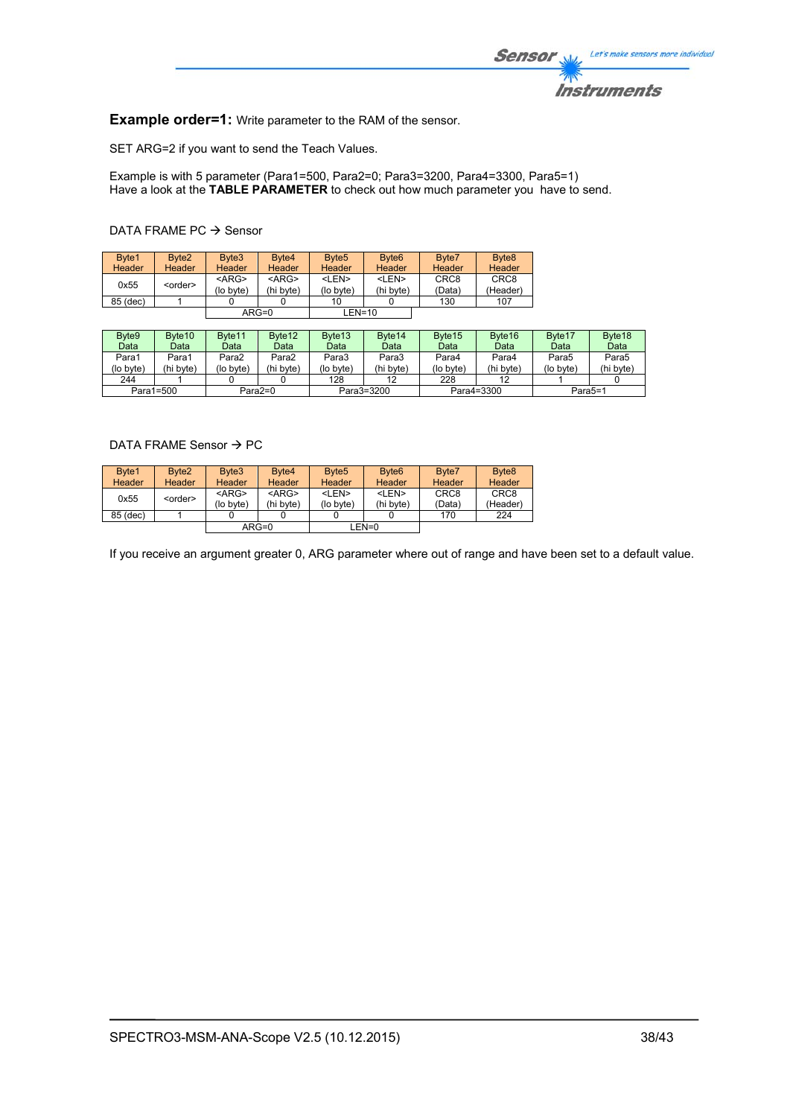

**Example order=1:** Write parameter to the RAM of the sensor.

SET ARG=2 if you want to send the Teach Values.

Example is with 5 parameter (Para1=500, Para2=0; Para3=3200, Para4=3300, Para5=1) Have a look at the **TABLE PARAMETER** to check out how much parameter you have to send.

## DATA FRAME PC  $\rightarrow$  Sensor

| Byte1         | Byte <sub>2</sub> | Byte <sub>3</sub>     | Byte4                 | Byte <sub>5</sub>         | Byte <sub>6</sub>         | Byte7                      | Byte <sub>8</sub>            |
|---------------|-------------------|-----------------------|-----------------------|---------------------------|---------------------------|----------------------------|------------------------------|
| <b>Header</b> | <b>Header</b>     | Header                | <b>Header</b>         | Header                    | Header                    | <b>Header</b>              | Header                       |
| 0x55          | <order></order>   | $<$ ARG><br>(lo byte) | $<$ ARG><br>(hi byte) | <len><br/>(lo byte)</len> | <len><br/>(hi byte)</len> | CRC <sub>8</sub><br>(Data) | CRC <sub>8</sub><br>(Header) |
| 85 (dec)      |                   |                       |                       | 10                        |                           | 130                        | 107                          |
|               |                   |                       | $ARG=0$               | $LEN=10$                  |                           |                            |                              |

| Byte9     | Byte <sub>10</sub> | Byte <sub>11</sub> | Byte <sub>12</sub> | Byte <sub>13</sub>       | Byte <sub>14</sub> | Byte <sub>15</sub> | Byte <sub>16</sub> | Byte <sub>17</sub> | Byte <sub>18</sub> |
|-----------|--------------------|--------------------|--------------------|--------------------------|--------------------|--------------------|--------------------|--------------------|--------------------|
| Data      | Data               | Datal              | Data               | Data                     | Data               | Data               | Data               | Data               | Data               |
| Para1     | Para1              | Para2              | Para2              | Para3                    | Para3              | Para4              | Para4              | Para5              | Para5              |
| (lo byte) | (hi bvte)          | (lo bvte)          | (hi byte)          | (lo byte)                | (hi byte)          | (lo bvte)          | (hi byte)          | (lo byte)          | (hi byte)          |
| 244       |                    |                    |                    | 128                      | 12                 | 228                |                    |                    |                    |
|           | Para1=500          |                    | Para2=0            | Para3=3200<br>Para4=3300 |                    | Para5=1            |                    |                    |                    |

## DATA FRAME Sensor  $\rightarrow$  PC

| Byte1    | Byte <sub>2</sub> | Byte3     | Byte4     | Byte <sub>5</sub> | Byte <sub>6</sub> | Byte7            | Byte <sub>8</sub> |
|----------|-------------------|-----------|-----------|-------------------|-------------------|------------------|-------------------|
| Header   | <b>Header</b>     | Header    | Header    | Header            | Header            | Header           | <b>Header</b>     |
| 0x55     | <order></order>   | $<$ ARG>  | $<$ ARG>  | <len></len>       | <len></len>       | CRC <sub>8</sub> | CRC <sub>8</sub>  |
|          |                   | (lo byte) | (hi byte) | (lo byte)         | (hi byte)         | (Data)           | (Header)          |
| 85 (dec) |                   |           |           |                   |                   | 170              | 224               |
|          |                   |           | $ARG=0$   |                   | LEN=0             |                  |                   |

If you receive an argument greater 0, ARG parameter where out of range and have been set to a default value.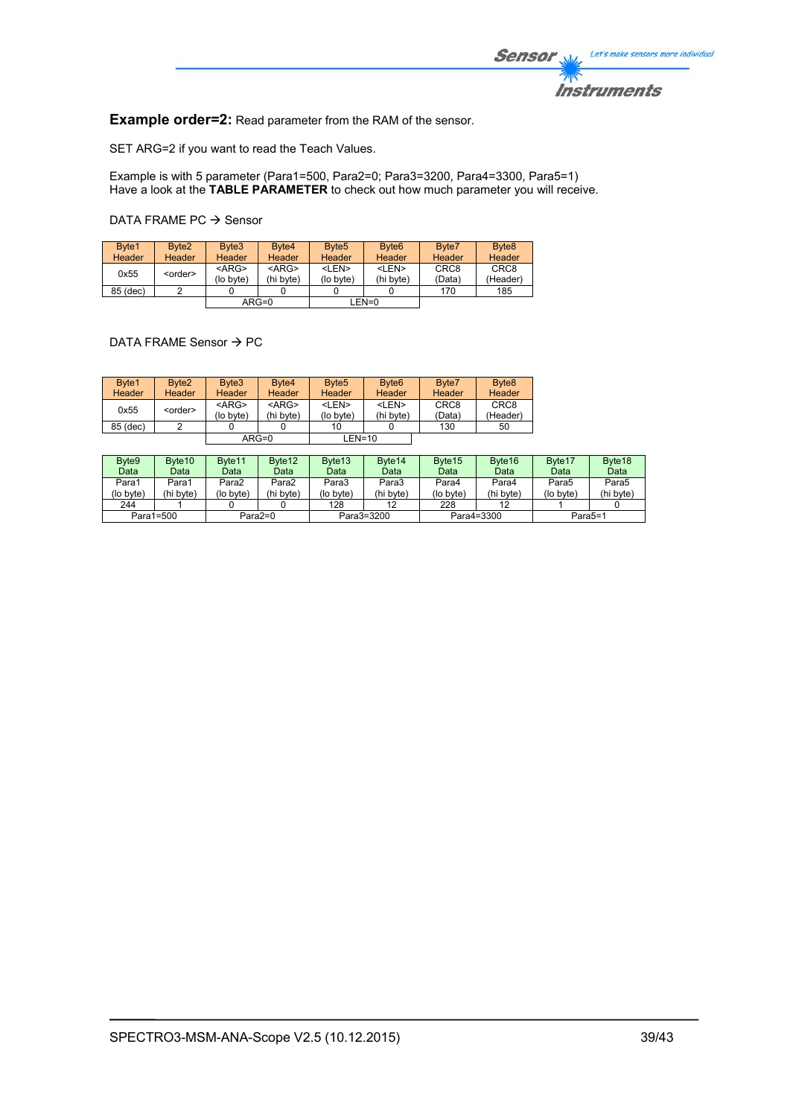

**Example order=2:** Read parameter from the RAM of the sensor.

SET ARG=2 if you want to read the Teach Values.

Example is with 5 parameter (Para1=500, Para2=0; Para3=3200, Para4=3300, Para5=1) Have a look at the **TABLE PARAMETER** to check out how much parameter you will receive.

DATA FRAME PC  $\rightarrow$  Sensor

| Byte1<br>Header | Byte <sub>2</sub><br><b>Header</b> | Byte3<br>Header          | Byte4<br><b>Header</b>   | Byte <sub>5</sub><br>Header | Byte <sub>6</sub><br><b>Header</b> | Byte7<br>Header            | Byte <sub>8</sub><br>Header  |
|-----------------|------------------------------------|--------------------------|--------------------------|-----------------------------|------------------------------------|----------------------------|------------------------------|
| 0x55            | <order></order>                    | $<$ ARG $>$<br>(lo byte) | $<$ ARG $>$<br>(hi byte) | <len><br/>(lo byte)</len>   | <len><br/>(hi bvte)</len>          | CRC <sub>8</sub><br>(Data) | CRC <sub>8</sub><br>(Header) |
| 85 (dec)        |                                    |                          |                          |                             |                                    | 170                        | 185                          |
|                 |                                    |                          | $ARG=0$                  |                             | LEN=0                              |                            |                              |

DATA FRAME Sensor  $\rightarrow$  PC

| Byte1<br>Header | Byte <sub>2</sub><br>Header | Byte3<br>Header          | Byte4<br><b>Header</b>   | Byte <sub>5</sub><br>Header | Byte <sub>6</sub><br>Header | Byte7<br>Header            | Byte <sub>8</sub><br><b>Header</b> |
|-----------------|-----------------------------|--------------------------|--------------------------|-----------------------------|-----------------------------|----------------------------|------------------------------------|
| 0x55            | <order></order>             | $<$ ARG $>$<br>(lo byte) | $<$ ARG $>$<br>(hi byte) | <len><br/>(lo byte)</len>   | <len><br/>(hi byte)</len>   | CRC <sub>8</sub><br>(Data) | CRC <sub>8</sub><br>(Header)       |
| 85 (dec)        |                             |                          |                          | 10                          |                             | 130                        | 50                                 |
|                 |                             |                          | $ARG=0$                  | $LEN=10$                    |                             |                            |                                    |

| Byte <sub>9</sub> | Byte <sub>10</sub> | Byte <sub>11</sub> | Byte <sub>12</sub> | Byte <sub>13</sub> | Byte <sub>14</sub> | Byte <sub>15</sub> | Byte <sub>16</sub> | Byte <sub>17</sub>   | Byte <sub>18</sub> |
|-------------------|--------------------|--------------------|--------------------|--------------------|--------------------|--------------------|--------------------|----------------------|--------------------|
| Data              | Data               | Data               | Data               | Data               | Data               | Data               | Data               | Data                 | Data               |
| Para1             | Para1              | Para2              | Para2              | Para3              | Para3              | Para4              | Para4              | Para5                | Para5              |
| (lo byte)         | (hi byte)          | (lo byte)          | (hi byte)          | (lo byte)          | (hi byte)          | (lo byte)          | (hi byte)          | (lo byte)            | (hi byte)          |
| 244               |                    |                    |                    | 128                | 12                 | 228                |                    |                      |                    |
| Para1=500         |                    |                    | $Para2=0$          |                    | Para3=3200         | Para4=3300         |                    | Para <sub>5</sub> =1 |                    |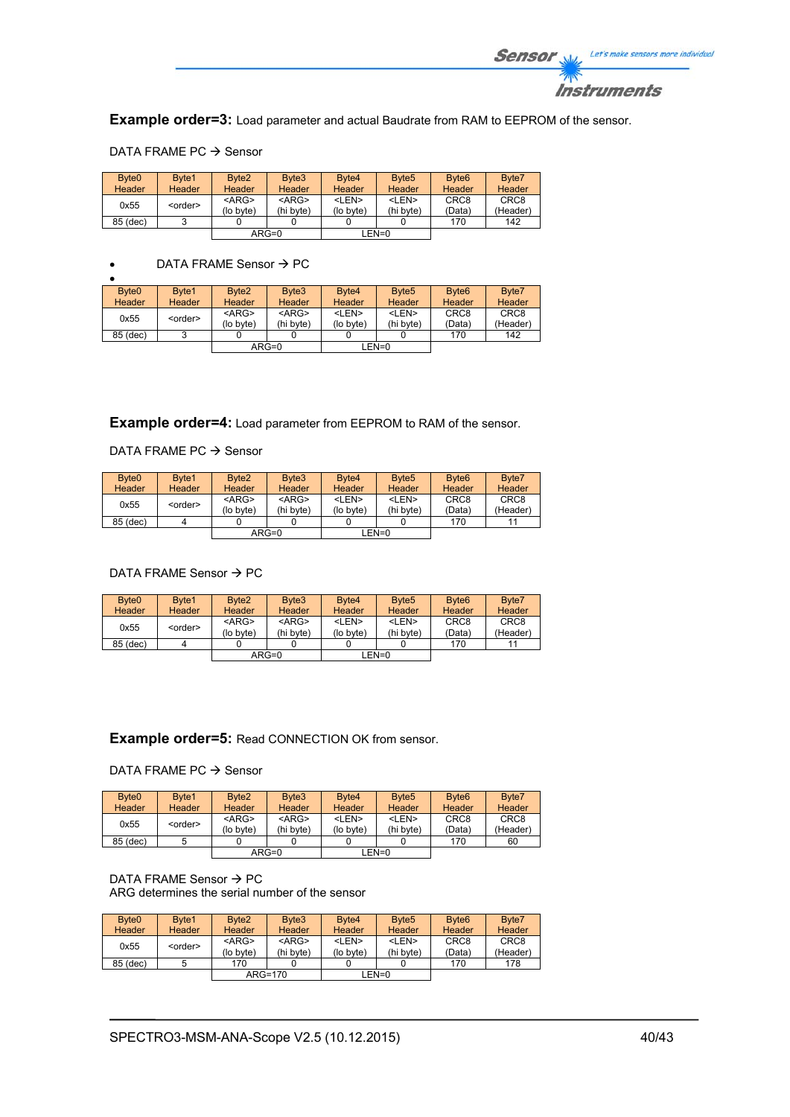

**Example order=3:** Load parameter and actual Baudrate from RAM to EEPROM of the sensor.

| Byte <sub>0</sub> | Byte1           | Byte <sub>2</sub> | Byte3       | Byte4       | Byte <sub>5</sub> | Byte <sub>6</sub> | Byte7            |
|-------------------|-----------------|-------------------|-------------|-------------|-------------------|-------------------|------------------|
| <b>Header</b>     | <b>Header</b>   | Header            | Header      | Header      | <b>Header</b>     | Header            | Header           |
| 0x55              |                 | $<$ ARG>          | $<$ ARG $>$ | <len></len> | <len></len>       | CRC <sub>8</sub>  | CRC <sub>8</sub> |
|                   | <order></order> | (lo byte)         | (hi byte)   | (lo byte)   | (hi byte)         | (Data)            | (Header)         |
| 85 (dec)          | <u>ົ</u>        |                   |             |             |                   | 170               | 142              |
|                   |                 |                   | $ARG=0$     |             | $LEN=0$           |                   |                  |

#### DATA FRAME PC  $\rightarrow$  Sensor

## $\bullet$  DATA FRAME Sensor  $\rightarrow$  PC

| Byte <sub>0</sub> | Byte1           | Byte <sub>2</sub> | Byte <sub>3</sub> | Byte4         | Byte <sub>5</sub> | Byte <sub>6</sub> | Byte7            |
|-------------------|-----------------|-------------------|-------------------|---------------|-------------------|-------------------|------------------|
| Header            | Header          | Header            | Header            | <b>Header</b> | Header            | Header            | Header           |
| 0x55              | <order></order> | $<$ ARG>          | $<$ ARG $>$       | <len></len>   | <len></len>       | CRC <sub>8</sub>  | CRC <sub>8</sub> |
|                   |                 | (lo byte)         | (hi byte)         | (lo byte)     | (hi byte)         | (Data)            | (Header)         |
| 85 (dec)          |                 |                   |                   |               |                   | 170               | 142              |
|                   |                 |                   | $ARG=0$           |               | LEN=0             |                   |                  |

**Example order=4:** Load parameter from EEPROM to RAM of the sensor.

## DATA FRAME PC  $\rightarrow$  Sensor

| Byte <sub>0</sub> | Byte1           | Byte <sub>2</sub>     | Byte3                    | Byte4                     | Byte <sub>5</sub>         | Byte <sub>6</sub>          | Byte7                        |
|-------------------|-----------------|-----------------------|--------------------------|---------------------------|---------------------------|----------------------------|------------------------------|
| <b>Header</b>     | Header          | Header                | Header                   | <b>Header</b>             | Header                    | Header                     | Header                       |
| 0x55              | <order></order> | $<$ ARG><br>(lo byte) | $<$ ARG $>$<br>(hi byte) | <len><br/>(lo byte)</len> | <len><br/>(hi byte)</len> | CRC <sub>8</sub><br>(Data) | CRC <sub>8</sub><br>(Header) |
| 85 (dec)          |                 |                       |                          |                           |                           | 170                        | 11                           |
|                   |                 |                       | $ARG=0$                  |                           | LEN=0                     |                            |                              |

## DATA FRAME Sensor  $\rightarrow$  PC

| Byte <sub>0</sub> | Byte1           | Byte <sub>2</sub>        | Byte3                    | Byte4                     | Byte <sub>5</sub>         | Byte <sub>6</sub>          | Byte7                        |
|-------------------|-----------------|--------------------------|--------------------------|---------------------------|---------------------------|----------------------------|------------------------------|
| Header            | <b>Header</b>   | <b>Header</b>            | <b>Header</b>            | <b>Header</b>             | <b>Header</b>             | Header                     | Header                       |
| 0x55              | <order></order> | $<$ ARG $>$<br>(lo byte) | $<$ ARG $>$<br>(hi byte) | <len><br/>(lo byte)</len> | <len><br/>(hi byte)</len> | CRC <sub>8</sub><br>(Data) | CRC <sub>8</sub><br>(Header) |
| 85 (dec)          |                 |                          |                          |                           |                           | 170                        |                              |
|                   |                 |                          | $ARG=0$                  |                           | LEN=0                     |                            |                              |

## **Example order=5:** Read CONNECTION OK from sensor.

## DATA FRAME PC  $\rightarrow$  Sensor

| Byte <sub>0</sub><br><b>Header</b> | Byte1<br>Header | Byte <sub>2</sub><br><b>Header</b> | Byte3<br>Header          | Byte4<br><b>Header</b>    | Byte <sub>5</sub><br><b>Header</b> | Byte <sub>6</sub><br><b>Header</b> | Byte7<br>Header              |
|------------------------------------|-----------------|------------------------------------|--------------------------|---------------------------|------------------------------------|------------------------------------|------------------------------|
| 0x55                               | <order></order> | $<$ ARG $>$<br>(lo byte)           | $<$ ARG $>$<br>(hi byte) | <len><br/>(lo byte)</len> | <len><br/>(hi byte)</len>          | CRC <sub>8</sub><br>(Data)         | CRC <sub>8</sub><br>(Header) |
| 85 (dec)                           |                 |                                    |                          |                           |                                    | 170                                | 60                           |
|                                    |                 |                                    | $ARG=0$                  |                           | LEN=0                              |                                    |                              |

#### DATA FRAME Sensor  $\rightarrow$  PC ARG determines the serial number of the sensor

| Byte <sub>0</sub> | Byte1           | Byte <sub>2</sub> | Byte3       | Byte4         | Byte <sub>5</sub> | Byte <sub>6</sub> | Byte7            |
|-------------------|-----------------|-------------------|-------------|---------------|-------------------|-------------------|------------------|
| Header            | Header          | <b>Header</b>     | Header      | <b>Header</b> | Header            | Header            | Header           |
| 0x55              | <order></order> | $<$ ARG $>$       | $<$ ARG $>$ | <len></len>   | <len></len>       | CRC <sub>8</sub>  | CRC <sub>8</sub> |
|                   |                 | (lo byte)         | (hi byte)   | (lo byte)     | (hi byte)         | (Data)            | (Header)         |
| 85 (dec)          |                 | 170               |             |               |                   | 170               | 178              |
|                   |                 |                   | $ARG=170$   |               | $EN=0$            |                   |                  |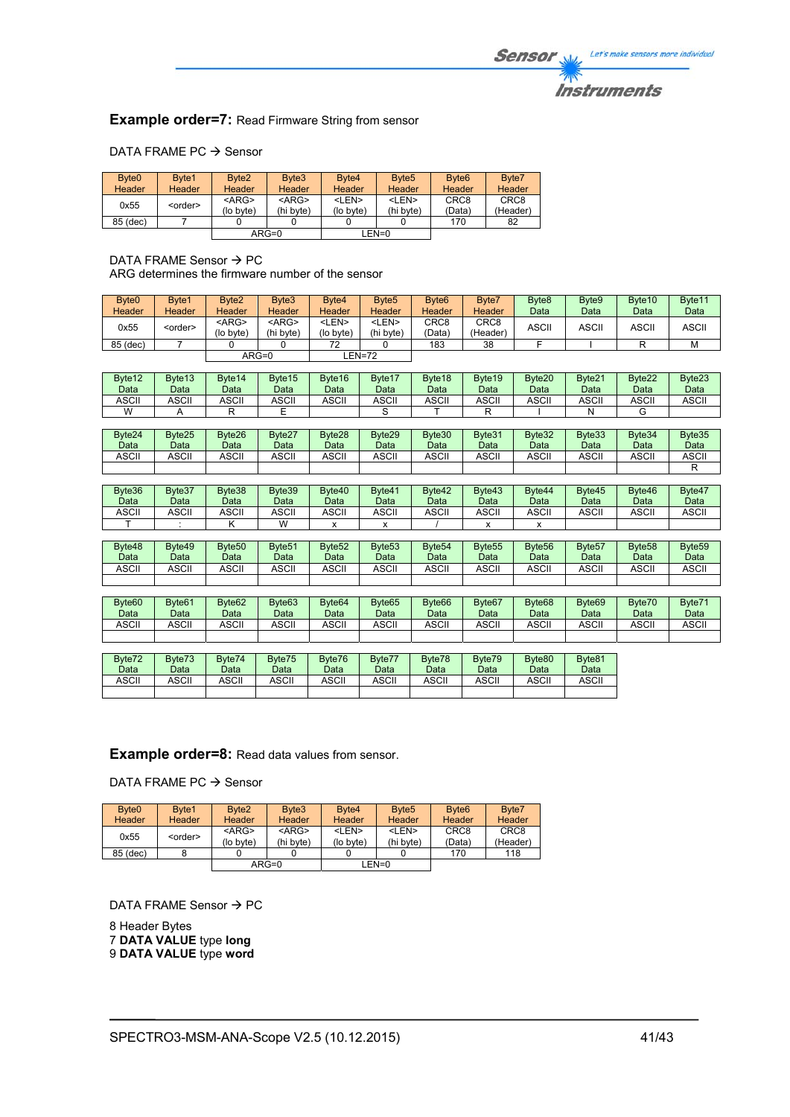## **Instruments**

## **Example order=7: Read Firmware String from sensor**

## DATA FRAME PC  $\rightarrow$  Sensor

| Byte <sub>0</sub> | Byte1           | Byte <sub>2</sub> | Byte3       | Byte4         | Byte <sub>5</sub> | Byte <sub>6</sub> | Byte7            |
|-------------------|-----------------|-------------------|-------------|---------------|-------------------|-------------------|------------------|
| <b>Header</b>     | Header          | Header            | Header      | <b>Header</b> | <b>Header</b>     | Header            | Header           |
| 0x55              |                 | $<$ ARG>          | $<$ ARG $>$ | <len></len>   | <len></len>       | CRC <sub>8</sub>  | CRC <sub>8</sub> |
|                   | <order></order> | (lo byte)         | (hi byte)   | (lo byte)     | (hi byte)         | (Data)            | (Header)         |
| 85 (dec)          |                 |                   |             |               |                   | 170               | 82               |
|                   |                 |                   | $ARG=0$     |               | $LEN=0$           |                   |                  |

#### DATA FRAME Sensor  $\rightarrow$  PC ARG determines the firmware number of the sensor

| Byte <sub>0</sub><br>Header | Byte1<br><b>Header</b> | Byte <sub>2</sub><br>Header | Byte3<br><b>Header</b>    | Byte4<br>Header           | Byte <sub>5</sub><br>Header | Byte <sub>6</sub><br>Header | Byte7<br>Header  | Byte <sub>8</sub><br>Data | Byte9<br>Data | Byte <sub>10</sub><br>Data | Byte11<br>Data |
|-----------------------------|------------------------|-----------------------------|---------------------------|---------------------------|-----------------------------|-----------------------------|------------------|---------------------------|---------------|----------------------------|----------------|
| 0x55                        | <order></order>        | $<$ ARG $>$<br>(lo byte)    | <arg><br/>(hi byte)</arg> | <len><br/>(lo byte)</len> | <len><br/>(hi bvte)</len>   | CRC <sub>8</sub><br>(Data)  | CRC8<br>(Header) | ASCII                     | ASCII         | <b>ASCII</b>               | <b>ASCII</b>   |
| 85 (dec)                    |                        |                             |                           | 72                        |                             | 183                         | 38               |                           |               |                            | M              |
|                             |                        |                             | $ARG=0$                   |                           | EN=72-                      |                             |                  |                           |               |                            |                |

| Byte <sub>12</sub><br>Data | Byte <sub>13</sub><br>Data | Byte <sub>14</sub><br>Data | Byte15<br>Data | Byte16<br>Data | Byte17<br>Data | Byte <sub>18</sub><br>Data | Byte <sub>19</sub><br>Data | Byte <sub>20</sub><br>Data | Byte21<br>Data | Byte22<br>Data | Byte23<br>Data |
|----------------------------|----------------------------|----------------------------|----------------|----------------|----------------|----------------------------|----------------------------|----------------------------|----------------|----------------|----------------|
| <b>ASCII</b>               | <b>ASCII</b>               | <b>ASCII</b>               | <b>ASCII</b>   | ASCII          | <b>ASCII</b>   | <b>ASCII</b>               | ASCII                      | ASCII                      | ASCII          | ASCII          | <b>ASCII</b>   |
| W                          |                            |                            |                |                |                |                            |                            |                            |                |                |                |

| Byte24<br>Data | Byte25<br>Data | Byte26<br>Data | Byte27<br>Data | Byte28<br>Data | Byte29<br>Data | Byte30<br>Data | Byte31<br>Data | Byte32<br>Data | Byte33<br>Data | Byte34<br>Data | Byte35<br>Data |
|----------------|----------------|----------------|----------------|----------------|----------------|----------------|----------------|----------------|----------------|----------------|----------------|
| <b>ASCII</b>   | <b>ASCII</b>   | <b>ASCII</b>   | <b>ASCII</b>   | <b>ASCII</b>   | <b>ASCII</b>   | <b>ASCII</b>   | ASCII          | ASCII          | ASCII          | ASCII          | ASCII          |
|                |                |                |                |                |                |                |                |                |                |                |                |

| Byte36<br>Data | Byte37<br>Data | Byte38<br>Data | Byte39<br>Data | Byte40<br>Data | Byte41<br>Data | Byte42<br>Data | Byte43<br>Data | Byte44<br>Data | Byte45<br>Data | Byte46<br>Data | Byte47<br>Data |
|----------------|----------------|----------------|----------------|----------------|----------------|----------------|----------------|----------------|----------------|----------------|----------------|
| ASCII          | ASCII          | ASCII          | ASCII          | <b>ASCII</b>   | ASCII          | <b>ASCII</b>   | <b>ASCII</b>   | ASCII          | ASCII          | ASCII          | ASCII          |
|                |                |                | W              |                |                |                |                |                |                |                |                |

| Byte48<br>Data | Byte49<br>Data | Byte <sub>50</sub><br>Data | Byte <sub>51</sub><br>Data | Byte <sub>52</sub><br>Data | Byte <sub>53</sub><br>Data | Byte <sub>54</sub><br>Data | Byte <sub>55</sub><br>Data | Byte <sub>56</sub><br>Data | Byte <sub>57</sub><br>Data | Byte <sub>58</sub><br>Data | Byte <sub>59</sub><br>Data |
|----------------|----------------|----------------------------|----------------------------|----------------------------|----------------------------|----------------------------|----------------------------|----------------------------|----------------------------|----------------------------|----------------------------|
| ASCII          | ASCII          | ASCII                      | <b>ASCII</b>               | ASCII                      | ASCII                      | <b>ASCII</b>               | ASCII                      | ASCII                      | ASCII                      | ASCII                      | ASCII                      |
|                |                |                            |                            |                            |                            |                            |                            |                            |                            |                            |                            |

| Byte <sub>60</sub><br>Data | Byte <sub>61</sub><br>Data | Byte <sub>62</sub><br>Data | Byte63<br>Data | Byte <sub>64</sub><br>Data | Byte65<br>Data | Byte <sub>66</sub><br>Data | Byte <sub>67</sub><br>Data | Byte <sub>68</sub><br>Data | Byte <sub>69</sub><br>Data | Byte70<br>Data | Byte71<br>Data |
|----------------------------|----------------------------|----------------------------|----------------|----------------------------|----------------|----------------------------|----------------------------|----------------------------|----------------------------|----------------|----------------|
| <b>ASCII</b>               | <b>ASCII</b>               | <b>ASCII</b>               | <b>ASCII</b>   | ASCII                      | ASCII          | ASCII                      | <b>ASCI</b>                | ASCII                      | ASCII                      | ASCII          | <b>ASCII</b>   |
|                            |                            |                            |                |                            |                |                            |                            |                            |                            |                |                |

| Byte72<br>Data | Byte73<br>Data | Byte74<br>Data | Byte75<br>Data | Byte76<br>Data | Byte77<br>Data | Byte78<br>Data | Byte79<br>Data | Byte80<br>Data | Byte81<br>Data |
|----------------|----------------|----------------|----------------|----------------|----------------|----------------|----------------|----------------|----------------|
| ASCII          | ASCII          | ASCII          | ASCII          | ASCII          | <b>ASCII</b>   | ASCII          | ASCII          | ASCII          | ASCII          |
|                |                |                |                |                |                |                |                |                |                |

## **Example order=8:** Read data values from sensor.

DATA FRAME PC  $\rightarrow$  Sensor

| Byte <sub>0</sub> | Byte1           | Byte <sub>2</sub> | Byte3         | Byte4       | Byte <sub>5</sub> | Byte <sub>6</sub> | Byte7            |
|-------------------|-----------------|-------------------|---------------|-------------|-------------------|-------------------|------------------|
| <b>Header</b>     | <b>Header</b>   | Header            | <b>Header</b> | Header      | Header            | Header            | Header           |
| 0x55              | <order></order> | $<$ ARG $>$       | $<$ ARG $>$   | <len></len> | <len></len>       | CRC <sub>8</sub>  | CRC <sub>8</sub> |
|                   |                 | (lo byte)         | (hi byte)     | (lo byte)   | (hi byte)         | (Data)            | (Header)         |
| 85 (dec)          |                 |                   |               |             |                   | 170               | 118              |
|                   |                 | $ARG=0$           |               |             | LEN=0             |                   |                  |

DATA FRAME Sensor  $\rightarrow$  PC

8 Header Bytes 7 **DATA VALUE** type **long** 9 **DATA VALUE** type **word**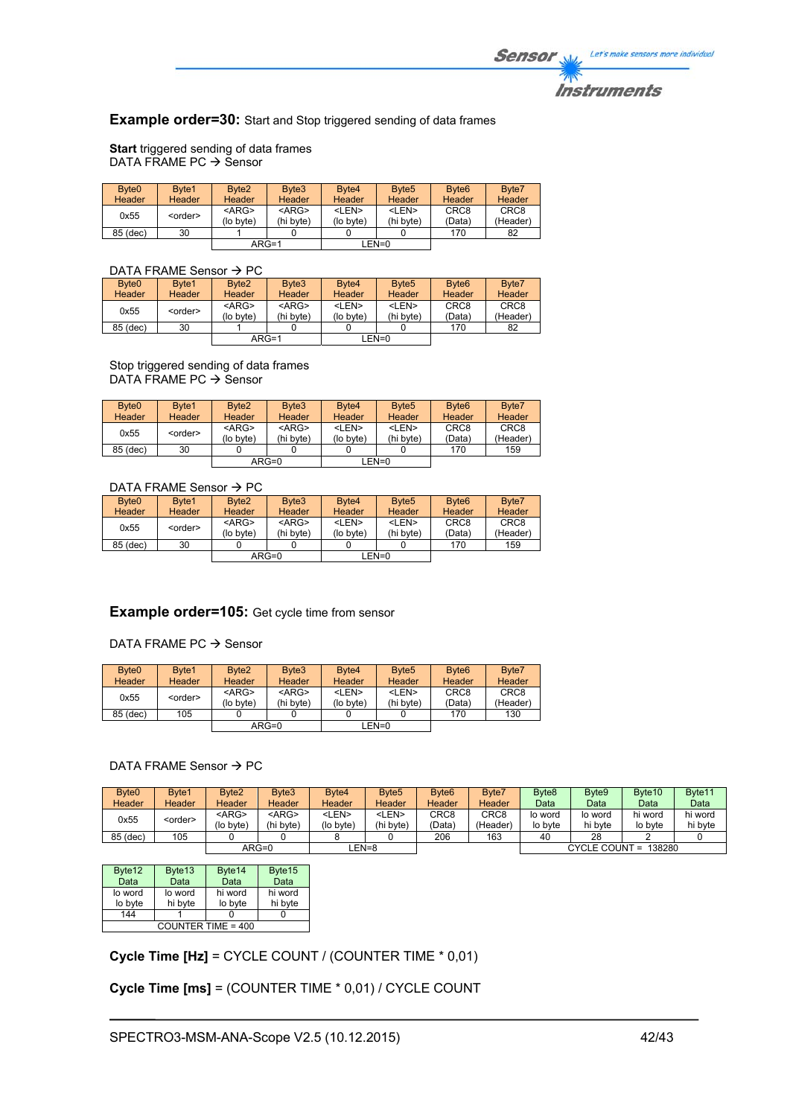## **Example order=30:** Start and Stop triggered sending of data frames

**Start** triggered sending of data frames DATA FRAME PC  $\rightarrow$  Sensor

| Byte <sub>0</sub><br>Header | Byte1<br>Header | Byte <sub>2</sub><br><b>Header</b> | Byte3<br>Header          | Byte4<br>Header           | Byte <sub>5</sub><br><b>Header</b> | Byte <sub>6</sub><br><b>Header</b> | Byte7<br>Header              |
|-----------------------------|-----------------|------------------------------------|--------------------------|---------------------------|------------------------------------|------------------------------------|------------------------------|
| 0x55                        | <order></order> | $<$ ARG $>$<br>(lo byte)           | $<$ ARG $>$<br>(hi byte) | <len><br/>(lo byte)</len> | <len><br/>(hi byte)</len>          | CRC <sub>8</sub><br>(Data)         | CRC <sub>8</sub><br>(Header) |
| 85 (dec)                    | 30              |                                    |                          |                           |                                    | 170                                | 82                           |
|                             |                 | $ARG=1$                            |                          |                           | EN=0_                              |                                    |                              |

## DATA FRAME Sensor  $\rightarrow$  PC

| Byte <sub>0</sub> | Byte1           | Byte <sub>2</sub> | Byte3         | Byte4                                            | Byte <sub>5</sub> | Byte <sub>6</sub> | Byte7            |  |  |  |  |  |
|-------------------|-----------------|-------------------|---------------|--------------------------------------------------|-------------------|-------------------|------------------|--|--|--|--|--|
| Header            | Header          | Header            | <b>Header</b> | <b>Header</b>                                    | <b>Header</b>     | <b>Header</b>     | Header           |  |  |  |  |  |
| 0x55              | <order></order> | $<$ ARG>          | $<$ ARG $>$   | <len></len>                                      | <len></len>       | CRC <sub>8</sub>  | CRC <sub>8</sub> |  |  |  |  |  |
|                   |                 | (lo byte)         | (hi byte)     | (lo byte)<br>(hi byte)<br>(Data)<br>170<br>LEN=0 | (Header)          |                   |                  |  |  |  |  |  |
| 85 (dec)          | 30              |                   |               |                                                  |                   |                   | 82               |  |  |  |  |  |
|                   |                 |                   | $ARG=1$       |                                                  |                   |                   |                  |  |  |  |  |  |
|                   |                 |                   |               |                                                  |                   |                   |                  |  |  |  |  |  |

Stop triggered sending of data frames DATA FRAME PC  $\rightarrow$  Sensor

| Byte <sub>0</sub> | Byte1           | Byte <sub>2</sub> | Byte3                                                                    | Byte4         | Byte <sub>5</sub> | Byte <sub>6</sub> | Byte7            |
|-------------------|-----------------|-------------------|--------------------------------------------------------------------------|---------------|-------------------|-------------------|------------------|
| <b>Header</b>     | Header          | Header            | <b>Header</b>                                                            | <b>Header</b> | Header            | Header            | Header           |
|                   |                 | $<$ ARG>          | $<$ ARG $>$                                                              | <len></len>   | <len></len>       | CRC <sub>8</sub>  | CRC <sub>8</sub> |
| 0x55              | <order></order> | (lo byte)         | (hi byte)<br>(lo byte)<br>(hi byte)<br>(Data)<br>170<br>LEN=0<br>$ARG=0$ | (Header)      |                   |                   |                  |
| 85 (dec)          | 30              |                   |                                                                          |               |                   |                   | 159              |
|                   |                 |                   |                                                                          |               |                   |                   |                  |

## DATA FRAME Sensor  $\rightarrow$  PC

| Byte <sub>0</sub> | Byte1           | Byte <sub>2</sub> | Byte3       | Byte4       | Byte <sub>5</sub> | Byte <sub>6</sub> | Byte7            |
|-------------------|-----------------|-------------------|-------------|-------------|-------------------|-------------------|------------------|
| <b>Header</b>     | Header          | <b>Header</b>     | Header      | Header      | <b>Header</b>     | Header            | Header           |
| 0x55              | <order></order> | $<$ ARG $>$       | $<$ ARG $>$ | <len></len> | <len></len>       | CRC <sub>8</sub>  | CRC <sub>8</sub> |
|                   |                 | (lo byte)         | (hi byte)   | (lo byte)   | (hi byte)         | (Data)            | (Header)         |
| 85 (dec)          | 30              |                   |             |             |                   | 170               | 159              |
|                   |                 |                   | $ARG=0$     |             | $EN=0$            |                   |                  |

## **Example order=105:** Get cycle time from sensor

#### DATA FRAME PC  $\rightarrow$  Sensor

| Byte <sub>0</sub><br>Header | Byte1<br><b>Header</b> | Byte <sub>2</sub><br>Header | Byte3<br><b>Header</b>   | Byte4<br>Header           | Byte <sub>5</sub><br><b>Header</b> | Byte <sub>6</sub><br><b>Header</b> | Byte7<br>Header              |
|-----------------------------|------------------------|-----------------------------|--------------------------|---------------------------|------------------------------------|------------------------------------|------------------------------|
| 0x55                        | <order></order>        | $<$ ARG $>$<br>(lo byte)    | $<$ ARG $>$<br>(hi bvte) | <len><br/>(lo byte)</len> | <len><br/>(hi byte)</len>          | CRC <sub>8</sub><br>(Data)         | CRC <sub>8</sub><br>(Header) |
| 85 (dec)                    | 105                    |                             |                          |                           |                                    | 170                                | 130                          |
|                             |                        |                             | $ARG=0$                  |                           | LEN=0                              |                                    |                              |

## DATA FRAME Sensor  $\rightarrow$  PC

| Byte <sub>0</sub><br>Header | Byte1<br>Header | Byte <sub>2</sub><br>Header | Byte3<br><b>Header</b>   | Byte4<br>Header           | Byte <sub>5</sub><br>Header | Byte <sub>6</sub><br><b>Header</b> | Byte7<br>Header  | Byte <sub>8</sub><br>Data | Byte9<br>Data      | Byte <sub>10</sub><br>Data | Byte <sub>11</sub><br>Data |
|-----------------------------|-----------------|-----------------------------|--------------------------|---------------------------|-----------------------------|------------------------------------|------------------|---------------------------|--------------------|----------------------------|----------------------------|
|                             |                 |                             |                          |                           |                             |                                    |                  |                           |                    |                            |                            |
| 0x55                        | <order></order> | <arg><br/>(lo bvte)</arg>   | $<$ ARG $>$<br>(hi byte) | <len><br/>(lo byte)</len> | <len><br/>(hi byte)</len>   | CRC8<br>(Data`                     | CRC8<br>(Header) | lo word<br>lo byte        | lo word<br>hi byte | hi word<br>lo byte         | hi word<br>hi byte         |
| 85 (dec)                    | 105             |                             |                          |                           |                             | 206                                | 163              | 40                        | 28                 |                            |                            |
|                             |                 |                             | $ARG=0$                  | EN=8                      |                             |                                    |                  | CYCLE COUNT = 138280      |                    |                            |                            |

| Byte12  | Byte13             | Byte14  | Byte15  |  |  |  |  |  |  |
|---------|--------------------|---------|---------|--|--|--|--|--|--|
| Data    | Data               | Data    | Data    |  |  |  |  |  |  |
| lo word | lo word            | hi word | hi word |  |  |  |  |  |  |
| lo byte | hi byte            | lo byte | hi byte |  |  |  |  |  |  |
| 144     |                    |         |         |  |  |  |  |  |  |
|         | COUNTER TIME = 400 |         |         |  |  |  |  |  |  |

**Cycle Time [Hz]** = CYCLE COUNT / (COUNTER TIME \* 0,01)

**Cycle Time [ms]** = (COUNTER TIME \* 0,01) / CYCLE COUNT